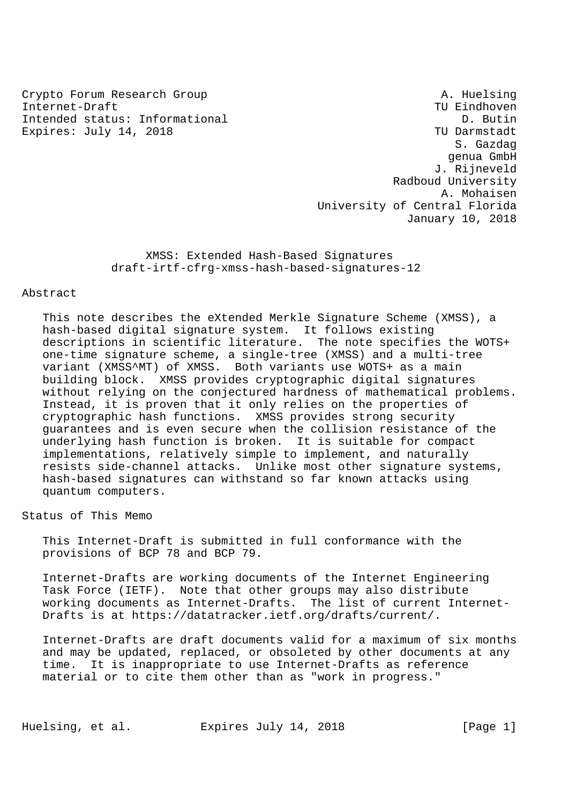Crypto Forum Research Group A. Huelsing Internet-Draft TU Eindhoven Intended status: Informational D. Butin Expires: July 14, 2018 TU Darmstadt

 S. Gazdag genua GmbH J. Rijneveld Radboud University A. Mohaisen University of Central Florida January 10, 2018

 XMSS: Extended Hash-Based Signatures draft-irtf-cfrg-xmss-hash-based-signatures-12

## Abstract

 This note describes the eXtended Merkle Signature Scheme (XMSS), a hash-based digital signature system. It follows existing descriptions in scientific literature. The note specifies the WOTS+ one-time signature scheme, a single-tree (XMSS) and a multi-tree variant (XMSS^MT) of XMSS. Both variants use WOTS+ as a main building block. XMSS provides cryptographic digital signatures without relying on the conjectured hardness of mathematical problems. Instead, it is proven that it only relies on the properties of cryptographic hash functions. XMSS provides strong security guarantees and is even secure when the collision resistance of the underlying hash function is broken. It is suitable for compact implementations, relatively simple to implement, and naturally resists side-channel attacks. Unlike most other signature systems, hash-based signatures can withstand so far known attacks using quantum computers.

Status of This Memo

 This Internet-Draft is submitted in full conformance with the provisions of BCP 78 and BCP 79.

 Internet-Drafts are working documents of the Internet Engineering Task Force (IETF). Note that other groups may also distribute working documents as Internet-Drafts. The list of current Internet- Drafts is at https://datatracker.ietf.org/drafts/current/.

 Internet-Drafts are draft documents valid for a maximum of six months and may be updated, replaced, or obsoleted by other documents at any time. It is inappropriate to use Internet-Drafts as reference material or to cite them other than as "work in progress."

Huelsing, et al. Expires July 14, 2018 [Page 1]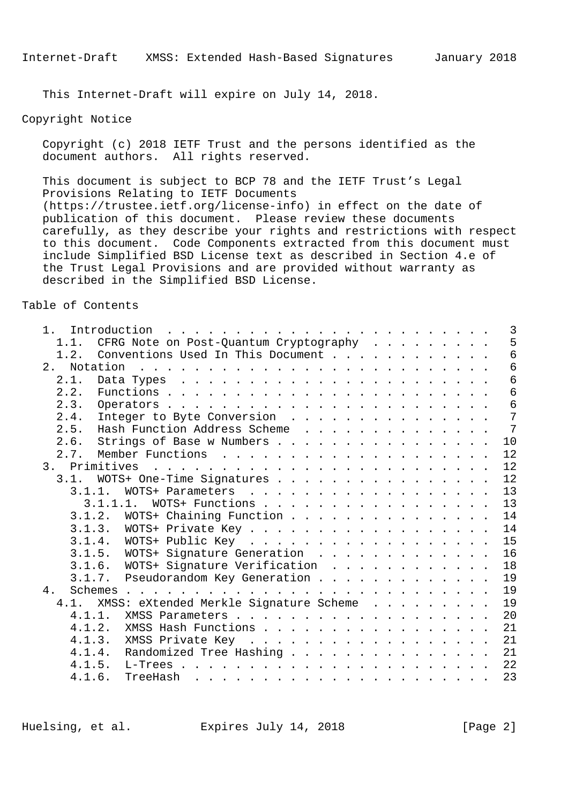This Internet-Draft will expire on July 14, 2018.

# Copyright Notice

 Copyright (c) 2018 IETF Trust and the persons identified as the document authors. All rights reserved.

 This document is subject to BCP 78 and the IETF Trust's Legal Provisions Relating to IETF Documents (https://trustee.ietf.org/license-info) in effect on the date of publication of this document. Please review these documents carefully, as they describe your rights and restrictions with respect to this document. Code Components extracted from this document must include Simplified BSD License text as described in Section 4.e of the Trust Legal Provisions and are provided without warranty as described in the Simplified BSD License.

#### Table of Contents

| $1_{\cdot}$ | Introduction  | $\mathbf{1}^{(1)} \mathbf{1}^{(2)} \mathbf{1}^{(3)} \mathbf{1}^{(4)} \mathbf{1}^{(5)} \mathbf{1}^{(6)} \mathbf{1}^{(6)} \mathbf{1}^{(6)} \mathbf{1}^{(6)} \mathbf{1}^{(6)} \mathbf{1}^{(6)} \mathbf{1}^{(6)} \mathbf{1}^{(6)} \mathbf{1}^{(6)} \mathbf{1}^{(6)} \mathbf{1}^{(6)} \mathbf{1}^{(6)} \mathbf{1}^{(6)} \mathbf{1}^{(6)} \mathbf{1}^{(6)} \mathbf{1}^{(6)} \mathbf{1}^{(6)}$ |  |  | $\overline{3}$ |
|-------------|---------------|-----------------------------------------------------------------------------------------------------------------------------------------------------------------------------------------------------------------------------------------------------------------------------------------------------------------------------------------------------------------------------------------|--|--|----------------|
|             | 1.1.          | CFRG Note on Post-Quantum Cryptography                                                                                                                                                                                                                                                                                                                                                  |  |  | 5              |
|             | 1.2.          | Conventions Used In This Document                                                                                                                                                                                                                                                                                                                                                       |  |  | 6              |
|             | 2.            |                                                                                                                                                                                                                                                                                                                                                                                         |  |  | 6              |
|             | 2.1.          |                                                                                                                                                                                                                                                                                                                                                                                         |  |  | 6              |
|             | 2.2.          |                                                                                                                                                                                                                                                                                                                                                                                         |  |  | 6              |
|             | 2.3.          |                                                                                                                                                                                                                                                                                                                                                                                         |  |  | 6              |
|             | 2.4.          | Integer to Byte Conversion                                                                                                                                                                                                                                                                                                                                                              |  |  | 7              |
|             | 2.5.          | Hash Function Address Scheme                                                                                                                                                                                                                                                                                                                                                            |  |  | $\overline{7}$ |
|             | 2.6.          | Strings of Base w Numbers                                                                                                                                                                                                                                                                                                                                                               |  |  | 10             |
|             | 2.7.          |                                                                                                                                                                                                                                                                                                                                                                                         |  |  | 12             |
|             | 3. Primitives | the contract of the contract of the contract of the contract of the contract of the contract of the contract of the contract of the contract of the contract of the contract of the contract of the contract of the contract o                                                                                                                                                          |  |  | 12             |
|             | 3.1.          | WOTS+ One-Time Signatures                                                                                                                                                                                                                                                                                                                                                               |  |  | 12             |
|             | 3.1.1.        | WOTS+ Parameters                                                                                                                                                                                                                                                                                                                                                                        |  |  | 13             |
|             | 3.1.1.1.      | WOTS+ Functions                                                                                                                                                                                                                                                                                                                                                                         |  |  | 13             |
|             |               | 3.1.2. WOTS+ Chaining Function                                                                                                                                                                                                                                                                                                                                                          |  |  | 14             |
|             |               |                                                                                                                                                                                                                                                                                                                                                                                         |  |  | 14             |
|             |               |                                                                                                                                                                                                                                                                                                                                                                                         |  |  | 15             |
|             |               | 3.1.5. WOTS+ Signature Generation                                                                                                                                                                                                                                                                                                                                                       |  |  | 16             |
|             |               | 3.1.6. WOTS+ Signature Verification                                                                                                                                                                                                                                                                                                                                                     |  |  | 18             |
|             |               | 3.1.7. Pseudorandom Key Generation                                                                                                                                                                                                                                                                                                                                                      |  |  | 19             |
| 4.          |               |                                                                                                                                                                                                                                                                                                                                                                                         |  |  | 19             |
|             | 4.1.          | XMSS: eXtended Merkle Signature Scheme                                                                                                                                                                                                                                                                                                                                                  |  |  | 19             |
|             | 4.1.1.        |                                                                                                                                                                                                                                                                                                                                                                                         |  |  | 20             |
|             | 4.1.2.        | XMSS Hash Functions                                                                                                                                                                                                                                                                                                                                                                     |  |  | 21             |
|             |               | 4.1.3. XMSS Private Key                                                                                                                                                                                                                                                                                                                                                                 |  |  | 21             |
|             | 4.1.4.        | Randomized Tree Hashing                                                                                                                                                                                                                                                                                                                                                                 |  |  | 21             |
|             | 4.1.5.        | L-Trees .                                                                                                                                                                                                                                                                                                                                                                               |  |  | 22             |
|             | 4.1.6.        | TreeHash<br>المناطر والمناطر والمناطر والمناطر والمناطر والمناطر والمناطر والمناطر والمناطر                                                                                                                                                                                                                                                                                             |  |  | 23             |

Huelsing, et al. Expires July 14, 2018 [Page 2]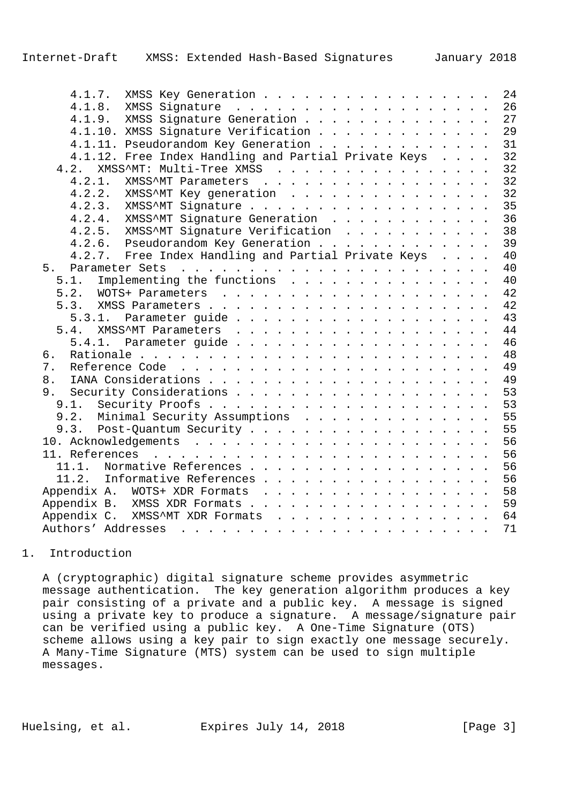| 4.1.7.<br>XMSS Key Generation                        | 24 |
|------------------------------------------------------|----|
| 4.1.8.                                               | 26 |
| 4.1.9. XMSS Signature Generation                     | 27 |
| 4.1.10. XMSS Signature Verification                  | 29 |
| 4.1.11. Pseudorandom Key Generation                  | 31 |
| 4.1.12. Free Index Handling and Partial Private Keys | 32 |
| XMSS^MT: Multi-Tree XMSS<br>4.2.                     | 32 |
| 4.2.1.<br>XMSS^MT Parameters                         | 32 |
| 4.2.2.<br>XMSS^MT Key generation                     | 32 |
| 4.2.3. XMSS^MT Signature                             | 35 |
| 4.2.4. XMSS <sup>^</sup> MT Signature Generation     | 36 |
| 4.2.5. XMSS^MT Signature Verification                | 38 |
| 4.2.6. Pseudorandom Key Generation                   | 39 |
| 4.2.7. Free Index Handling and Partial Private Keys  | 40 |
| 5.                                                   | 40 |
| 5.1.<br>Implementing the functions                   | 40 |
| 5.2.                                                 | 42 |
| 5.3.                                                 | 42 |
| 5.3.1.                                               | 43 |
| 5.4.                                                 | 44 |
|                                                      | 46 |
| б.                                                   | 48 |
| 7.                                                   | 49 |
| 8.                                                   | 49 |
| 9.                                                   | 53 |
|                                                      | 53 |
| 9.2. Minimal Security Assumptions                    | 55 |
|                                                      | 55 |
|                                                      | 56 |
|                                                      | 56 |
| Normative References<br>11.1.                        | 56 |
| 11.2. Informative References                         | 56 |
| Appendix A. WOTS+ XDR Formats                        | 58 |
| Appendix B. XMSS XDR Formats                         | 59 |
| Appendix C. XMSS^MT XDR Formats                      | 64 |
|                                                      | 71 |
|                                                      |    |

## 1. Introduction

 A (cryptographic) digital signature scheme provides asymmetric message authentication. The key generation algorithm produces a key pair consisting of a private and a public key. A message is signed using a private key to produce a signature. A message/signature pair can be verified using a public key. A One-Time Signature (OTS) scheme allows using a key pair to sign exactly one message securely. A Many-Time Signature (MTS) system can be used to sign multiple messages.

Huelsing, et al. Expires July 14, 2018 [Page 3]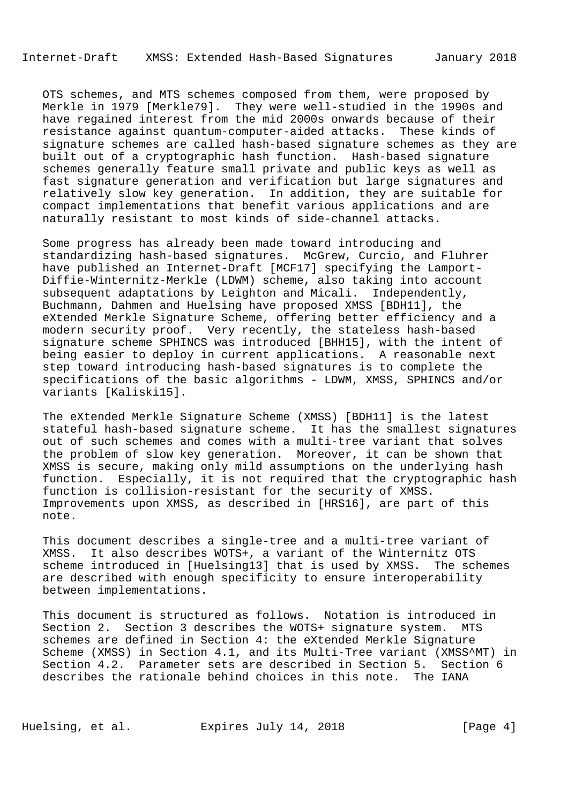OTS schemes, and MTS schemes composed from them, were proposed by Merkle in 1979 [Merkle79]. They were well-studied in the 1990s and have regained interest from the mid 2000s onwards because of their resistance against quantum-computer-aided attacks. These kinds of signature schemes are called hash-based signature schemes as they are built out of a cryptographic hash function. Hash-based signature schemes generally feature small private and public keys as well as fast signature generation and verification but large signatures and relatively slow key generation. In addition, they are suitable for compact implementations that benefit various applications and are naturally resistant to most kinds of side-channel attacks.

 Some progress has already been made toward introducing and standardizing hash-based signatures. McGrew, Curcio, and Fluhrer have published an Internet-Draft [MCF17] specifying the Lamport- Diffie-Winternitz-Merkle (LDWM) scheme, also taking into account subsequent adaptations by Leighton and Micali. Independently, Buchmann, Dahmen and Huelsing have proposed XMSS [BDH11], the eXtended Merkle Signature Scheme, offering better efficiency and a modern security proof. Very recently, the stateless hash-based signature scheme SPHINCS was introduced [BHH15], with the intent of being easier to deploy in current applications. A reasonable next step toward introducing hash-based signatures is to complete the specifications of the basic algorithms - LDWM, XMSS, SPHINCS and/or variants [Kaliski15].

 The eXtended Merkle Signature Scheme (XMSS) [BDH11] is the latest stateful hash-based signature scheme. It has the smallest signatures out of such schemes and comes with a multi-tree variant that solves the problem of slow key generation. Moreover, it can be shown that XMSS is secure, making only mild assumptions on the underlying hash function. Especially, it is not required that the cryptographic hash function is collision-resistant for the security of XMSS. Improvements upon XMSS, as described in [HRS16], are part of this note.

 This document describes a single-tree and a multi-tree variant of XMSS. It also describes WOTS+, a variant of the Winternitz OTS scheme introduced in [Huelsing13] that is used by XMSS. The schemes are described with enough specificity to ensure interoperability between implementations.

 This document is structured as follows. Notation is introduced in Section 2. Section 3 describes the WOTS+ signature system. MTS schemes are defined in Section 4: the eXtended Merkle Signature Scheme (XMSS) in Section 4.1, and its Multi-Tree variant (XMSS^MT) in Section 4.2. Parameter sets are described in Section 5. Section 6 describes the rationale behind choices in this note. The IANA

Huelsing, et al. Expires July 14, 2018 [Page 4]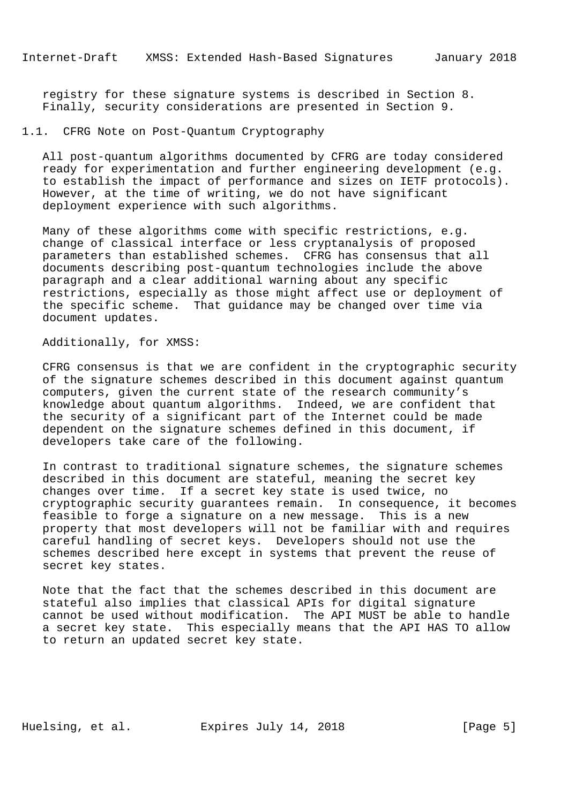registry for these signature systems is described in Section 8. Finally, security considerations are presented in Section 9.

# 1.1. CFRG Note on Post-Quantum Cryptography

 All post-quantum algorithms documented by CFRG are today considered ready for experimentation and further engineering development (e.g. to establish the impact of performance and sizes on IETF protocols). However, at the time of writing, we do not have significant deployment experience with such algorithms.

 Many of these algorithms come with specific restrictions, e.g. change of classical interface or less cryptanalysis of proposed parameters than established schemes. CFRG has consensus that all documents describing post-quantum technologies include the above paragraph and a clear additional warning about any specific restrictions, especially as those might affect use or deployment of the specific scheme. That guidance may be changed over time via document updates.

# Additionally, for XMSS:

 CFRG consensus is that we are confident in the cryptographic security of the signature schemes described in this document against quantum computers, given the current state of the research community's knowledge about quantum algorithms. Indeed, we are confident that the security of a significant part of the Internet could be made dependent on the signature schemes defined in this document, if developers take care of the following.

 In contrast to traditional signature schemes, the signature schemes described in this document are stateful, meaning the secret key changes over time. If a secret key state is used twice, no cryptographic security guarantees remain. In consequence, it becomes feasible to forge a signature on a new message. This is a new property that most developers will not be familiar with and requires careful handling of secret keys. Developers should not use the schemes described here except in systems that prevent the reuse of secret key states.

 Note that the fact that the schemes described in this document are stateful also implies that classical APIs for digital signature cannot be used without modification. The API MUST be able to handle a secret key state. This especially means that the API HAS TO allow to return an updated secret key state.

Huelsing, et al. Expires July 14, 2018 [Page 5]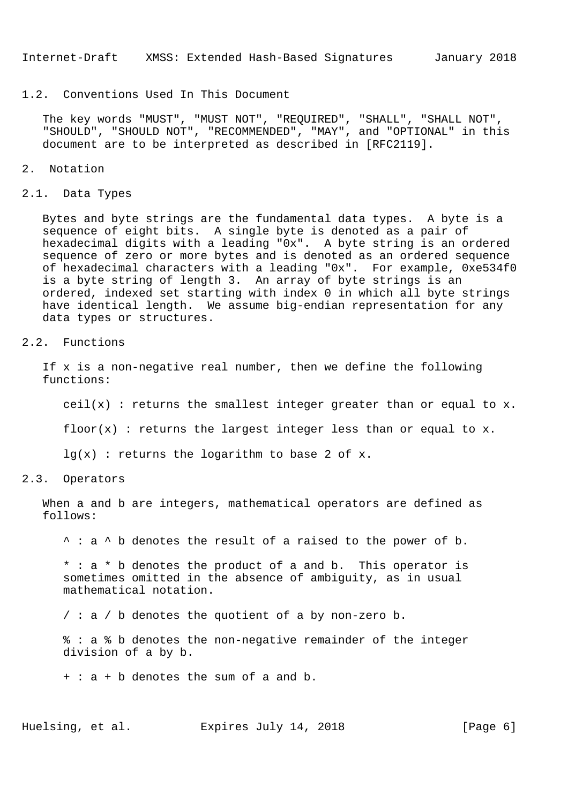# 1.2. Conventions Used In This Document

 The key words "MUST", "MUST NOT", "REQUIRED", "SHALL", "SHALL NOT", "SHOULD", "SHOULD NOT", "RECOMMENDED", "MAY", and "OPTIONAL" in this document are to be interpreted as described in [RFC2119].

### 2. Notation

#### 2.1. Data Types

 Bytes and byte strings are the fundamental data types. A byte is a sequence of eight bits. A single byte is denoted as a pair of hexadecimal digits with a leading "0x". A byte string is an ordered sequence of zero or more bytes and is denoted as an ordered sequence of hexadecimal characters with a leading "0x". For example, 0xe534f0 is a byte string of length 3. An array of byte strings is an ordered, indexed set starting with index 0 in which all byte strings have identical length. We assume big-endian representation for any data types or structures.

## 2.2. Functions

 If x is a non-negative real number, then we define the following functions:

 $ceil(x)$ : returns the smallest integer greater than or equal to x.

floor(x) : returns the largest integer less than or equal to  $x$ .

 $lq(x)$ : returns the logarithm to base 2 of x.

# 2.3. Operators

 When a and b are integers, mathematical operators are defined as follows:

^ : a ^ b denotes the result of a raised to the power of b.

 \* : a \* b denotes the product of a and b. This operator is sometimes omitted in the absence of ambiguity, as in usual mathematical notation.

/ : a / b denotes the quotient of a by non-zero b.

 % : a % b denotes the non-negative remainder of the integer division of a by b.

+ : a + b denotes the sum of a and b.

Huelsing, et al. Expires July 14, 2018 [Page 6]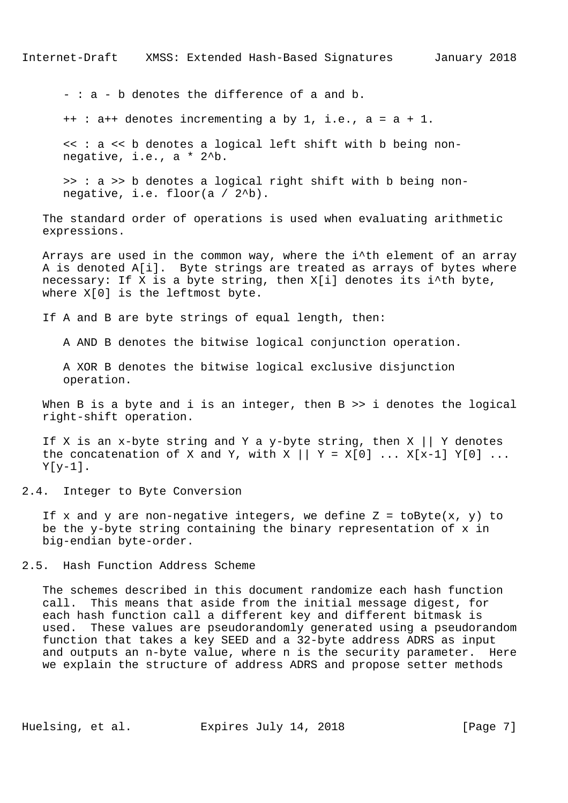- : a - b denotes the difference of a and b.

++ : a++ denotes incrementing a by 1, i.e., a = a + 1.

 << : a << b denotes a logical left shift with b being non negative, i.e., a \* 2^b.

 >> : a >> b denotes a logical right shift with b being non negative, i.e. floor(a / 2^b).

 The standard order of operations is used when evaluating arithmetic expressions.

Arrays are used in the common way, where the i^th element of an array A is denoted A[i]. Byte strings are treated as arrays of bytes where necessary: If X is a byte string, then X[i] denotes its i^th byte, where X[0] is the leftmost byte.

If A and B are byte strings of equal length, then:

A AND B denotes the bitwise logical conjunction operation.

 A XOR B denotes the bitwise logical exclusive disjunction operation.

When B is a byte and i is an integer, then B >> i denotes the logical right-shift operation.

If X is an x-byte string and Y a y-byte string, then X  $||$  Y denotes the concatenation of X and Y, with X  $|| y = X[0] ... X[x-1] Y[0] ...$  $Y[y-1]$ .

2.4. Integer to Byte Conversion

If x and y are non-negative integers, we define  $Z = \text{toByte}(x, y)$  to be the y-byte string containing the binary representation of x in big-endian byte-order.

2.5. Hash Function Address Scheme

 The schemes described in this document randomize each hash function call. This means that aside from the initial message digest, for each hash function call a different key and different bitmask is used. These values are pseudorandomly generated using a pseudorandom function that takes a key SEED and a 32-byte address ADRS as input and outputs an n-byte value, where n is the security parameter. Here we explain the structure of address ADRS and propose setter methods

Huelsing, et al. Expires July 14, 2018 [Page 7]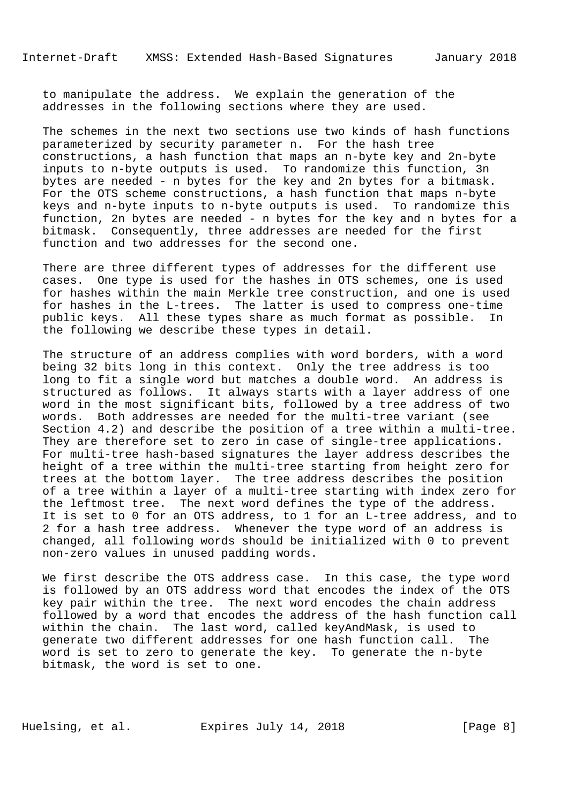to manipulate the address. We explain the generation of the addresses in the following sections where they are used.

 The schemes in the next two sections use two kinds of hash functions parameterized by security parameter n. For the hash tree constructions, a hash function that maps an n-byte key and 2n-byte inputs to n-byte outputs is used. To randomize this function, 3n bytes are needed - n bytes for the key and 2n bytes for a bitmask. For the OTS scheme constructions, a hash function that maps n-byte keys and n-byte inputs to n-byte outputs is used. To randomize this function, 2n bytes are needed - n bytes for the key and n bytes for a bitmask. Consequently, three addresses are needed for the first function and two addresses for the second one.

 There are three different types of addresses for the different use cases. One type is used for the hashes in OTS schemes, one is used for hashes within the main Merkle tree construction, and one is used for hashes in the L-trees. The latter is used to compress one-time public keys. All these types share as much format as possible. In the following we describe these types in detail.

 The structure of an address complies with word borders, with a word being 32 bits long in this context. Only the tree address is too long to fit a single word but matches a double word. An address is structured as follows. It always starts with a layer address of one word in the most significant bits, followed by a tree address of two words. Both addresses are needed for the multi-tree variant (see Section 4.2) and describe the position of a tree within a multi-tree. They are therefore set to zero in case of single-tree applications. For multi-tree hash-based signatures the layer address describes the height of a tree within the multi-tree starting from height zero for trees at the bottom layer. The tree address describes the position of a tree within a layer of a multi-tree starting with index zero for the leftmost tree. The next word defines the type of the address. It is set to 0 for an OTS address, to 1 for an L-tree address, and to 2 for a hash tree address. Whenever the type word of an address is changed, all following words should be initialized with 0 to prevent non-zero values in unused padding words.

 We first describe the OTS address case. In this case, the type word is followed by an OTS address word that encodes the index of the OTS key pair within the tree. The next word encodes the chain address followed by a word that encodes the address of the hash function call within the chain. The last word, called keyAndMask, is used to generate two different addresses for one hash function call. The word is set to zero to generate the key. To generate the n-byte bitmask, the word is set to one.

Huelsing, et al. Expires July 14, 2018 [Page 8]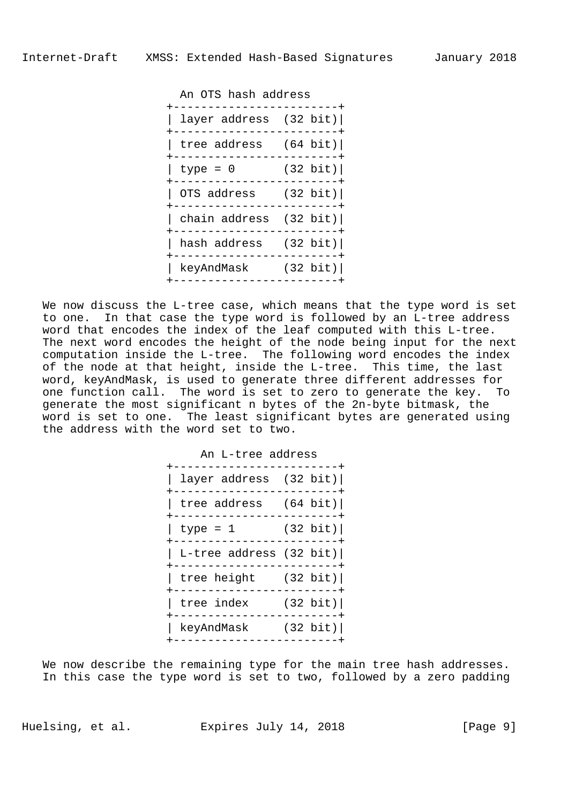An OTS hash address

| layer address $(32 \text{ bit})$ |                    |
|----------------------------------|--------------------|
| tree address $(64 \text{ bit})$  |                    |
| type = $0$                       | $(32 \text{ bit})$ |
| OTS address (32 bit)             |                    |
| chain address $(32 \text{ bit})$ |                    |
| hash address (32 bit)            |                    |
| keyAndMask                       | (32 bit)           |
|                                  |                    |

 We now discuss the L-tree case, which means that the type word is set to one. In that case the type word is followed by an L-tree address word that encodes the index of the leaf computed with this L-tree. The next word encodes the height of the node being input for the next computation inside the L-tree. The following word encodes the index of the node at that height, inside the L-tree. This time, the last word, keyAndMask, is used to generate three different addresses for one function call. The word is set to zero to generate the key. To generate the most significant n bytes of the 2n-byte bitmask, the word is set to one. The least significant bytes are generated using the address with the word set to two.

| An L-tree address<br>$------+$                               |  |  |
|--------------------------------------------------------------|--|--|
| layer address $(32 \text{ bit})$<br>-----------------------+ |  |  |
| tree address $(64 \text{ bit})$<br>-----------------------+  |  |  |
| $type = 1$ (32 bit)<br>$- - - - - - - -$                     |  |  |
| L-tree address (32 bit) <br>----------------------+          |  |  |
| tree height (32 bit)<br>------------------------+            |  |  |
| tree index $(32 \text{ bit})$                                |  |  |
| keyAndMask (32 bit)                                          |  |  |
|                                                              |  |  |

We now describe the remaining type for the main tree hash addresses. In this case the type word is set to two, followed by a zero padding

Huelsing, et al. Expires July 14, 2018 [Page 9]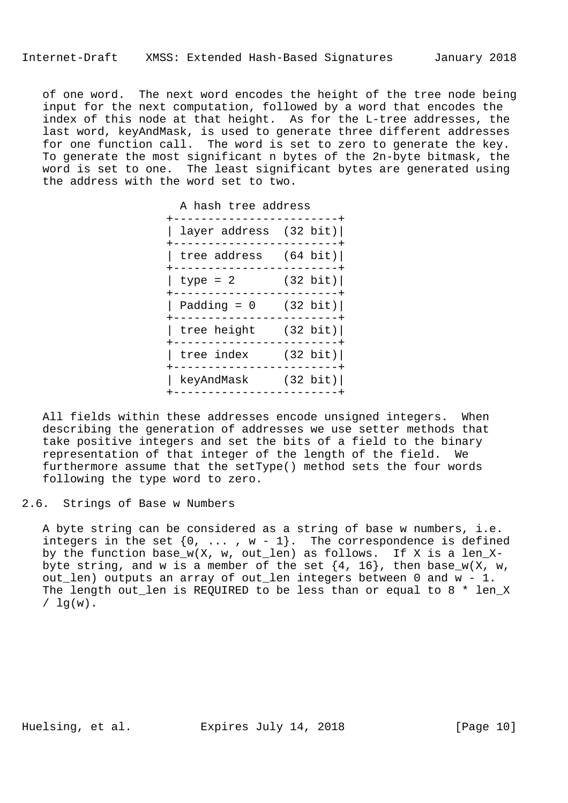of one word. The next word encodes the height of the tree node being input for the next computation, followed by a word that encodes the index of this node at that height. As for the L-tree addresses, the last word, keyAndMask, is used to generate three different addresses for one function call. The word is set to zero to generate the key. To generate the most significant n bytes of the 2n-byte bitmask, the word is set to one. The least significant bytes are generated using the address with the word set to two.

| A hash tree address<br>$- - - - - - +$                 |                     |  |
|--------------------------------------------------------|---------------------|--|
| layer address $(32 \text{ bit})$                       |                     |  |
| tree address $(64 \text{ bit})$<br>------------------+ |                     |  |
| $type = 2$ (32 bit)                                    |                     |  |
| Padding = $0$ (32 bit)                                 |                     |  |
| tree height $(32 \text{ bit})$                         | ------------------+ |  |
| tree index $(32 \text{ bit})$                          |                     |  |
| keyAndMask (32 bit)                                    |                     |  |
|                                                        |                     |  |

 All fields within these addresses encode unsigned integers. When describing the generation of addresses we use setter methods that take positive integers and set the bits of a field to the binary representation of that integer of the length of the field. We furthermore assume that the setType() method sets the four words following the type word to zero.

2.6. Strings of Base w Numbers

 A byte string can be considered as a string of base w numbers, i.e. integers in the set  $\{0, \ldots, w-1\}$ . The correspondence is defined by the function base\_w(X, w, out\_len) as follows. If X is a len\_Xbyte string, and w is a member of the set  $\{4, 16\}$ , then base\_w(X, w, out\_len) outputs an array of out\_len integers between 0 and w - 1. The length out\_len is REQUIRED to be less than or equal to 8 \* len\_X  $/ \ln(w)$ .

Huelsing, et al. Expires July 14, 2018 [Page 10]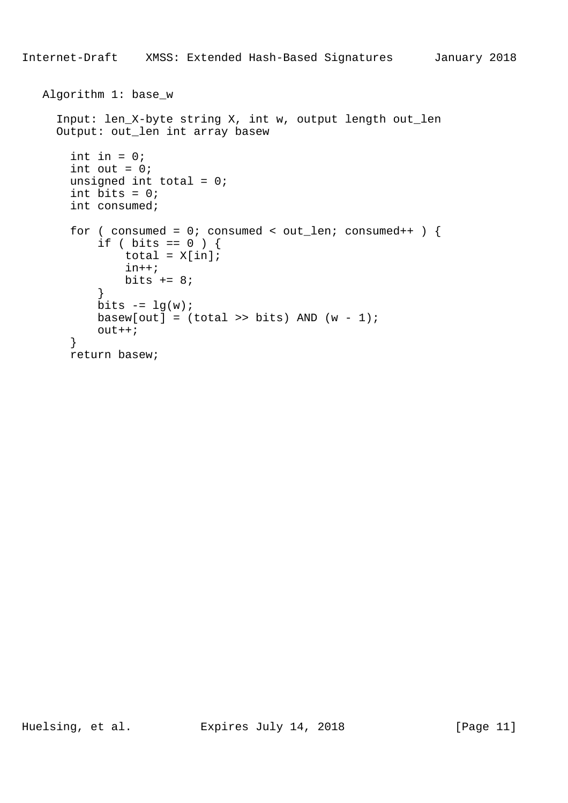```
 Algorithm 1: base_w
     Input: len_X-byte string X, int w, output length out_len
     Output: out_len int array basew
      int in = 0;
      int out = 0;
      unsigned int total = 0;
      int bits = 0; int consumed;
      for ( consumed = 0; consumed < out_len; consumed++ ) {
          if ( bits == 0 ) {
              total = X[in];
               in++;
          bits += 8; }
          bits - = \lg(w);
          basew[out] = (total \gg bits) AND (w - 1)i out++;
       }
       return basew;
```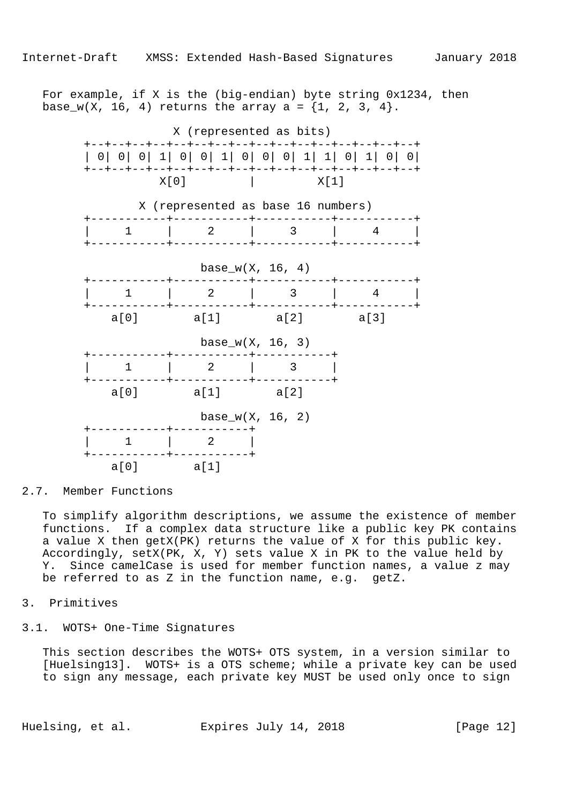For example, if X is the (big-endian) byte string 0x1234, then base\_w(X, 16, 4) returns the array a =  $\{1, 2, 3, 4\}$ .



2.7. Member Functions

 To simplify algorithm descriptions, we assume the existence of member functions. If a complex data structure like a public key PK contains a value X then getX(PK) returns the value of X for this public key. Accordingly, setX(PK, X, Y) sets value X in PK to the value held by Y. Since camelCase is used for member function names, a value z may be referred to as Z in the function name, e.g. getZ.

# 3. Primitives

#### 3.1. WOTS+ One-Time Signatures

 This section describes the WOTS+ OTS system, in a version similar to [Huelsing13]. WOTS+ is a OTS scheme; while a private key can be used to sign any message, each private key MUST be used only once to sign

Huelsing, et al. Expires July 14, 2018 [Page 12]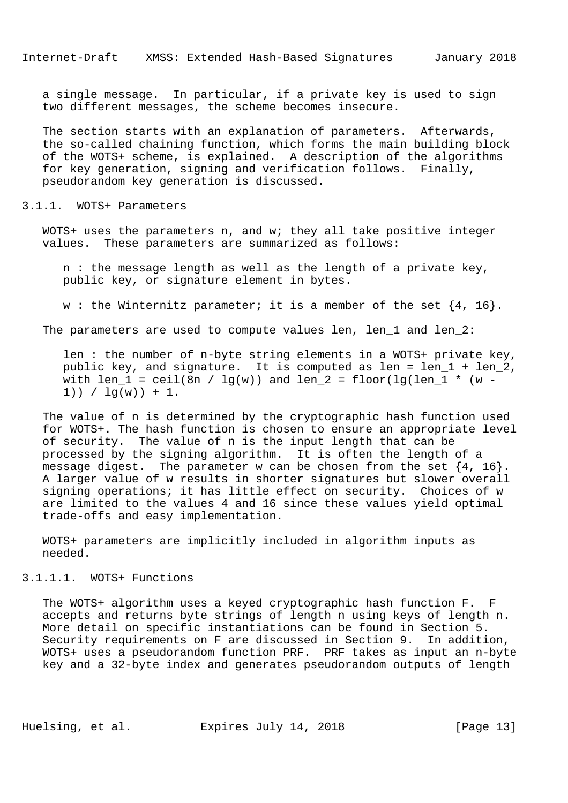a single message. In particular, if a private key is used to sign two different messages, the scheme becomes insecure.

 The section starts with an explanation of parameters. Afterwards, the so-called chaining function, which forms the main building block of the WOTS+ scheme, is explained. A description of the algorithms for key generation, signing and verification follows. Finally, pseudorandom key generation is discussed.

#### 3.1.1. WOTS+ Parameters

 WOTS+ uses the parameters n, and w; they all take positive integer values. These parameters are summarized as follows:

 n : the message length as well as the length of a private key, public key, or signature element in bytes.

w : the Winternitz parameter; it is a member of the set  $\{4, 16\}$ .

The parameters are used to compute values len, len\_1 and len\_2:

 len : the number of n-byte string elements in a WOTS+ private key, public key, and signature. It is computed as len = len\_1 + len\_2, with len\_1 = ceil(8n /  $lg(w)$ ) and len\_2 = floor(lg(len\_1 \* (w - $1)$ ) /  $1q(w)$ ) + 1.

 The value of n is determined by the cryptographic hash function used for WOTS+. The hash function is chosen to ensure an appropriate level of security. The value of n is the input length that can be processed by the signing algorithm. It is often the length of a message digest. The parameter w can be chosen from the set  $\{4, 16\}$ . A larger value of w results in shorter signatures but slower overall signing operations; it has little effect on security. Choices of w are limited to the values 4 and 16 since these values yield optimal trade-offs and easy implementation.

 WOTS+ parameters are implicitly included in algorithm inputs as needed.

# 3.1.1.1. WOTS+ Functions

 The WOTS+ algorithm uses a keyed cryptographic hash function F. F accepts and returns byte strings of length n using keys of length n. More detail on specific instantiations can be found in Section 5. Security requirements on F are discussed in Section 9. In addition, WOTS+ uses a pseudorandom function PRF. PRF takes as input an n-byte key and a 32-byte index and generates pseudorandom outputs of length

Huelsing, et al. Expires July 14, 2018 [Page 13]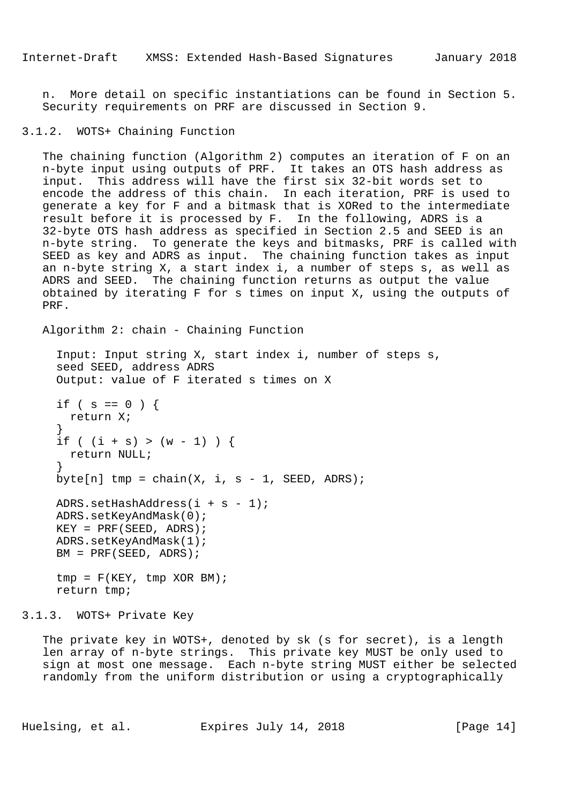n. More detail on specific instantiations can be found in Section 5. Security requirements on PRF are discussed in Section 9.

# 3.1.2. WOTS+ Chaining Function

 The chaining function (Algorithm 2) computes an iteration of F on an n-byte input using outputs of PRF. It takes an OTS hash address as input. This address will have the first six 32-bit words set to encode the address of this chain. In each iteration, PRF is used to generate a key for F and a bitmask that is XORed to the intermediate result before it is processed by F. In the following, ADRS is a 32-byte OTS hash address as specified in Section 2.5 and SEED is an n-byte string. To generate the keys and bitmasks, PRF is called with SEED as key and ADRS as input. The chaining function takes as input an n-byte string X, a start index i, a number of steps s, as well as ADRS and SEED. The chaining function returns as output the value obtained by iterating F for s times on input X, using the outputs of PRF.

Algorithm 2: chain - Chaining Function

```
 Input: Input string X, start index i, number of steps s,
     seed SEED, address ADRS
     Output: value of F iterated s times on X
    if ( s == 0 ) {
       return X;
 }
    if ( (i + s) > (w - 1) ) {
      return NULL;
 }
    byte[n] tmp = chain(X, i, s - 1, SEED, ADRS);
    ADRS.setHashAddress(i + s - 1);
     ADRS.setKeyAndMask(0);
    KEY = PRF(SEED, ADRS); ADRS.setKeyAndMask(1);
    BM = PRF(SEED, ADRS);tmp = F(KEY, tmp XOR BM); return tmp;
```
3.1.3. WOTS+ Private Key

 The private key in WOTS+, denoted by sk (s for secret), is a length len array of n-byte strings. This private key MUST be only used to sign at most one message. Each n-byte string MUST either be selected randomly from the uniform distribution or using a cryptographically

Huelsing, et al. Expires July 14, 2018 [Page 14]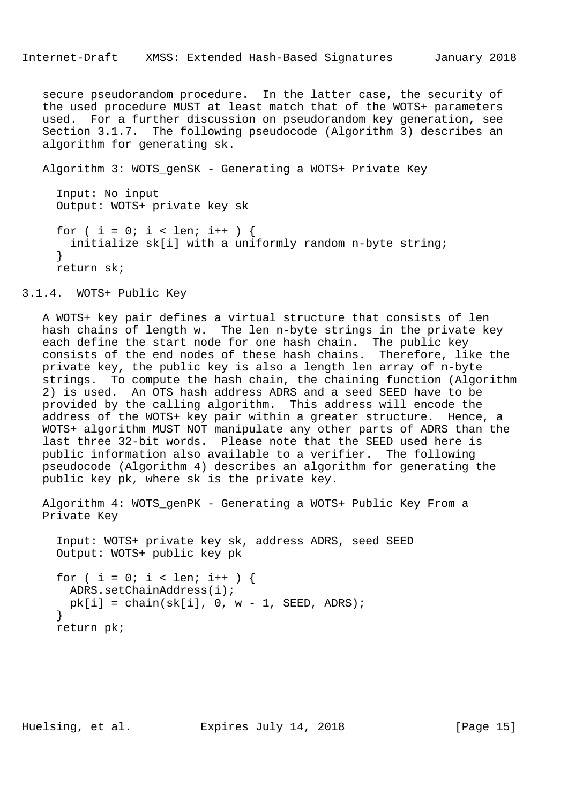secure pseudorandom procedure. In the latter case, the security of the used procedure MUST at least match that of the WOTS+ parameters used. For a further discussion on pseudorandom key generation, see Section 3.1.7. The following pseudocode (Algorithm 3) describes an algorithm for generating sk.

Algorithm 3: WOTS\_genSK - Generating a WOTS+ Private Key

 Input: No input Output: WOTS+ private key sk for ( i = 0; i < len; i++ ) { initialize sk[i] with a uniformly random n-byte string; } return sk;

3.1.4. WOTS+ Public Key

 A WOTS+ key pair defines a virtual structure that consists of len hash chains of length w. The len n-byte strings in the private key each define the start node for one hash chain. The public key consists of the end nodes of these hash chains. Therefore, like the private key, the public key is also a length len array of n-byte strings. To compute the hash chain, the chaining function (Algorithm 2) is used. An OTS hash address ADRS and a seed SEED have to be provided by the calling algorithm. This address will encode the address of the WOTS+ key pair within a greater structure. Hence, a WOTS+ algorithm MUST NOT manipulate any other parts of ADRS than the last three 32-bit words. Please note that the SEED used here is public information also available to a verifier. The following pseudocode (Algorithm 4) describes an algorithm for generating the public key pk, where sk is the private key.

 Algorithm 4: WOTS\_genPK - Generating a WOTS+ Public Key From a Private Key

 Input: WOTS+ private key sk, address ADRS, seed SEED Output: WOTS+ public key pk

```
for ( i = 0; i < len; i++ ) {
  ADRS.setChainAddress(i);
 pk[i] = chain(sk[i], 0, w - 1, SEED, ADRS); }
 return pk;
```
Huelsing, et al. Expires July 14, 2018 [Page 15]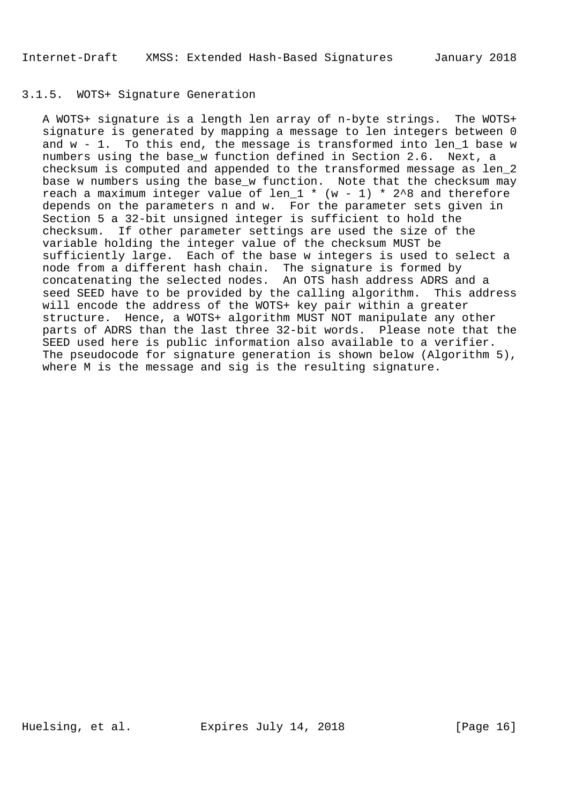# 3.1.5. WOTS+ Signature Generation

 A WOTS+ signature is a length len array of n-byte strings. The WOTS+ signature is generated by mapping a message to len integers between 0 and w - 1. To this end, the message is transformed into len\_1 base w numbers using the base\_w function defined in Section 2.6. Next, a checksum is computed and appended to the transformed message as len\_2 base w numbers using the base\_w function. Note that the checksum may reach a maximum integer value of len\_1  $*$  (w - 1)  $*$  2^8 and therefore depends on the parameters n and w. For the parameter sets given in Section 5 a 32-bit unsigned integer is sufficient to hold the checksum. If other parameter settings are used the size of the variable holding the integer value of the checksum MUST be sufficiently large. Each of the base w integers is used to select a node from a different hash chain. The signature is formed by concatenating the selected nodes. An OTS hash address ADRS and a seed SEED have to be provided by the calling algorithm. This address will encode the address of the WOTS+ key pair within a greater structure. Hence, a WOTS+ algorithm MUST NOT manipulate any other parts of ADRS than the last three 32-bit words. Please note that the SEED used here is public information also available to a verifier. The pseudocode for signature generation is shown below (Algorithm 5), where M is the message and sig is the resulting signature.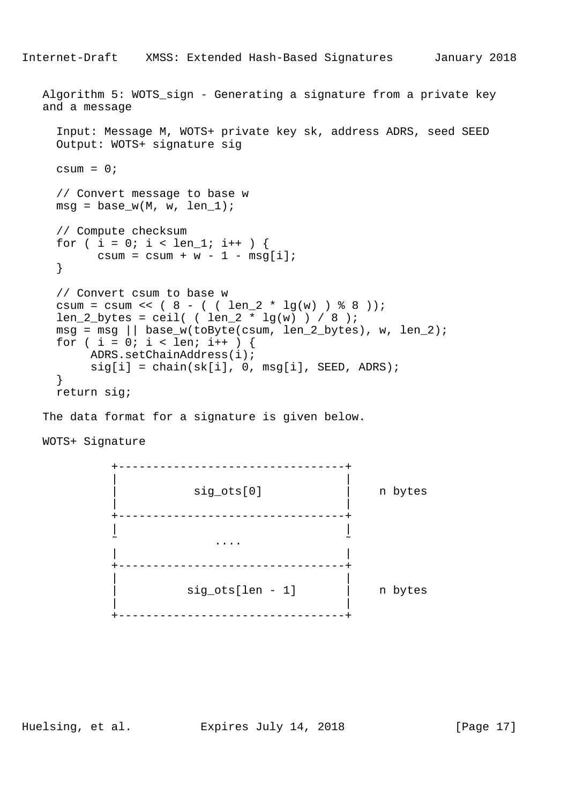```
Internet-Draft XMSS: Extended Hash-Based Signatures January 2018
  Algorithm 5: WOTS sign - Generating a signature from a private key
   and a message
     Input: Message M, WOTS+ private key sk, address ADRS, seed SEED
     Output: WOTS+ signature sig
    csum = 0; // Convert message to base w
    msg = base w(M, w, len1); // Compute checksum
     for ( i = 0; i < len_1; i++ ) {
          csum = csum + w - 1 - msg[i];
      }
     // Convert csum to base w
     csum = csum << ( 8 - ( ( len_2 * lg(w) ) * 8 ) );
    len 2 bytes = ceil( ( len 2 * \lg(w) ) / 8 );
    msg = msg || base_w(toByte(csum, len_2_bytes), w, len_2);for ( i = 0; i < 1en; i++ ) {
          ADRS.setChainAddress(i);
         sig[i] = chain(sk[i], 0, msg[i], SEED, ADRS); }
```
return sig;

The data format for a signature is given below.

WOTS+ Signature



Huelsing, et al. Expires July 14, 2018 [Page 17]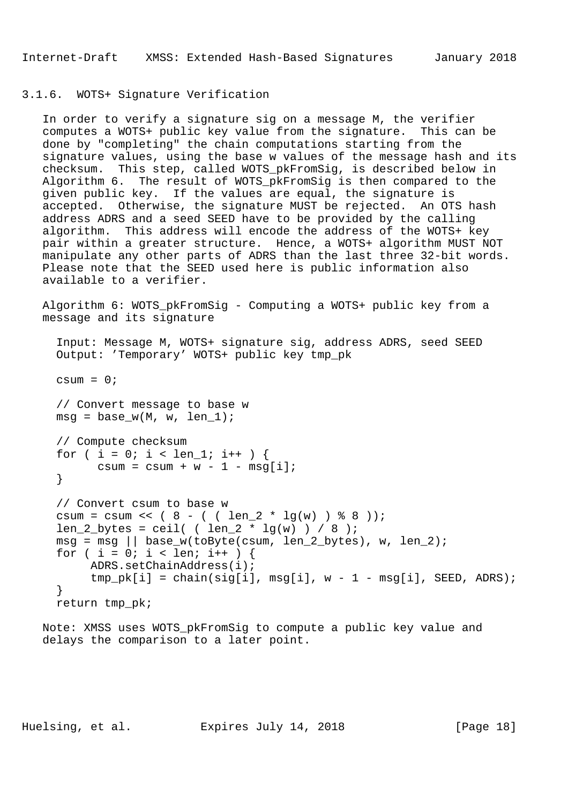# 3.1.6. WOTS+ Signature Verification

 In order to verify a signature sig on a message M, the verifier computes a WOTS+ public key value from the signature. This can be done by "completing" the chain computations starting from the signature values, using the base w values of the message hash and its checksum. This step, called WOTS\_pkFromSig, is described below in Algorithm 6. The result of WOTS\_pkFromSig is then compared to the given public key. If the values are equal, the signature is accepted. Otherwise, the signature MUST be rejected. An OTS hash address ADRS and a seed SEED have to be provided by the calling algorithm. This address will encode the address of the WOTS+ key pair within a greater structure. Hence, a WOTS+ algorithm MUST NOT manipulate any other parts of ADRS than the last three 32-bit words. Please note that the SEED used here is public information also available to a verifier.

 Algorithm 6: WOTS\_pkFromSig - Computing a WOTS+ public key from a message and its signature

```
 Input: Message M, WOTS+ signature sig, address ADRS, seed SEED
 Output: 'Temporary' WOTS+ public key tmp_pk
```

```
 // Convert message to base w
msg = base_w(M, w, len_1);
```
csum =  $0;$ 

```
 // Compute checksum
for ( i = 0; i < len 1; i++ ) {
      csum = csum + w - 1 - msg[i];
 }
```

```
 // Convert csum to base w
csum = csum << ( 8 - ( \ ( len_2 * lg(w) ) 8 8 ) );
len_2_bytes = ceil( \left( len_2 * lg(w) \right) / 8 );
msg = msg || base_w(toByte(csum, len_2_bytes), w, len_2);for ( i = 0; i < len; i++ ) {
      ADRS.setChainAddress(i);
     tmp\_pk[i] = chain(sig[i], msg[i], w - 1 - msg[i], SEED, ADRS); }
 return tmp_pk;
```
 Note: XMSS uses WOTS\_pkFromSig to compute a public key value and delays the comparison to a later point.

Huelsing, et al. Expires July 14, 2018 [Page 18]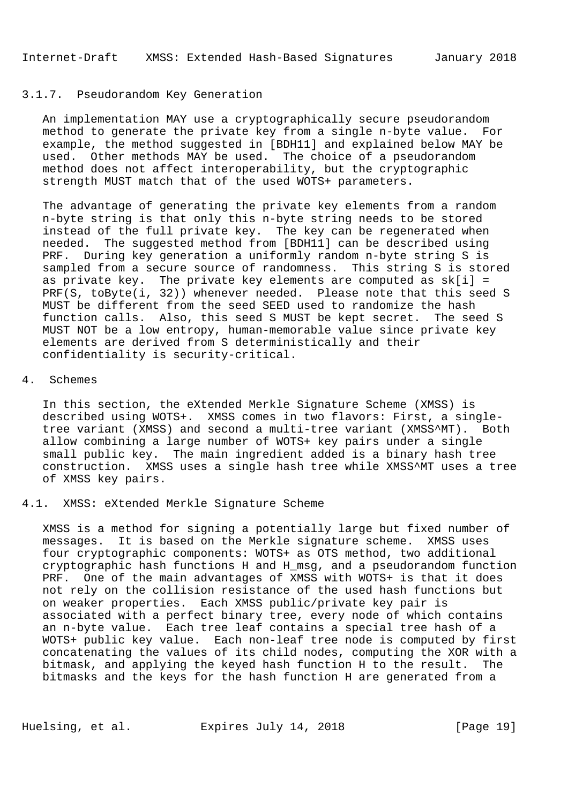#### 3.1.7. Pseudorandom Key Generation

 An implementation MAY use a cryptographically secure pseudorandom method to generate the private key from a single n-byte value. For example, the method suggested in [BDH11] and explained below MAY be used. Other methods MAY be used. The choice of a pseudorandom method does not affect interoperability, but the cryptographic strength MUST match that of the used WOTS+ parameters.

 The advantage of generating the private key elements from a random n-byte string is that only this n-byte string needs to be stored instead of the full private key. The key can be regenerated when needed. The suggested method from [BDH11] can be described using PRF. During key generation a uniformly random n-byte string S is sampled from a secure source of randomness. This string S is stored as private key. The private key elements are computed as  $sk[i] =$ PRF(S, toByte(i, 32)) whenever needed. Please note that this seed S MUST be different from the seed SEED used to randomize the hash function calls. Also, this seed S MUST be kept secret. The seed S MUST NOT be a low entropy, human-memorable value since private key elements are derived from S deterministically and their confidentiality is security-critical.

#### 4. Schemes

 In this section, the eXtended Merkle Signature Scheme (XMSS) is described using WOTS+. XMSS comes in two flavors: First, a single tree variant (XMSS) and second a multi-tree variant (XMSS^MT). Both allow combining a large number of WOTS+ key pairs under a single small public key. The main ingredient added is a binary hash tree construction. XMSS uses a single hash tree while XMSS^MT uses a tree of XMSS key pairs.

#### 4.1. XMSS: eXtended Merkle Signature Scheme

 XMSS is a method for signing a potentially large but fixed number of messages. It is based on the Merkle signature scheme. XMSS uses four cryptographic components: WOTS+ as OTS method, two additional cryptographic hash functions H and H\_msg, and a pseudorandom function PRF. One of the main advantages of XMSS with WOTS+ is that it does not rely on the collision resistance of the used hash functions but on weaker properties. Each XMSS public/private key pair is associated with a perfect binary tree, every node of which contains an n-byte value. Each tree leaf contains a special tree hash of a WOTS+ public key value. Each non-leaf tree node is computed by first concatenating the values of its child nodes, computing the XOR with a bitmask, and applying the keyed hash function H to the result. The bitmasks and the keys for the hash function H are generated from a

Huelsing, et al. Expires July 14, 2018 [Page 19]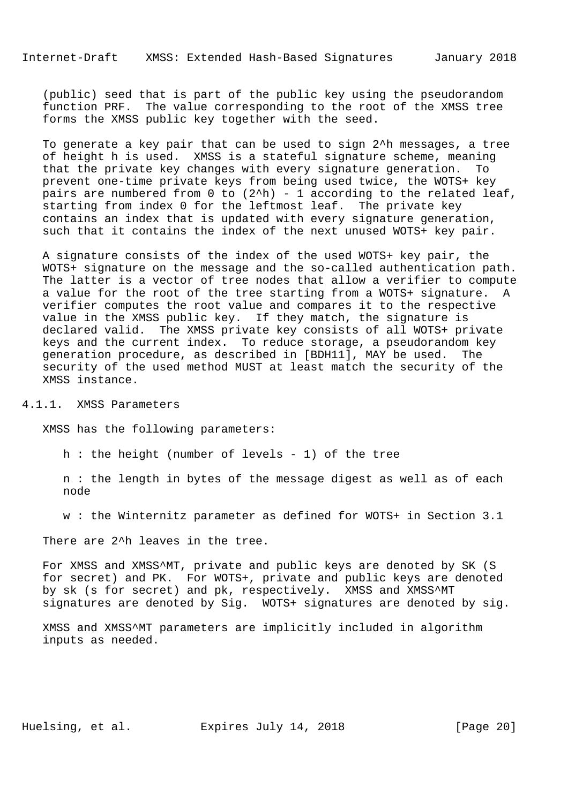(public) seed that is part of the public key using the pseudorandom function PRF. The value corresponding to the root of the XMSS tree forms the XMSS public key together with the seed.

 To generate a key pair that can be used to sign 2^h messages, a tree of height h is used. XMSS is a stateful signature scheme, meaning that the private key changes with every signature generation. To prevent one-time private keys from being used twice, the WOTS+ key pairs are numbered from  $0$  to  $(2^h)$  - 1 according to the related leaf, starting from index 0 for the leftmost leaf. The private key contains an index that is updated with every signature generation, such that it contains the index of the next unused WOTS+ key pair.

 A signature consists of the index of the used WOTS+ key pair, the WOTS+ signature on the message and the so-called authentication path. The latter is a vector of tree nodes that allow a verifier to compute a value for the root of the tree starting from a WOTS+ signature. A verifier computes the root value and compares it to the respective value in the XMSS public key. If they match, the signature is declared valid. The XMSS private key consists of all WOTS+ private keys and the current index. To reduce storage, a pseudorandom key generation procedure, as described in [BDH11], MAY be used. The security of the used method MUST at least match the security of the XMSS instance.

# 4.1.1. XMSS Parameters

XMSS has the following parameters:

h : the height (number of levels - 1) of the tree

 n : the length in bytes of the message digest as well as of each node

w : the Winternitz parameter as defined for WOTS+ in Section 3.1

There are 2<sup>^h</sup> leaves in the tree.

 For XMSS and XMSS^MT, private and public keys are denoted by SK (S for secret) and PK. For WOTS+, private and public keys are denoted by sk (s for secret) and pk, respectively. XMSS and XMSS^MT signatures are denoted by Sig. WOTS+ signatures are denoted by sig.

 XMSS and XMSS^MT parameters are implicitly included in algorithm inputs as needed.

Huelsing, et al. Expires July 14, 2018 [Page 20]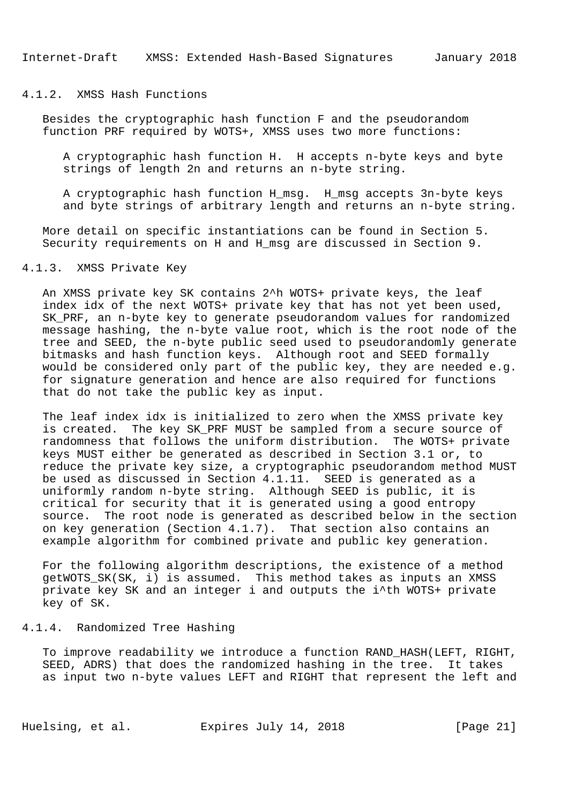# 4.1.2. XMSS Hash Functions

 Besides the cryptographic hash function F and the pseudorandom function PRF required by WOTS+, XMSS uses two more functions:

 A cryptographic hash function H. H accepts n-byte keys and byte strings of length 2n and returns an n-byte string.

 A cryptographic hash function H\_msg. H\_msg accepts 3n-byte keys and byte strings of arbitrary length and returns an n-byte string.

 More detail on specific instantiations can be found in Section 5. Security requirements on H and H\_msg are discussed in Section 9.

# 4.1.3. XMSS Private Key

 An XMSS private key SK contains 2^h WOTS+ private keys, the leaf index idx of the next WOTS+ private key that has not yet been used, SK PRF, an n-byte key to generate pseudorandom values for randomized message hashing, the n-byte value root, which is the root node of the tree and SEED, the n-byte public seed used to pseudorandomly generate bitmasks and hash function keys. Although root and SEED formally would be considered only part of the public key, they are needed e.g. for signature generation and hence are also required for functions that do not take the public key as input.

 The leaf index idx is initialized to zero when the XMSS private key is created. The key SK\_PRF MUST be sampled from a secure source of randomness that follows the uniform distribution. The WOTS+ private keys MUST either be generated as described in Section 3.1 or, to reduce the private key size, a cryptographic pseudorandom method MUST be used as discussed in Section 4.1.11. SEED is generated as a uniformly random n-byte string. Although SEED is public, it is critical for security that it is generated using a good entropy source. The root node is generated as described below in the section on key generation (Section 4.1.7). That section also contains an example algorithm for combined private and public key generation.

 For the following algorithm descriptions, the existence of a method getWOTS\_SK(SK, i) is assumed. This method takes as inputs an XMSS private key SK and an integer i and outputs the i^th WOTS+ private key of SK.

#### 4.1.4. Randomized Tree Hashing

 To improve readability we introduce a function RAND\_HASH(LEFT, RIGHT, SEED, ADRS) that does the randomized hashing in the tree. It takes as input two n-byte values LEFT and RIGHT that represent the left and

Huelsing, et al. Expires July 14, 2018 [Page 21]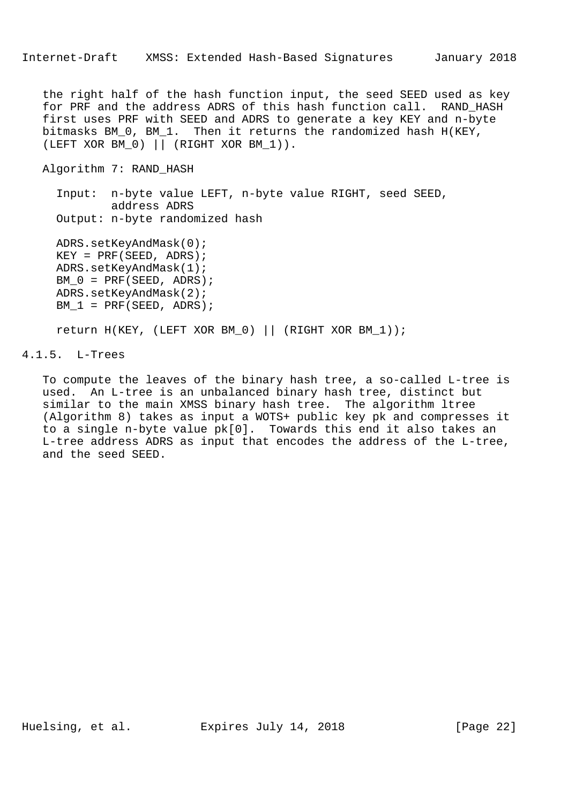the right half of the hash function input, the seed SEED used as key for PRF and the address ADRS of this hash function call. RAND\_HASH first uses PRF with SEED and ADRS to generate a key KEY and n-byte bitmasks BM\_0, BM\_1. Then it returns the randomized hash H(KEY, (LEFT XOR BM\_0) || (RIGHT XOR BM\_1)).

Algorithm 7: RAND\_HASH

 Input: n-byte value LEFT, n-byte value RIGHT, seed SEED, address ADRS Output: n-byte randomized hash

 ADRS.setKeyAndMask(0);  $KEY = PRF(SEED, ADRS);$  ADRS.setKeyAndMask(1); BM  $0 = PRF(SEED, ADRS)$ ; ADRS.setKeyAndMask(2);  $BM_1 = PRF(SEED, ADRS);$ 

return H(KEY, (LEFT XOR BM\_0) || (RIGHT XOR BM\_1));

4.1.5. L-Trees

 To compute the leaves of the binary hash tree, a so-called L-tree is used. An L-tree is an unbalanced binary hash tree, distinct but similar to the main XMSS binary hash tree. The algorithm ltree (Algorithm 8) takes as input a WOTS+ public key pk and compresses it to a single n-byte value pk[0]. Towards this end it also takes an L-tree address ADRS as input that encodes the address of the L-tree, and the seed SEED.

Huelsing, et al. Expires July 14, 2018 [Page 22]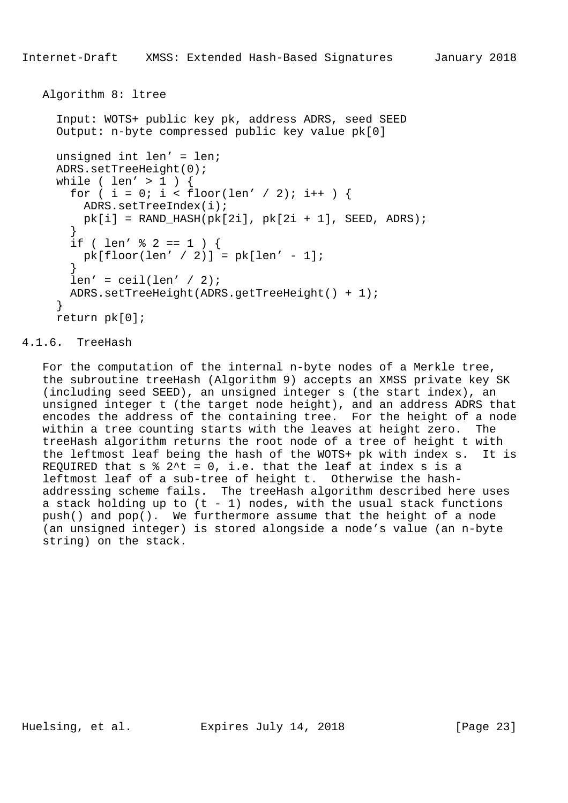```
 Algorithm 8: ltree
```

```
 Input: WOTS+ public key pk, address ADRS, seed SEED
     Output: n-byte compressed public key value pk[0]
     unsigned int len' = len;
     ADRS.setTreeHeight(0);
     while ( len' > 1 ) {
       for ( i = 0; i < floor(len' / 2); i++ ) {
         ADRS.setTreeIndex(i);
        pk[i] = RAND_HASH(pk[2i], pk[2i + 1], SEED, ADRS); }
       if ( len' \frac{1}{2} 2 == 1 ) {
        pk[floor(len' / 2)] = pk[len' - 1]; }
       len' =ceil(len' / 2); ADRS.setTreeHeight(ADRS.getTreeHeight() + 1);
      }
     return pk[0];
```
## 4.1.6. TreeHash

 For the computation of the internal n-byte nodes of a Merkle tree, the subroutine treeHash (Algorithm 9) accepts an XMSS private key SK (including seed SEED), an unsigned integer s (the start index), an unsigned integer t (the target node height), and an address ADRS that encodes the address of the containing tree. For the height of a node within a tree counting starts with the leaves at height zero. The treeHash algorithm returns the root node of a tree of height t with the leftmost leaf being the hash of the WOTS+ pk with index s. It is REQUIRED that  $s \t3'$  = 0, i.e. that the leaf at index s is a leftmost leaf of a sub-tree of height t. Otherwise the hash addressing scheme fails. The treeHash algorithm described here uses a stack holding up to  $(t - 1)$  nodes, with the usual stack functions push() and pop(). We furthermore assume that the height of a node (an unsigned integer) is stored alongside a node's value (an n-byte string) on the stack.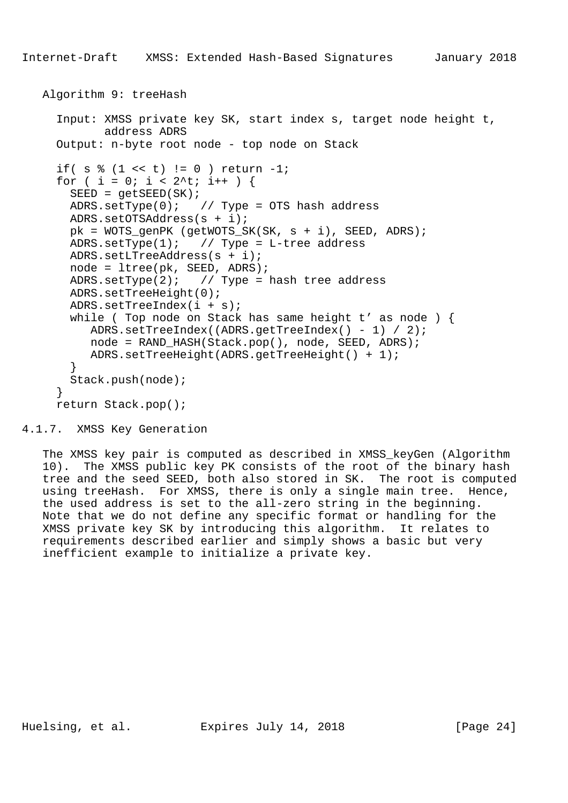```
 Algorithm 9: treeHash
   Input: XMSS private key SK, start index s, target node height t,
          address ADRS
   Output: n-byte root node - top node on Stack
  if( s \; 8 \; (1 \; 4 \; t) != 0 ) return -1;
  for ( i = 0; i < 2^t; i++ ) {
    SEED = qetsEED(SK);ADRS.setType(0); // Type = OTS hash address ADRS.setOTSAddress(s + i);
    pk = WOTS_genPK (getWOTS_SK(SK, s + i), SEED, ADRS);
   ADRS.setType(1); // Type = L-tree address ADRS.setLTreeAddress(s + i);
    node = ltree(pk, SEED, ADRS);
   ADRS.setType(2); // Type = hash tree addressADRS.setTreeHeight(0);
     ADRS.setTreeIndex(i + s);
    while ( Top node on Stack has same height t' as node ) {
        ADRS.setTreeIndex((ADRS.getTreeIndex() - 1) / 2);
        node = RAND_HASH(Stack.pop(), node, SEED, ADRS);
        ADRS.setTreeHeight(ADRS.getTreeHeight() + 1);
     }
     Stack.push(node);
   }
   return Stack.pop();
```

```
4.1.7. XMSS Key Generation
```
 The XMSS key pair is computed as described in XMSS\_keyGen (Algorithm 10). The XMSS public key PK consists of the root of the binary hash tree and the seed SEED, both also stored in SK. The root is computed using treeHash. For XMSS, there is only a single main tree. Hence, the used address is set to the all-zero string in the beginning. Note that we do not define any specific format or handling for the XMSS private key SK by introducing this algorithm. It relates to requirements described earlier and simply shows a basic but very inefficient example to initialize a private key.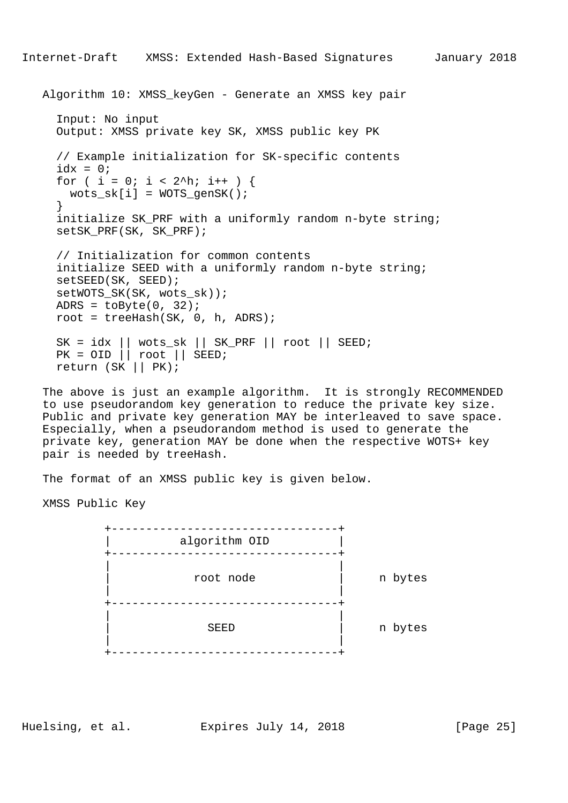```
 Algorithm 10: XMSS_keyGen - Generate an XMSS key pair
   Input: No input
   Output: XMSS private key SK, XMSS public key PK
   // Example initialization for SK-specific contents
  idx = 0;
  for ( i = 0; i < 2^h; i++ ) {
   wots\_sk[i] = WOTS\_qensK();
   }
   initialize SK_PRF with a uniformly random n-byte string;
   setSK_PRF(SK, SK_PRF);
   // Initialization for common contents
   initialize SEED with a uniformly random n-byte string;
   setSEED(SK, SEED);
   setWOTS_SK(SK, wots_sk));
  ADRS = toByte(0, 32);
  root = treeHash(SK, 0, h, ADRS);SK = idx || wots_s k || SK_PRF || root || SEED; PK = OID || root || SEED;
   return (SK || PK);
```
 The above is just an example algorithm. It is strongly RECOMMENDED to use pseudorandom key generation to reduce the private key size. Public and private key generation MAY be interleaved to save space. Especially, when a pseudorandom method is used to generate the private key, generation MAY be done when the respective WOTS+ key pair is needed by treeHash.

The format of an XMSS public key is given below.

XMSS Public Key



Huelsing, et al. Expires July 14, 2018 [Page 25]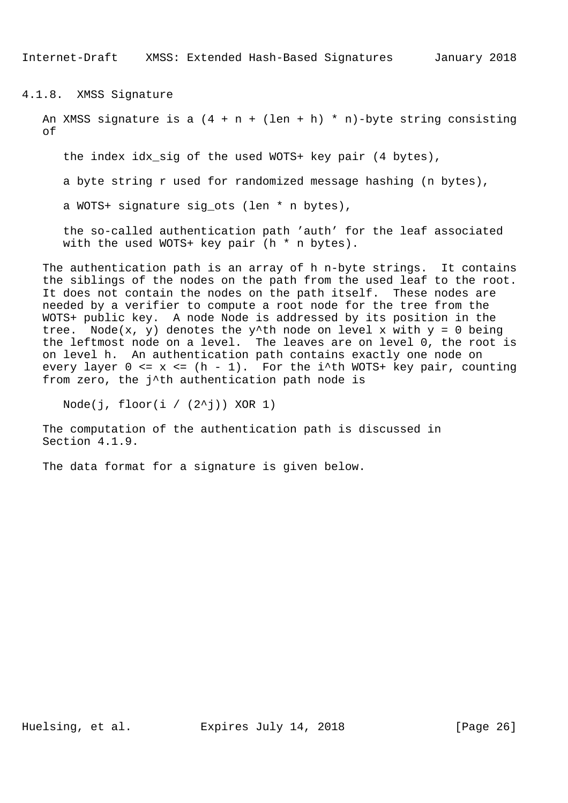Internet-Draft XMSS: Extended Hash-Based Signatures January 2018

4.1.8. XMSS Signature

An XMSS signature is a  $(4 + n + (len + h) * n)$ -byte string consisting of

the index idx\_sig of the used WOTS+ key pair (4 bytes),

a byte string r used for randomized message hashing (n bytes),

a WOTS+ signature sig ots (len \* n bytes),

 the so-called authentication path 'auth' for the leaf associated with the used WOTS+ key pair (h  $*$  n bytes).

 The authentication path is an array of h n-byte strings. It contains the siblings of the nodes on the path from the used leaf to the root. It does not contain the nodes on the path itself. These nodes are needed by a verifier to compute a root node for the tree from the WOTS+ public key. A node Node is addressed by its position in the tree. Node(x, y) denotes the y^th node on level x with  $y = 0$  being the leftmost node on a level. The leaves are on level 0, the root is on level h. An authentication path contains exactly one node on every layer  $0 \le x \le (h - 1)$ . For the i<sup> $t$ </sup>th WOTS+ key pair, counting from zero, the j^th authentication path node is

Node(j, floor(i /  $(2^{\wedge}j)$ ) XOR 1)

 The computation of the authentication path is discussed in Section 4.1.9.

The data format for a signature is given below.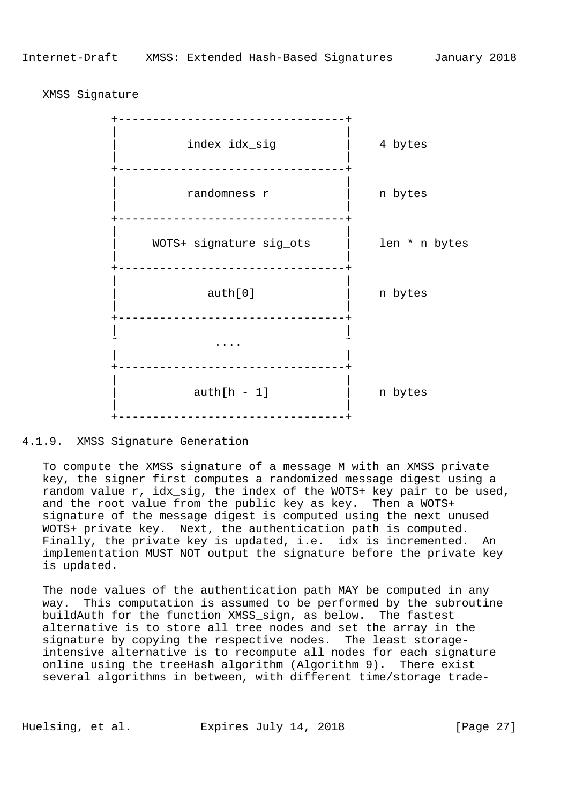XMSS Signature



#### 4.1.9. XMSS Signature Generation

 To compute the XMSS signature of a message M with an XMSS private key, the signer first computes a randomized message digest using a random value r, idx\_sig, the index of the WOTS+ key pair to be used, and the root value from the public key as key. Then a WOTS+ signature of the message digest is computed using the next unused WOTS+ private key. Next, the authentication path is computed. Finally, the private key is updated, i.e. idx is incremented. An implementation MUST NOT output the signature before the private key is updated.

 The node values of the authentication path MAY be computed in any way. This computation is assumed to be performed by the subroutine buildAuth for the function XMSS\_sign, as below. The fastest alternative is to store all tree nodes and set the array in the signature by copying the respective nodes. The least storage intensive alternative is to recompute all nodes for each signature online using the treeHash algorithm (Algorithm 9). There exist several algorithms in between, with different time/storage trade-

Huelsing, et al. Expires July 14, 2018 [Page 27]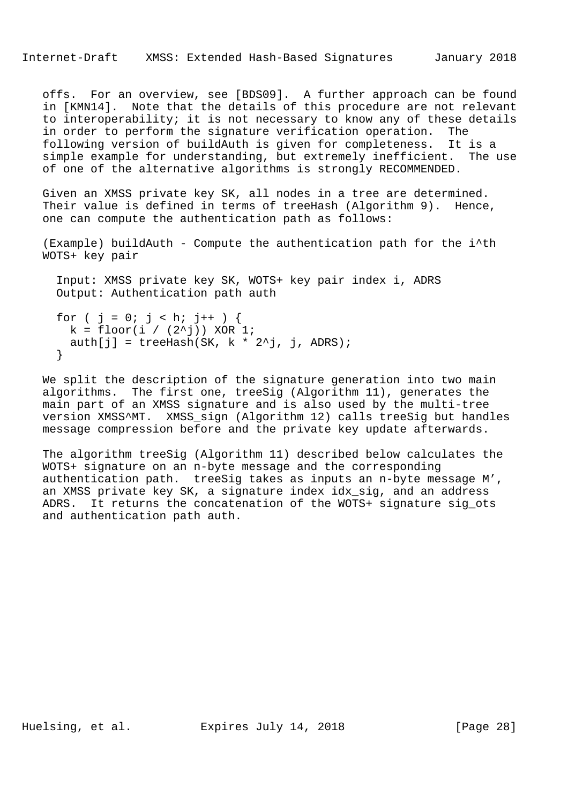offs. For an overview, see [BDS09]. A further approach can be found in [KMN14]. Note that the details of this procedure are not relevant to interoperability; it is not necessary to know any of these details in order to perform the signature verification operation. The following version of buildAuth is given for completeness. It is a simple example for understanding, but extremely inefficient. The use of one of the alternative algorithms is strongly RECOMMENDED.

 Given an XMSS private key SK, all nodes in a tree are determined. Their value is defined in terms of treeHash (Algorithm 9). Hence, one can compute the authentication path as follows:

 (Example) buildAuth - Compute the authentication path for the i^th WOTS+ key pair

 Input: XMSS private key SK, WOTS+ key pair index i, ADRS Output: Authentication path auth

```
for ( j = 0; j < h; j++) {
 k = \text{floor}(i / (2^i)) XOR 1;
 auth[j] = treeHash(SK, k * 2^j, j, ADRS);
 }
```
 We split the description of the signature generation into two main algorithms. The first one, treeSig (Algorithm 11), generates the main part of an XMSS signature and is also used by the multi-tree version XMSS^MT. XMSS\_sign (Algorithm 12) calls treeSig but handles message compression before and the private key update afterwards.

 The algorithm treeSig (Algorithm 11) described below calculates the WOTS+ signature on an n-byte message and the corresponding authentication path. treeSig takes as inputs an n-byte message M', an XMSS private key SK, a signature index idx\_sig, and an address ADRS. It returns the concatenation of the WOTS+ signature sig\_ots and authentication path auth.

Huelsing, et al. Expires July 14, 2018 [Page 28]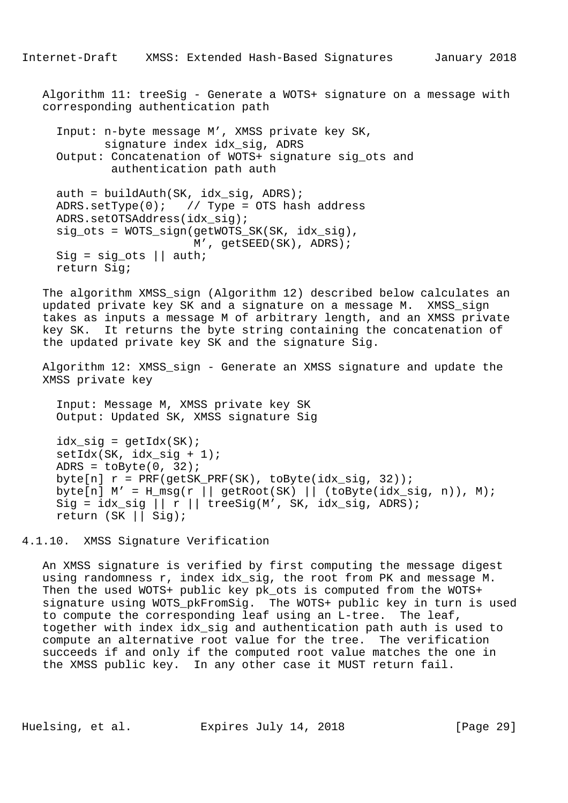Algorithm 11: treeSig - Generate a WOTS+ signature on a message with corresponding authentication path

```
 Input: n-byte message M', XMSS private key SK,
        signature index idx_sig, ADRS
 Output: Concatenation of WOTS+ signature sig_ots and
        authentication path auth
auth = buildAuthor(SK, idx_sig, ADRS);ADRS.setType(0); // Type = OTS hash address ADRS.setOTSAddress(idx_sig);
 sig_ots = WOTS_sign(getWOTS_SK(SK, idx_sig),
                     M', getSEED(SK), ADRS);
Sig = sig ots || auth;
 return Sig;
```
 The algorithm XMSS\_sign (Algorithm 12) described below calculates an updated private key SK and a signature on a message M. XMSS\_sign takes as inputs a message M of arbitrary length, and an XMSS private key SK. It returns the byte string containing the concatenation of the updated private key SK and the signature Sig.

 Algorithm 12: XMSS\_sign - Generate an XMSS signature and update the XMSS private key

 Input: Message M, XMSS private key SK Output: Updated SK, XMSS signature Sig

 $idx\_sig = getIdx(SK);$  $setIdx(SK, idx sig + 1);$ ADRS =  $toByte(0, 32)$ ; byte[n]  $r = PRF(getSK\_PRF(SK))$ , toByte( $idx\_sig$ , 32)); byte[n]  $M' = H_m s g(r || getRoot(SK) || (toByte(idx_sig, n)), M);$ Sig =  $idx\_sig \mid | r \mid |$  treeSig(M', SK,  $idx\_sig$ , ADRS); return (SK || Sig);

4.1.10. XMSS Signature Verification

 An XMSS signature is verified by first computing the message digest using randomness r, index idx\_sig, the root from PK and message M. Then the used WOTS+ public key pk ots is computed from the WOTS+ signature using WOTS pkFromSig. The WOTS+ public key in turn is used to compute the corresponding leaf using an L-tree. The leaf, together with index idx\_sig and authentication path auth is used to compute an alternative root value for the tree. The verification succeeds if and only if the computed root value matches the one in the XMSS public key. In any other case it MUST return fail.

Huelsing, et al. Expires July 14, 2018 [Page 29]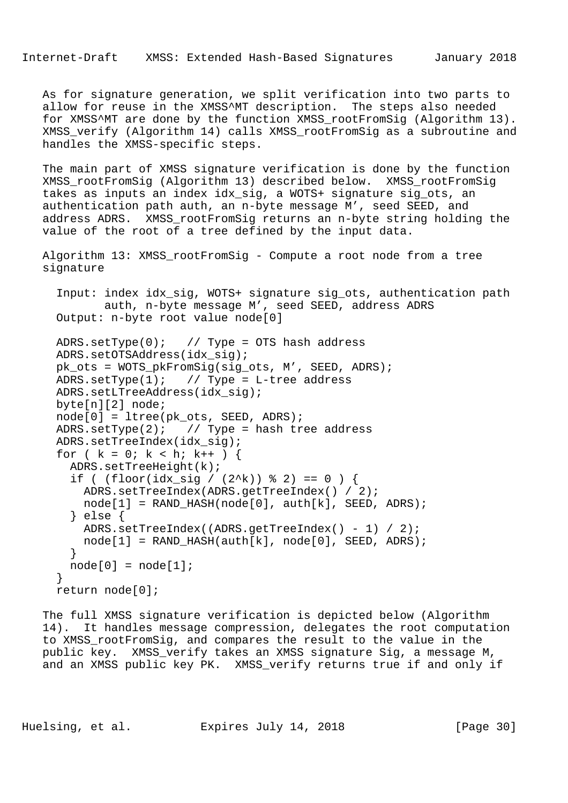Internet-Draft XMSS: Extended Hash-Based Signatures January 2018

 As for signature generation, we split verification into two parts to allow for reuse in the XMSS^MT description. The steps also needed for XMSS^MT are done by the function XMSS\_rootFromSig (Algorithm 13). XMSS\_verify (Algorithm 14) calls XMSS\_rootFromSig as a subroutine and handles the XMSS-specific steps.

 The main part of XMSS signature verification is done by the function XMSS\_rootFromSig (Algorithm 13) described below. XMSS\_rootFromSig takes as inputs an index idx\_sig, a WOTS+ signature sig\_ots, an authentication path auth, an n-byte message M', seed SEED, and address ADRS. XMSS\_rootFromSig returns an n-byte string holding the value of the root of a tree defined by the input data.

 Algorithm 13: XMSS\_rootFromSig - Compute a root node from a tree signature

 Input: index idx\_sig, WOTS+ signature sig\_ots, authentication path auth, n-byte message M', seed SEED, address ADRS Output: n-byte root value node[0]

```
 ADRS.setType(0); // Type = OTS hash address
 ADRS.setOTSAddress(idx_sig);
 pk_ots = WOTS_pkFromSig(sig_ots, M', SEED, ADRS);
ADRS.setType(1); \frac{1}{2} // Type = L-tree address
 ADRS.setLTreeAddress(idx_sig);
 byte[n][2] node;
 node[0] = ltree(pk_ots, SEED, ADRS);
ADRS.setType(2); // Type = hash tree address
 ADRS.setTreeIndex(idx_sig);
for ( k = 0; k < h; k++ ) {
 ADRS.setTreeHeight(k);
  if ( (floor_idx_isig / (2^k)) % 2) == 0 ) {
     ADRS.setTreeIndex(ADRS.getTreeIndex() / 2);
   node[1] = RAND_HASH(node[0], author[k], SEED, ADRS); } else {
     ADRS.setTreeIndex((ADRS.getTreeIndex() - 1) / 2);
    node[1] = RAND_HASH(auth[k], node[0], SEED, ADRS); }
 node[0] = node[1]; }
 return node[0];
```
 The full XMSS signature verification is depicted below (Algorithm 14). It handles message compression, delegates the root computation to XMSS\_rootFromSig, and compares the result to the value in the public key. XMSS\_verify takes an XMSS signature Sig, a message M, and an XMSS public key PK. XMSS\_verify returns true if and only if

Huelsing, et al. Expires July 14, 2018 [Page 30]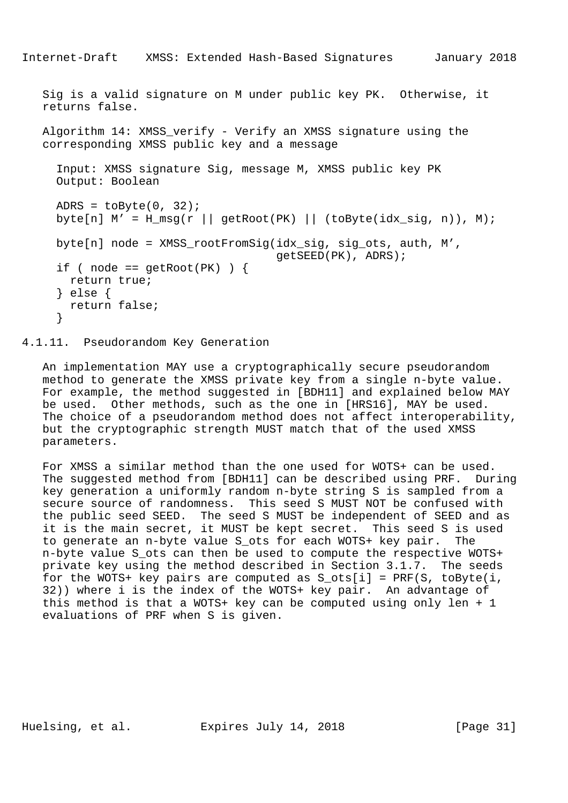```
Internet-Draft XMSS: Extended Hash-Based Signatures January 2018
   Sig is a valid signature on M under public key PK. Otherwise, it
   returns false.
  Algorithm 14: XMSS verify - Verify an XMSS signature using the
   corresponding XMSS public key and a message
      Input: XMSS signature Sig, message M, XMSS public key PK
     Output: Boolean
    ADRS = toByte(0, 32);byte[n] M' = H_m s g(r || getRoot(PK) || (toByte(idx_sig, n)), M);byte[n] node = XMSS rootFromSig(idx sig, sig ots, auth, M',
                                      getSEED(PK), ADRS);
    if ( node == qetRoot(PK) ) {
       return true;
      } else {
      return false;
      }
```
# 4.1.11. Pseudorandom Key Generation

 An implementation MAY use a cryptographically secure pseudorandom method to generate the XMSS private key from a single n-byte value. For example, the method suggested in [BDH11] and explained below MAY be used. Other methods, such as the one in [HRS16], MAY be used. The choice of a pseudorandom method does not affect interoperability, but the cryptographic strength MUST match that of the used XMSS parameters.

 For XMSS a similar method than the one used for WOTS+ can be used. The suggested method from [BDH11] can be described using PRF. During key generation a uniformly random n-byte string S is sampled from a secure source of randomness. This seed S MUST NOT be confused with the public seed SEED. The seed S MUST be independent of SEED and as it is the main secret, it MUST be kept secret. This seed S is used to generate an n-byte value S\_ots for each WOTS+ key pair. The n-byte value S\_ots can then be used to compute the respective WOTS+ private key using the method described in Section 3.1.7. The seeds for the WOTS+ key pairs are computed as  $S_{\text{obs}}[i] = PRF(S, toByte(i,$  32)) where i is the index of the WOTS+ key pair. An advantage of this method is that a WOTS+ key can be computed using only len + 1 evaluations of PRF when S is given.

Huelsing, et al. Expires July 14, 2018 [Page 31]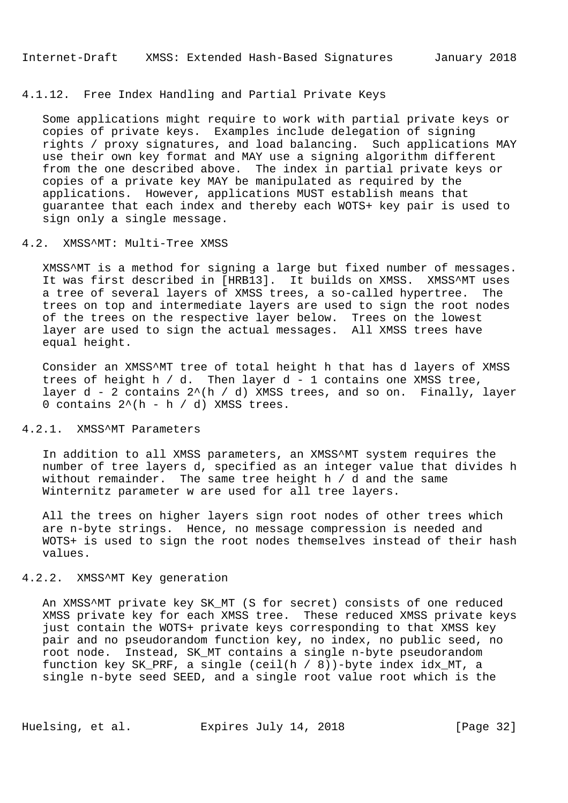# 4.1.12. Free Index Handling and Partial Private Keys

 Some applications might require to work with partial private keys or copies of private keys. Examples include delegation of signing rights / proxy signatures, and load balancing. Such applications MAY use their own key format and MAY use a signing algorithm different from the one described above. The index in partial private keys or copies of a private key MAY be manipulated as required by the applications. However, applications MUST establish means that guarantee that each index and thereby each WOTS+ key pair is used to sign only a single message.

## 4.2. XMSS^MT: Multi-Tree XMSS

 XMSS^MT is a method for signing a large but fixed number of messages. It was first described in [HRB13]. It builds on XMSS. XMSS^MT uses a tree of several layers of XMSS trees, a so-called hypertree. The trees on top and intermediate layers are used to sign the root nodes of the trees on the respective layer below. Trees on the lowest layer are used to sign the actual messages. All XMSS trees have equal height.

 Consider an XMSS^MT tree of total height h that has d layers of XMSS trees of height h  $/$  d. Then layer d - 1 contains one XMSS tree, layer  $d - 2$  contains  $2^{(h)}/d$ ) XMSS trees, and so on. Finally, layer 0 contains  $2^{(h - h / d)}$  XMSS trees.

# 4.2.1. XMSS^MT Parameters

 In addition to all XMSS parameters, an XMSS^MT system requires the number of tree layers d, specified as an integer value that divides h without remainder. The same tree height h / d and the same Winternitz parameter w are used for all tree layers.

 All the trees on higher layers sign root nodes of other trees which are n-byte strings. Hence, no message compression is needed and WOTS+ is used to sign the root nodes themselves instead of their hash values.

## 4.2.2. XMSS^MT Key generation

An XMSS^MT private key SK MT (S for secret) consists of one reduced XMSS private key for each XMSS tree. These reduced XMSS private keys just contain the WOTS+ private keys corresponding to that XMSS key pair and no pseudorandom function key, no index, no public seed, no root node. Instead, SK\_MT contains a single n-byte pseudorandom function key SK\_PRF, a single (ceil(h / 8))-byte index idx\_MT, a single n-byte seed SEED, and a single root value root which is the

Huelsing, et al. Expires July 14, 2018 [Page 32]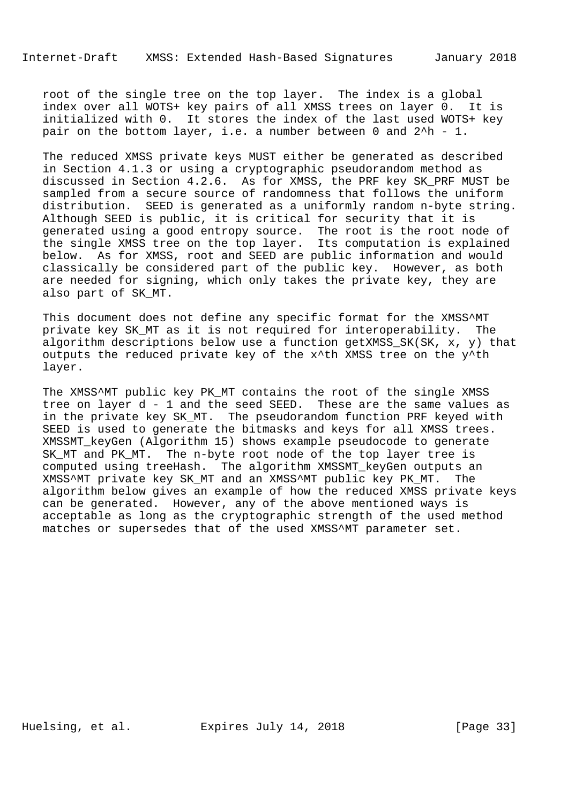root of the single tree on the top layer. The index is a global index over all WOTS+ key pairs of all XMSS trees on layer 0. It is initialized with 0. It stores the index of the last used WOTS+ key pair on the bottom layer, i.e. a number between 0 and 2^h - 1.

 The reduced XMSS private keys MUST either be generated as described in Section 4.1.3 or using a cryptographic pseudorandom method as discussed in Section 4.2.6. As for XMSS, the PRF key SK\_PRF MUST be sampled from a secure source of randomness that follows the uniform distribution. SEED is generated as a uniformly random n-byte string. Although SEED is public, it is critical for security that it is generated using a good entropy source. The root is the root node of the single XMSS tree on the top layer. Its computation is explained below. As for XMSS, root and SEED are public information and would classically be considered part of the public key. However, as both are needed for signing, which only takes the private key, they are also part of SK\_MT.

This document does not define any specific format for the XMSS^MT private key SK\_MT as it is not required for interoperability. The algorithm descriptions below use a function getXMSS\_SK(SK, x, y) that outputs the reduced private key of the x^th XMSS tree on the y^th layer.

The XMSS^MT public key PK\_MT contains the root of the single XMSS tree on layer d - 1 and the seed SEED. These are the same values as in the private key SK\_MT. The pseudorandom function PRF keyed with SEED is used to generate the bitmasks and keys for all XMSS trees. XMSSMT\_keyGen (Algorithm 15) shows example pseudocode to generate SK\_MT and PK\_MT. The n-byte root node of the top layer tree is computed using treeHash. The algorithm XMSSMT\_keyGen outputs an XMSS^MT private key SK\_MT and an XMSS^MT public key PK\_MT. The algorithm below gives an example of how the reduced XMSS private keys can be generated. However, any of the above mentioned ways is acceptable as long as the cryptographic strength of the used method matches or supersedes that of the used XMSS^MT parameter set.

Huelsing, et al. Expires July 14, 2018 [Page 33]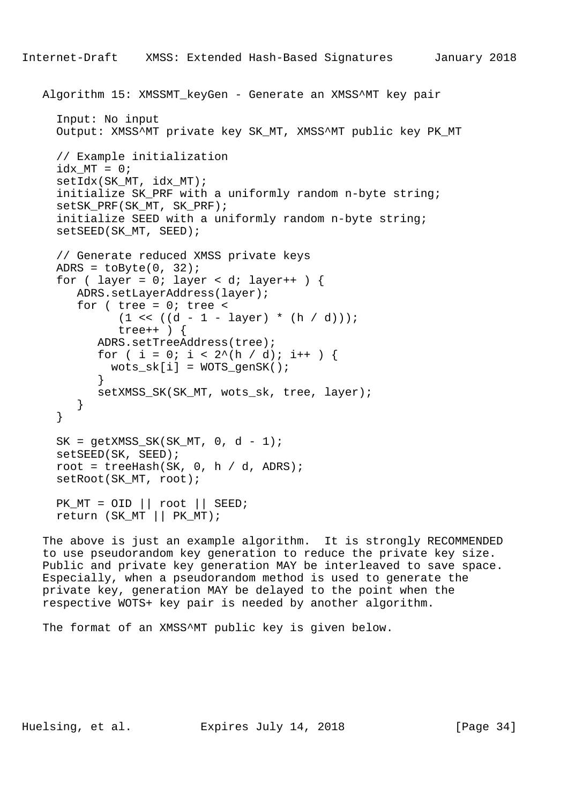```
 Algorithm 15: XMSSMT_keyGen - Generate an XMSS^MT key pair
      Input: No input
      Output: XMSS^MT private key SK_MT, XMSS^MT public key PK_MT
      // Example initialization
     idx_MT = 0; setIdx(SK_MT, idx_MT);
      initialize SK_PRF with a uniformly random n-byte string;
     setSK_PRF(SK_MT, SK_PRF);
      initialize SEED with a uniformly random n-byte string;
      setSEED(SK_MT, SEED);
      // Generate reduced XMSS private keys
     ADRS = \text{toByte}(0, 32);
     for ( layer = 0; layer < di layer ++ ) {
         ADRS.setLayerAddress(layer);
        for ( tree = 0; tree <(1 \leq (d - 1 - layer) * (h / d)));
               tree++ ) {
            ADRS.setTreeAddress(tree);
           for ( i = 0; i < 2^(h / d); i++ ) {
             wots\_sk[i] = WOTS\_genSK();
 }
            setXMSS_SK(SK_MT, wots_sk, tree, layer);
         }
      }
     SK = getXMSS_SKK(SK_MTT, 0, d - 1); setSEED(SK, SEED);
     root = treeHash(SK, 0, h / d, ADRS);
      setRoot(SK_MT, root);
    PK_MT = OID \mid \text{root} \mid \text{SEED}; return (SK_MT || PK_MT);
```
 The above is just an example algorithm. It is strongly RECOMMENDED to use pseudorandom key generation to reduce the private key size. Public and private key generation MAY be interleaved to save space. Especially, when a pseudorandom method is used to generate the private key, generation MAY be delayed to the point when the respective WOTS+ key pair is needed by another algorithm.

The format of an XMSS^MT public key is given below.

Huelsing, et al. Expires July 14, 2018 [Page 34]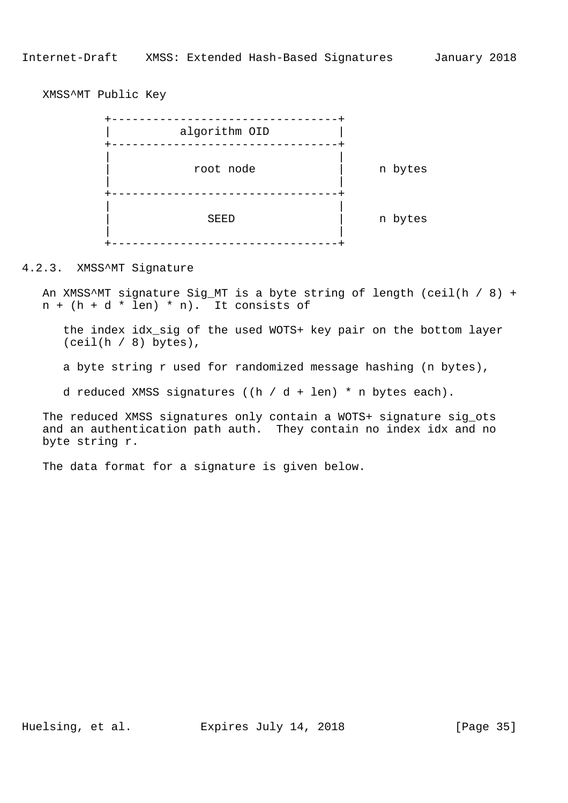XMSS^MT Public Key



#### 4.2.3. XMSS^MT Signature

 An XMSS^MT signature Sig\_MT is a byte string of length (ceil(h / 8) +  $n + (h + d * len) * n$ . It consists of

 the index idx\_sig of the used WOTS+ key pair on the bottom layer  $(ceil(h / 8)$  bytes),

a byte string r used for randomized message hashing (n bytes),

d reduced XMSS signatures ((h / d + len) \* n bytes each).

 The reduced XMSS signatures only contain a WOTS+ signature sig\_ots and an authentication path auth. They contain no index idx and no byte string r.

The data format for a signature is given below.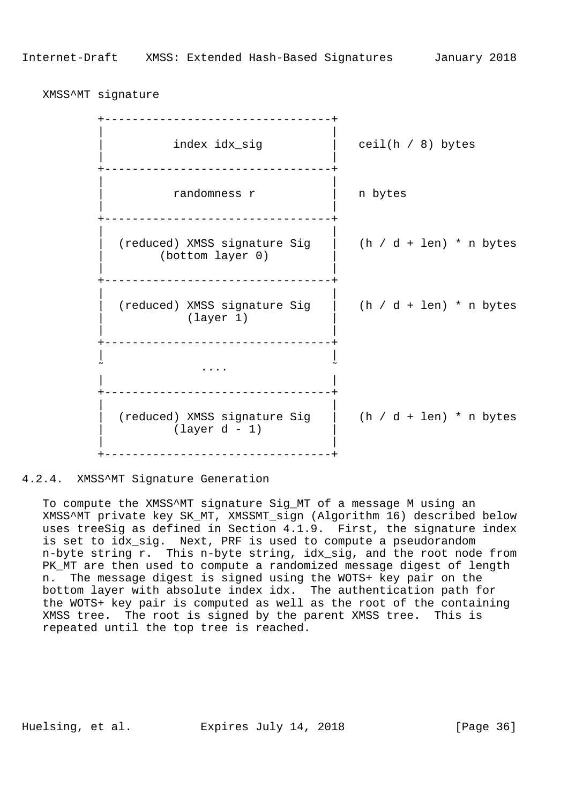XMSS^MT signature

 +---------------------------------+ | | index idx\_sig  $|$  ceil(h / 8) bytes | | +---------------------------------+ | | | randomness r | n bytes | | +---------------------------------+ | | (reduced) XMSS signature Sig  $|$  (h / d + len) \* n bytes (bottom layer 0) | | .<br>+-----------------------------------+ | | | (reduced) XMSS signature Sig | (h / d + len) \* n bytes (layer 1) | | +---------------------------------+ | |  $\sim$  . The contract of the contract of the contract of the contract of the contract of the contract of the contract of the contract of the contract of the contract of the contract of the contract of the contract of the co | | .<br>+--------------------------------- | | | (reduced) XMSS signature Sig | (h / d + len) \* n bytes | (layer d - 1) | | | .<br>+-----------------------------------+

4.2.4. XMSS^MT Signature Generation

 To compute the XMSS^MT signature Sig\_MT of a message M using an XMSS^MT private key SK\_MT, XMSSMT\_sign (Algorithm 16) described below uses treeSig as defined in Section 4.1.9. First, the signature index is set to idx\_sig. Next, PRF is used to compute a pseudorandom n-byte string r. This n-byte string, idx\_sig, and the root node from PK\_MT are then used to compute a randomized message digest of length n. The message digest is signed using the WOTS+ key pair on the bottom layer with absolute index idx. The authentication path for the WOTS+ key pair is computed as well as the root of the containing XMSS tree. The root is signed by the parent XMSS tree. This is repeated until the top tree is reached.

Huelsing, et al. Expires July 14, 2018 [Page 36]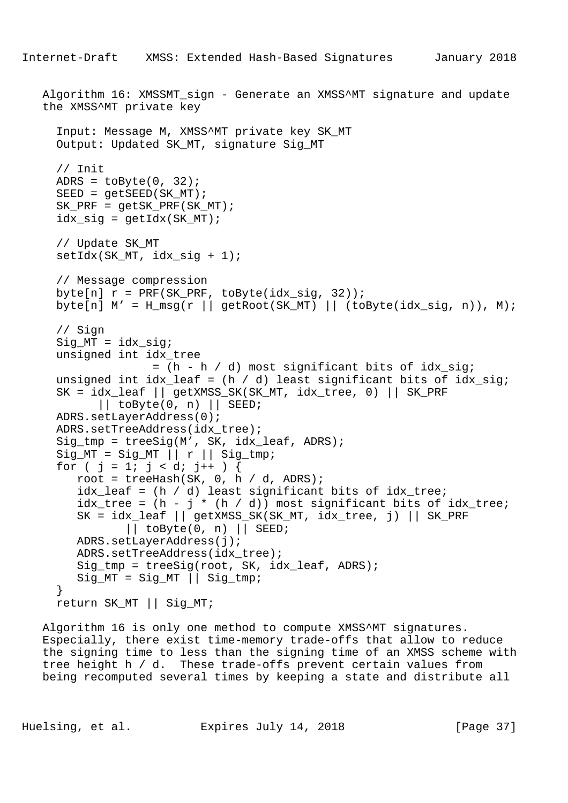```
 Algorithm 16: XMSSMT_sign - Generate an XMSS^MT signature and update
 the XMSS^MT private key
   Input: Message M, XMSS^MT private key SK_MT
   Output: Updated SK_MT, signature Sig_MT
   // Init
  ADRS = \text{toByte}(0, 32);
  SEED = qetsEED(SKMT);SK PRF = qetsK PRF(SK MT);
  idx\_sig = getIdx(SK_MT); // Update SK_MT
  setIdx(SK_MT, idx_sig + 1);
   // Message compression
  byte[n] r = PRF(SK_PRF, toByte(idx_sig, 32));byte[n] M' = H_m s g(r || getRoot(SK_MT) || (toByte(idx_sig, n)), M); // Sign
   Sig_MT = idx_sig;
   unsigned int idx_tree
                 = (h - h / d) most significant bits of idx_sig;
  unsigned int idx\_leaf = (h / d) least significant bits of idx\_sig;
   SK = idx_leaf || getXMSS_SK(SK_MT, idx_tree, 0) || SK_PRF
         || toByte(0, n) || SEED;
   ADRS.setLayerAddress(0);
   ADRS.setTreeAddress(idx_tree);
   Sig_tmp = treeSig(M', SK, idx_leaf, ADRS);
  Sig_MT = Sig_MT || r || Sig_tmp;for ( j = 1; j < di j++) {
     root = treeHash(SK, 0, h / d, ADRS);
      idx_leaf = (h / d) least significant bits of idx_tree;
     idx\_tree = (h - j * (h / d)) most significant bits of idx\_tree;
      SK = idx_leaf || getXMSS_SK(SK_MT, idx_tree, j) || SK_PRF
             || toByte(0, n) || SEED;
      ADRS.setLayerAddress(j);
      ADRS.setTreeAddress(idx_tree);
      Sig_tmp = treeSig(root, SK, idx_leaf, ADRS);
     Sig_MT = Sig_MT || Sig_tmp; }
   return SK_MT || Sig_MT;
```
 Algorithm 16 is only one method to compute XMSS^MT signatures. Especially, there exist time-memory trade-offs that allow to reduce the signing time to less than the signing time of an XMSS scheme with tree height h / d. These trade-offs prevent certain values from being recomputed several times by keeping a state and distribute all

Huelsing, et al. Expires July 14, 2018 [Page 37]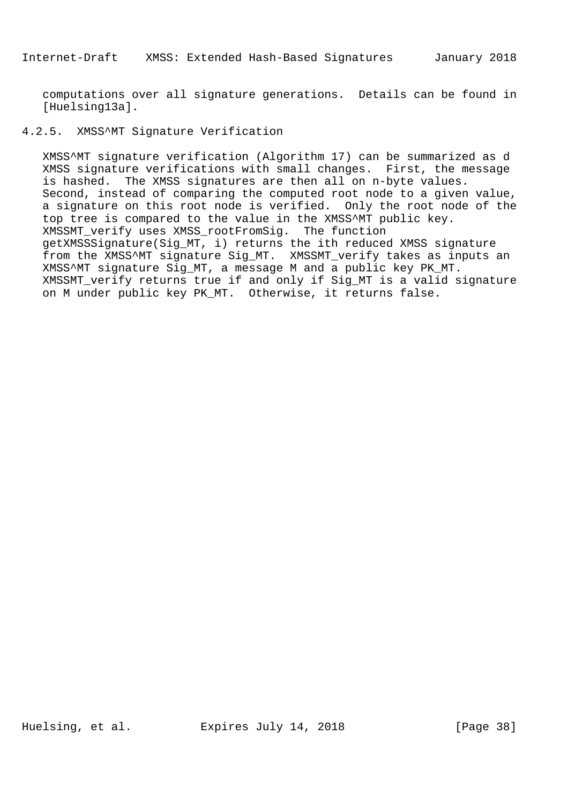computations over all signature generations. Details can be found in [Huelsing13a].

# 4.2.5. XMSS^MT Signature Verification

 XMSS^MT signature verification (Algorithm 17) can be summarized as d XMSS signature verifications with small changes. First, the message is hashed. The XMSS signatures are then all on n-byte values. Second, instead of comparing the computed root node to a given value, a signature on this root node is verified. Only the root node of the top tree is compared to the value in the XMSS^MT public key. XMSSMT\_verify uses XMSS\_rootFromSig. The function getXMSSSignature(Sig\_MT, i) returns the ith reduced XMSS signature from the XMSS^MT signature Sig\_MT. XMSSMT\_verify takes as inputs an XMSS^MT signature Sig\_MT, a message M and a public key PK\_MT. XMSSMT verify returns true if and only if Sig MT is a valid signature on M under public key PK\_MT. Otherwise, it returns false.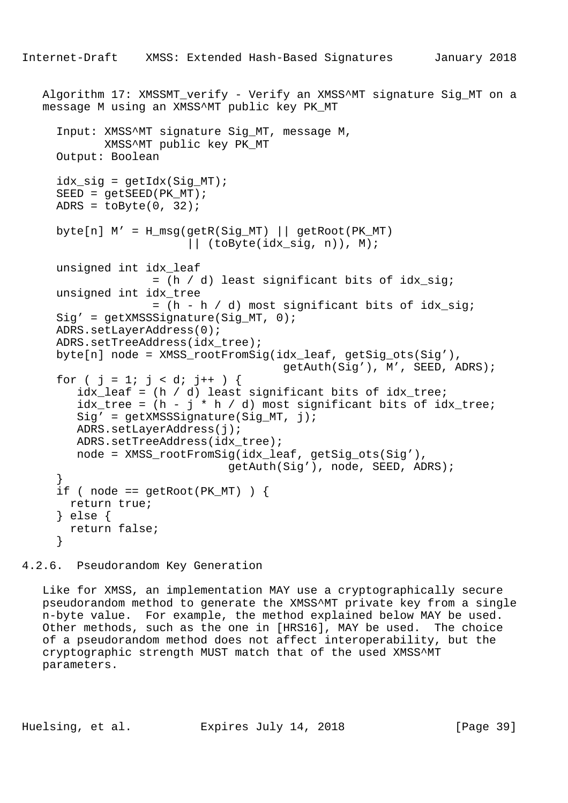```
Algorithm 17: XMSSMT verify - Verify an XMSS^MT signature Sig MT on a
   message M using an XMSS^MT public key PK_MT
      Input: XMSS^MT signature Sig_MT, message M,
             XMSS^MT public key PK_MT
     Output: Boolean
     idx\_sig = getIdx(Sig_MT);SEED = qetsEED(PKMT);ADRS = toByte(0, 32);
    byte[n] M' = H_m s g (get R(Sig_MT) || getRoot(PK_MT) || (toByte(idx_sig, n)), M);
     unsigned int idx_leaf
                   = (h / d) least significant bits of idx sig;
     unsigned int idx_tree
                    = (h - h / d) most significant bits of idx_sig;
    Sig' = getXMSSSignature(Siq MT, 0); ADRS.setLayerAddress(0);
    ADRS.setTreeAddress(idx_tree);
     byte[n] node = XMSS_rootFromSig(idx_leaf, getSig_ots(Sig'),
                                        getAuth(Sig'), M', SEED, ADRS);
     for ( j = 1; j < di + ) {
        idx\_leaf = (h / d) least significant bits of idx\_tree;
        idx\_tree = (h - j * h / d) most significant bits of idx\_tree;
        Sig' = getXMSSSignature(Sig_MT, j); ADRS.setLayerAddress(j);
        ADRS.setTreeAddress(idx_tree);
         node = XMSS_rootFromSig(idx_leaf, getSig_ots(Sig'),
                               getAuth(Sig'), node, SEED, ADRS);
 }
     if ( node == getRoot(PK_MT) ) {
       return true;
      } else {
       return false;
      }
```
4.2.6. Pseudorandom Key Generation

 Like for XMSS, an implementation MAY use a cryptographically secure pseudorandom method to generate the XMSS^MT private key from a single n-byte value. For example, the method explained below MAY be used. Other methods, such as the one in [HRS16], MAY be used. The choice of a pseudorandom method does not affect interoperability, but the cryptographic strength MUST match that of the used XMSS^MT parameters.

Huelsing, et al. Expires July 14, 2018 [Page 39]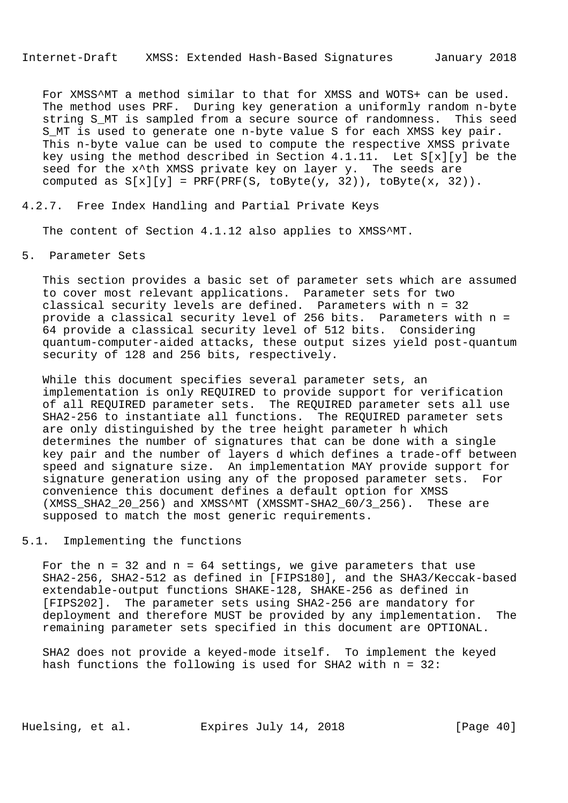For XMSS^MT a method similar to that for XMSS and WOTS+ can be used. The method uses PRF. During key generation a uniformly random n-byte string S\_MT is sampled from a secure source of randomness. This seed S MT is used to generate one n-byte value S for each XMSS key pair. This n-byte value can be used to compute the respective XMSS private key using the method described in Section 4.1.11. Let S[x][y] be the seed for the x<sup>^</sup>th XMSS private key on layer y. The seeds are computed as  $S[x][y] = PRF(PRF(S, toByte(y, 32)), toByte(x, 32)).$ 

### 4.2.7. Free Index Handling and Partial Private Keys

The content of Section 4.1.12 also applies to XMSS^MT.

## 5. Parameter Sets

 This section provides a basic set of parameter sets which are assumed to cover most relevant applications. Parameter sets for two classical security levels are defined. Parameters with n = 32 provide a classical security level of 256 bits. Parameters with n = 64 provide a classical security level of 512 bits. Considering quantum-computer-aided attacks, these output sizes yield post-quantum security of 128 and 256 bits, respectively.

 While this document specifies several parameter sets, an implementation is only REQUIRED to provide support for verification of all REQUIRED parameter sets. The REQUIRED parameter sets all use SHA2-256 to instantiate all functions. The REQUIRED parameter sets are only distinguished by the tree height parameter h which determines the number of signatures that can be done with a single key pair and the number of layers d which defines a trade-off between speed and signature size. An implementation MAY provide support for signature generation using any of the proposed parameter sets. For convenience this document defines a default option for XMSS (XMSS\_SHA2\_20\_256) and XMSS^MT (XMSSMT-SHA2\_60/3\_256). These are supposed to match the most generic requirements.

## 5.1. Implementing the functions

For the  $n = 32$  and  $n = 64$  settings, we give parameters that use SHA2-256, SHA2-512 as defined in [FIPS180], and the SHA3/Keccak-based extendable-output functions SHAKE-128, SHAKE-256 as defined in [FIPS202]. The parameter sets using SHA2-256 are mandatory for deployment and therefore MUST be provided by any implementation. The remaining parameter sets specified in this document are OPTIONAL.

 SHA2 does not provide a keyed-mode itself. To implement the keyed hash functions the following is used for SHA2 with n = 32:

Huelsing, et al. Expires July 14, 2018 [Page 40]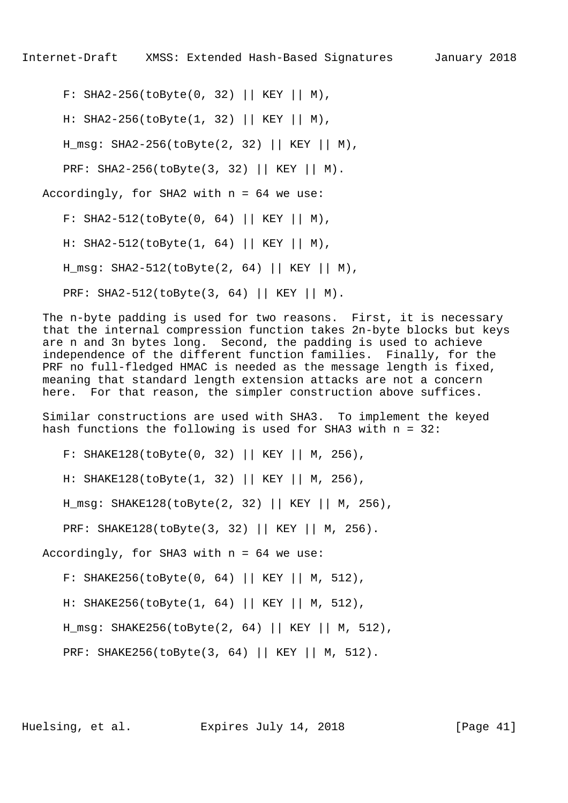F: SHA2-256(toByte(0, 32) || KEY || M),

H: SHA2-256(toByte(1, 32) || KEY || M),

H\_msg: SHA2-256(toByte(2, 32) || KEY || M),

PRF: SHA2-256(toByte(3, 32) || KEY || M).

Accordingly, for SHA2 with n = 64 we use:

F: SHA2-512(toByte(0, 64) || KEY || M),

H: SHA2-512(toByte(1, 64) || KEY || M),

H\_msg: SHA2-512(toByte(2, 64) || KEY || M),

PRF: SHA2-512(toByte(3, 64) || KEY || M).

 The n-byte padding is used for two reasons. First, it is necessary that the internal compression function takes 2n-byte blocks but keys are n and 3n bytes long. Second, the padding is used to achieve independence of the different function families. Finally, for the PRF no full-fledged HMAC is needed as the message length is fixed, meaning that standard length extension attacks are not a concern here. For that reason, the simpler construction above suffices.

 Similar constructions are used with SHA3. To implement the keyed hash functions the following is used for SHA3 with n = 32:

F: SHAKE128(toByte(0, 32) || KEY || M, 256),

H: SHAKE128(toByte(1, 32) || KEY || M, 256),

H\_msg: SHAKE128(toByte(2, 32) || KEY || M, 256),

PRF: SHAKE128(toByte(3, 32) || KEY || M, 256).

Accordingly, for SHA3 with n = 64 we use:

F: SHAKE256(toByte(0, 64) || KEY || M, 512),

H: SHAKE256(toByte(1, 64) || KEY || M, 512),

H\_msg: SHAKE256(toByte(2, 64) || KEY || M, 512),

PRF: SHAKE256(toByte(3, 64) || KEY || M, 512).

Huelsing, et al. Expires July 14, 2018 [Page 41]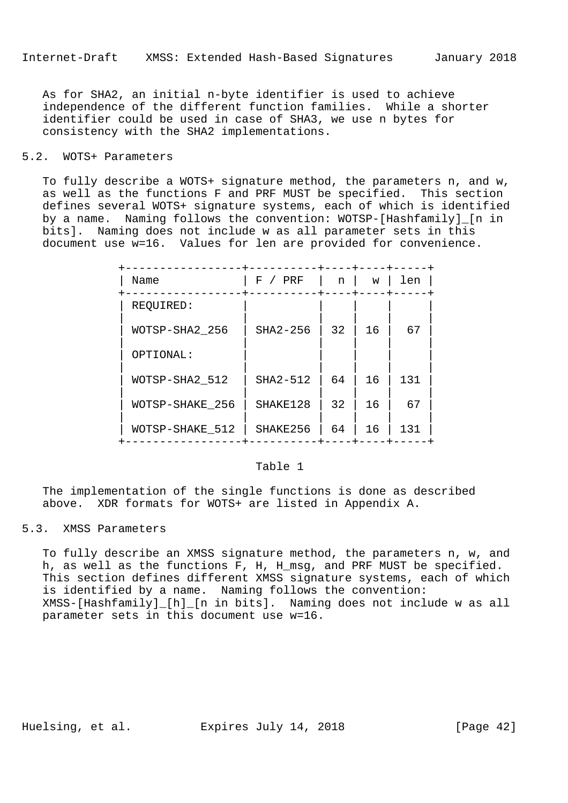As for SHA2, an initial n-byte identifier is used to achieve independence of the different function families. While a shorter identifier could be used in case of SHA3, we use n bytes for consistency with the SHA2 implementations.

# 5.2. WOTS+ Parameters

 To fully describe a WOTS+ signature method, the parameters n, and w, as well as the functions F and PRF MUST be specified. This section defines several WOTS+ signature systems, each of which is identified by a name. Naming follows the convention: WOTSP-[Hashfamily]\_[n in bits]. Naming does not include w as all parameter sets in this document use w=16. Values for len are provided for convenience.

| Name            | F<br>PRF | n  | W  | len |
|-----------------|----------|----|----|-----|
| REQUIRED:       |          |    |    |     |
| WOTSP-SHA2 256  | SHA2-256 | 32 | 16 | 67  |
| OPTIONAL:       |          |    |    |     |
| WOTSP-SHA2 512  | SHA2-512 | 64 | 16 | 131 |
| WOTSP-SHAKE 256 | SHAKE128 | 32 | 16 | 67  |
| WOTSP-SHAKE 512 | SHAKE256 | 64 | 16 | 131 |

# Table 1

 The implementation of the single functions is done as described above. XDR formats for WOTS+ are listed in Appendix A.

# 5.3. XMSS Parameters

 To fully describe an XMSS signature method, the parameters n, w, and h, as well as the functions F, H, H\_msg, and PRF MUST be specified. This section defines different XMSS signature systems, each of which is identified by a name. Naming follows the convention: XMSS-[Hashfamily]\_[h]\_[n in bits]. Naming does not include w as all parameter sets in this document use w=16.

Huelsing, et al. Expires July 14, 2018 [Page 42]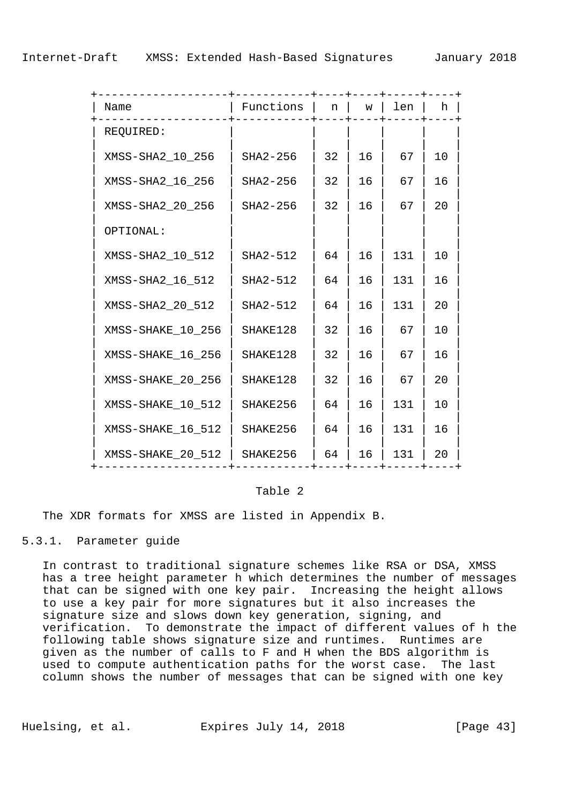| Name              | Functions | n  | W  | len | h  |
|-------------------|-----------|----|----|-----|----|
| REQUIRED:         |           |    |    |     |    |
| XMSS-SHA2 10 256  | SHA2-256  | 32 | 16 | 67  | 10 |
| XMSS-SHA2_16_256  | SHA2-256  | 32 | 16 | 67  | 16 |
| XMSS-SHA2 20 256  | SHA2-256  | 32 | 16 | 67  | 20 |
| OPTIONAL:         |           |    |    |     |    |
| XMSS-SHA2 10 512  | SHA2-512  | 64 | 16 | 131 | 10 |
| XMSS-SHA2 16 512  | SHA2-512  | 64 | 16 | 131 | 16 |
| XMSS-SHA2_20_512  | SHA2-512  | 64 | 16 | 131 | 20 |
| XMSS-SHAKE 10 256 | SHAKE128  | 32 | 16 | 67  | 10 |
| XMSS-SHAKE 16 256 | SHAKE128  | 32 | 16 | 67  | 16 |
| XMSS-SHAKE_20_256 | SHAKE128  | 32 | 16 | 67  | 20 |
| XMSS-SHAKE 10 512 | SHAKE256  | 64 | 16 | 131 | 10 |
| XMSS-SHAKE_16_512 | SHAKE256  | 64 | 16 | 131 | 16 |
| XMSS-SHAKE_20_512 | SHAKE256  | 64 | 16 | 131 | 20 |

### Table 2

The XDR formats for XMSS are listed in Appendix B.

# 5.3.1. Parameter guide

 In contrast to traditional signature schemes like RSA or DSA, XMSS has a tree height parameter h which determines the number of messages that can be signed with one key pair. Increasing the height allows to use a key pair for more signatures but it also increases the signature size and slows down key generation, signing, and verification. To demonstrate the impact of different values of h the following table shows signature size and runtimes. Runtimes are given as the number of calls to F and H when the BDS algorithm is used to compute authentication paths for the worst case. The last column shows the number of messages that can be signed with one key

Huelsing, et al. Expires July 14, 2018 [Page 43]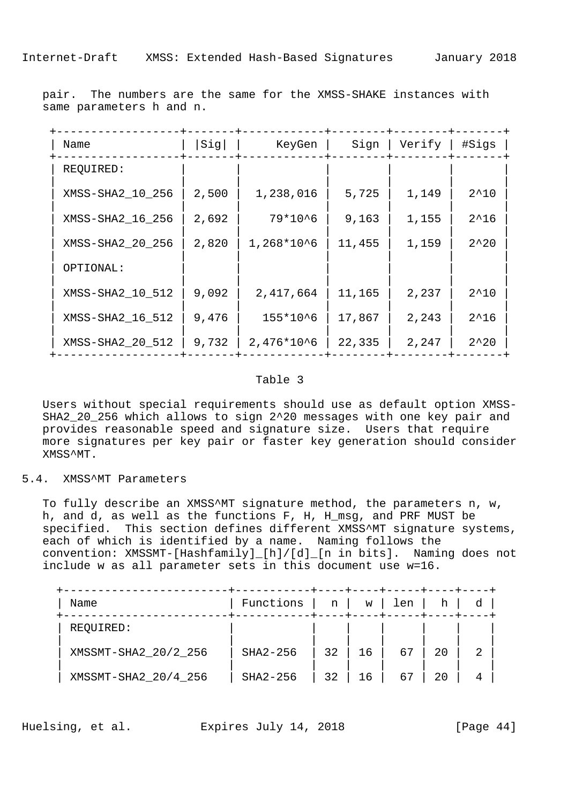| Name             | Sig   | KeyGen         | Sign   | Verify | #Sigs           |
|------------------|-------|----------------|--------|--------|-----------------|
| REQUIRED:        |       |                |        |        |                 |
| XMSS-SHA2_10_256 | 2,500 | 1,238,016      | 5,725  | 1,149  | $2^{\wedge}10$  |
| XMSS-SHA2_16_256 | 2,692 | 79*10^6        | 9,163  | 1,155  | $2^16$          |
| XMSS-SHA2_20_256 | 2,820 | $1,268*10^6$   | 11,455 | 1,159  | $2^220$         |
| OPTIONAL:        |       |                |        |        |                 |
| XMSS-SHA2_10_512 | 9,092 | 2,417,664      | 11,165 | 2,237  | $2^10$          |
| XMSS-SHA2_16_512 | 9,476 | $155*10^6$     | 17,867 | 2,243  | $2^16$          |
| XMSS-SHA2_20_512 | 9,732 | $2,476*10^{6}$ | 22,335 | 2,247  | $2^{\lambda}20$ |

 pair. The numbers are the same for the XMSS-SHAKE instances with same parameters h and n.

#### Table 3

 Users without special requirements should use as default option XMSS- SHA2\_20\_256 which allows to sign 2^20 messages with one key pair and provides reasonable speed and signature size. Users that require more signatures per key pair or faster key generation should consider XMSS^MT.

5.4. XMSS^MT Parameters

 To fully describe an XMSS^MT signature method, the parameters n, w, h, and d, as well as the functions F, H, H\_msg, and PRF MUST be specified. This section defines different XMSS^MT signature systems, each of which is identified by a name. Naming follows the convention: XMSSMT-[Hashfamily]\_[h]/[d]\_[n in bits]. Naming does not include w as all parameter sets in this document use w=16.

| Name                 | Functions | n  | W  | len |    |   |  |
|----------------------|-----------|----|----|-----|----|---|--|
| REQUIRED:            |           |    |    |     |    |   |  |
| XMSSMT-SHA2_20/2_256 | SHA2-256  | 32 | 16 | 67  | 20 | 2 |  |
| XMSSMT-SHA2_20/4_256 | SHA2-256  | 32 | 16 | 67  | 20 | 4 |  |

Huelsing, et al. Expires July 14, 2018 [Page 44]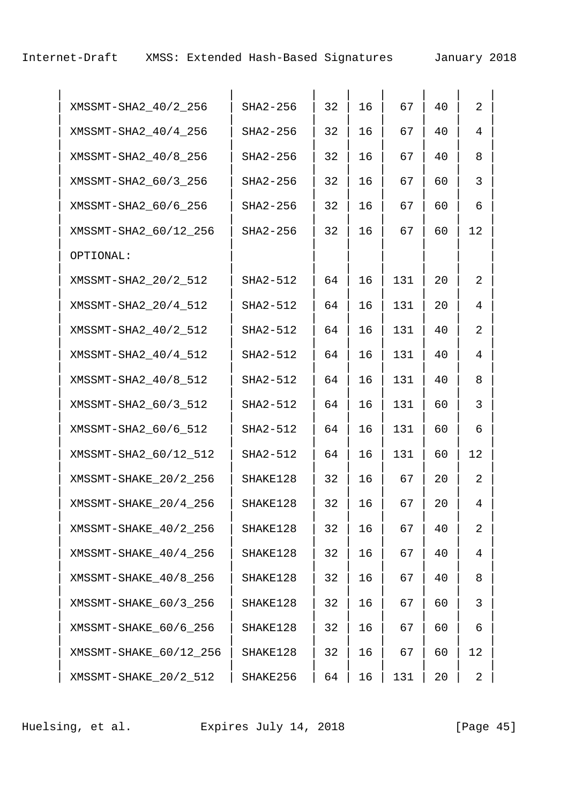Internet-Draft XMSS: Extended Hash-Based Signatures January 2018

| XMSSMT-SHA2_40/2_256   | SHA2-256 | 32 | 16 | 67  | 40 | $\overline{2}$ |  |
|------------------------|----------|----|----|-----|----|----------------|--|
| XMSSMT-SHA2_40/4_256   | SHA2-256 | 32 | 16 | 67  | 40 | 4              |  |
| XMSSMT-SHA2 40/8 256   | SHA2-256 | 32 | 16 | 67  | 40 | 8              |  |
| XMSSMT-SHA2_60/3_256   | SHA2-256 | 32 | 16 | 67  | 60 | 3              |  |
| XMSSMT-SHA2_60/6_256   | SHA2-256 | 32 | 16 | 67  | 60 | 6              |  |
| XMSSMT-SHA2_60/12_256  | SHA2-256 | 32 | 16 | 67  | 60 | 12             |  |
| OPTIONAL:              |          |    |    |     |    |                |  |
| XMSSMT-SHA2_20/2_512   | SHA2-512 | 64 | 16 | 131 | 20 | 2              |  |
| XMSSMT-SHA2_20/4_512   | SHA2-512 | 64 | 16 | 131 | 20 | 4              |  |
| XMSSMT-SHA2_40/2_512   | SHA2-512 | 64 | 16 | 131 | 40 | 2              |  |
| XMSSMT-SHA2_40/4_512   | SHA2-512 | 64 | 16 | 131 | 40 | 4              |  |
| XMSSMT-SHA2_40/8_512   | SHA2-512 | 64 | 16 | 131 | 40 | 8              |  |
| XMSSMT-SHA2_60/3_512   | SHA2-512 | 64 | 16 | 131 | 60 | 3              |  |
| XMSSMT-SHA2_60/6_512   | SHA2-512 | 64 | 16 | 131 | 60 | 6              |  |
| XMSSMT-SHA2_60/12_512  | SHA2-512 | 64 | 16 | 131 | 60 | 12             |  |
| XMSSMT-SHAKE 20/2 256  | SHAKE128 | 32 | 16 | 67  | 20 | 2              |  |
| XMSSMT-SHAKE_20/4_256  | SHAKE128 | 32 | 16 | 67  | 20 | 4              |  |
| XMSSMT-SHAKE_40/2_256  | SHAKE128 | 32 | 16 | 67  | 40 | 2              |  |
| XMSSMT-SHAKE 40/4 256  | SHAKE128 | 32 | 16 | 67  | 40 | 4              |  |
| XMSSMT-SHAKE 40/8 256  | SHAKE128 | 32 | 16 | 67  | 40 | 8              |  |
| XMSSMT-SHAKE_60/3_256  | SHAKE128 | 32 | 16 | 67  | 60 | 3              |  |
| XMSSMT-SHAKE_60/6_256  | SHAKE128 | 32 | 16 | 67  | 60 | 6              |  |
| XMSSMT-SHAKE_60/12_256 | SHAKE128 | 32 | 16 | 67  | 60 | 12             |  |
| XMSSMT-SHAKE_20/2_512  | SHAKE256 | 64 | 16 | 131 | 20 | 2              |  |

Huelsing, et al. Expires July 14, 2018 [Page 45]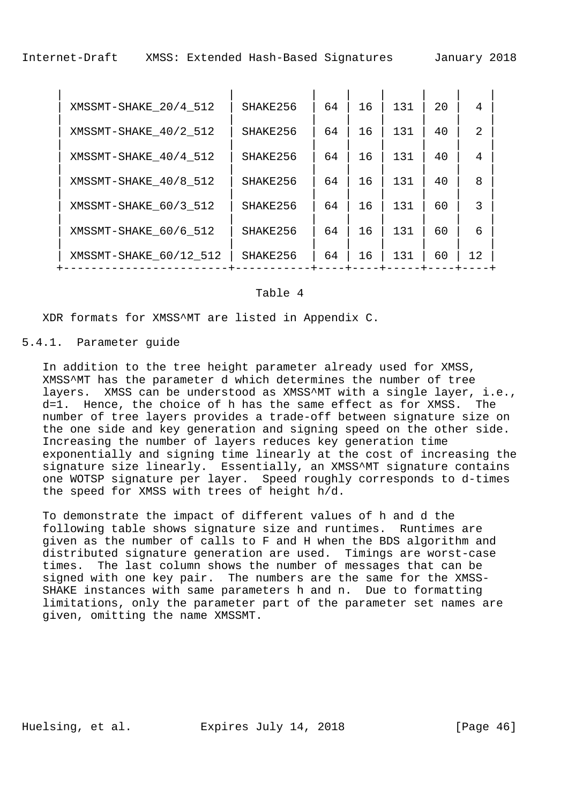| XMSSMT-SHAKE 20/4 512  | SHAKE256 | 64 | 16 | 131 | 2.0 | 4              |  |
|------------------------|----------|----|----|-----|-----|----------------|--|
| XMSSMT-SHAKE 40/2 512  | SHAKE256 | 64 | 16 | 131 | 40  | $\mathfrak{D}$ |  |
| XMSSMT-SHAKE 40/4 512  | SHAKE256 | 64 | 16 | 131 | 40  | 4              |  |
| XMSSMT-SHAKE 40/8 512  | SHAKE256 | 64 | 16 | 131 | 40  | 8              |  |
| XMSSMT-SHAKE_60/3_512  | SHAKE256 | 64 | 16 | 131 | 60  | 3              |  |
| XMSSMT-SHAKE 60/6 512  | SHAKE256 | 64 | 16 | 131 | 60  | 6              |  |
| XMSSMT-SHAKE 60/12 512 | SHAKE256 | 64 | 16 | 131 | 60  | 12             |  |
|                        |          |    |    |     |     |                |  |

#### Table 4

XDR formats for XMSS^MT are listed in Appendix C.

### 5.4.1. Parameter guide

 In addition to the tree height parameter already used for XMSS, XMSS^MT has the parameter d which determines the number of tree layers. XMSS can be understood as XMSS^MT with a single layer, i.e., d=1. Hence, the choice of h has the same effect as for XMSS. The number of tree layers provides a trade-off between signature size on the one side and key generation and signing speed on the other side. Increasing the number of layers reduces key generation time exponentially and signing time linearly at the cost of increasing the signature size linearly. Essentially, an XMSS^MT signature contains one WOTSP signature per layer. Speed roughly corresponds to d-times the speed for XMSS with trees of height h/d.

 To demonstrate the impact of different values of h and d the following table shows signature size and runtimes. Runtimes are given as the number of calls to F and H when the BDS algorithm and distributed signature generation are used. Timings are worst-case times. The last column shows the number of messages that can be signed with one key pair. The numbers are the same for the XMSS- SHAKE instances with same parameters h and n. Due to formatting limitations, only the parameter part of the parameter set names are given, omitting the name XMSSMT.

Huelsing, et al. Expires July 14, 2018 [Page 46]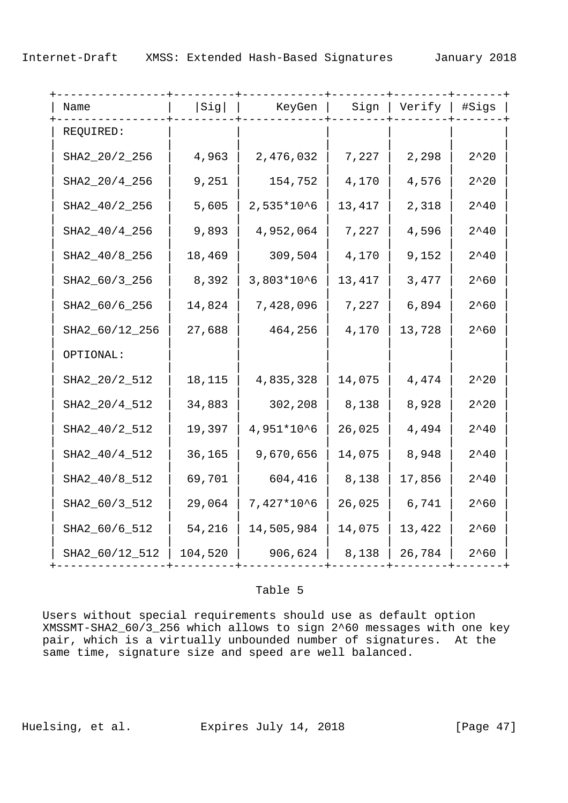| Name           | Sig     | KeyGen      | Sign   | Verify   #Sigs |                |  |
|----------------|---------|-------------|--------|----------------|----------------|--|
| REQUIRED:      |         |             |        |                |                |  |
| SHA2_20/2_256  | 4,963   | 2,476,032   | 7,227  | 2,298          | $2^220$        |  |
| SHA2_20/4_256  | 9,251   | 154,752     | 4,170  | 4,576          | $2^220$        |  |
| SHA2_40/2_256  | 5,605   | $2,535*106$ | 13,417 | 2,318          | $2^{\wedge}40$ |  |
| SHA2_40/4_256  | 9,893   | 4,952,064   | 7,227  | 4,596          | $2^{\wedge}40$ |  |
| SHA2_40/8_256  | 18,469  | 309,504     | 4,170  | 9,152          | $2^{\wedge}40$ |  |
| SHA2_60/3_256  | 8,392   | $3,803*106$ | 13,417 | 3,477          | $2^60$         |  |
| SHA2_60/6_256  | 14,824  | 7,428,096   | 7,227  | 6,894          | $2^{\wedge}60$ |  |
| SHA2_60/12_256 | 27,688  | 464,256     | 4,170  | 13,728         | $2^{\wedge}60$ |  |
| OPTIONAL:      |         |             |        |                |                |  |
| SHA2_20/2_512  | 18,115  | 4,835,328   | 14,075 | 4,474          | $2^220$        |  |
| SHA2_20/4_512  | 34,883  | 302,208     | 8,138  | 8,928          | $2^220$        |  |
| SHA2_40/2_512  | 19,397  | 4,951*10^6  | 26,025 | 4,494          | $2^{\wedge}40$ |  |
| SHA2_40/4_512  | 36,165  | 9,670,656   | 14,075 | 8,948          | $2^{\wedge}40$ |  |
| SHA2_40/8_512  | 69,701  | 604,416     | 8,138  | 17,856         | $2^{\wedge}40$ |  |
| SHA2_60/3_512  | 29,064  | 7,427*10^6  | 26,025 | 6,741          | $2^60$         |  |
| SHA2_60/6_512  | 54,216  | 14,505,984  | 14,075 | 13,422         | $2^60$         |  |
| SHA2_60/12_512 | 104,520 | 906,624     | 8,138  | 26,784         | $2^{\wedge}60$ |  |

#### Table 5

 Users without special requirements should use as default option XMSSMT-SHA2\_60/3\_256 which allows to sign 2^60 messages with one key pair, which is a virtually unbounded number of signatures. At the same time, signature size and speed are well balanced.

Huelsing, et al. Expires July 14, 2018 [Page 47]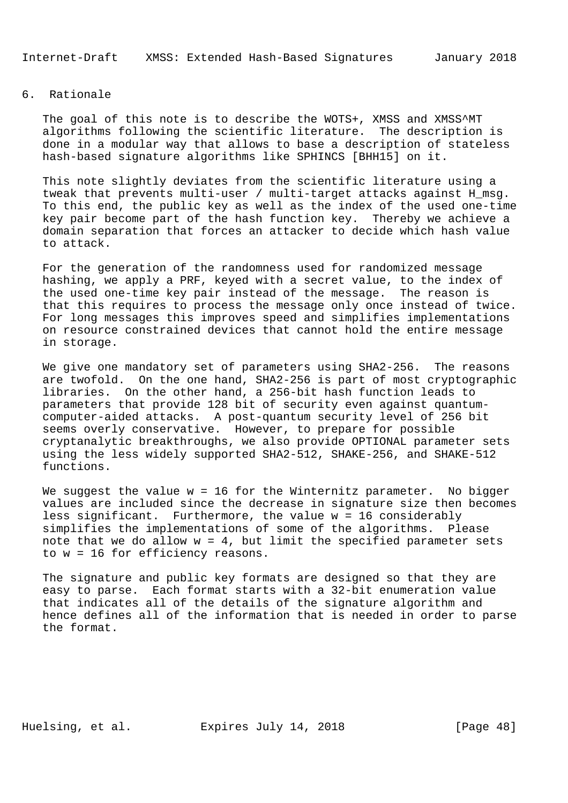Internet-Draft XMSS: Extended Hash-Based Signatures January 2018

## 6. Rationale

The goal of this note is to describe the WOTS+, XMSS and XMSS^MT algorithms following the scientific literature. The description is done in a modular way that allows to base a description of stateless hash-based signature algorithms like SPHINCS [BHH15] on it.

 This note slightly deviates from the scientific literature using a tweak that prevents multi-user / multi-target attacks against H\_msg. To this end, the public key as well as the index of the used one-time key pair become part of the hash function key. Thereby we achieve a domain separation that forces an attacker to decide which hash value to attack.

 For the generation of the randomness used for randomized message hashing, we apply a PRF, keyed with a secret value, to the index of the used one-time key pair instead of the message. The reason is that this requires to process the message only once instead of twice. For long messages this improves speed and simplifies implementations on resource constrained devices that cannot hold the entire message in storage.

We give one mandatory set of parameters using SHA2-256. The reasons are twofold. On the one hand, SHA2-256 is part of most cryptographic libraries. On the other hand, a 256-bit hash function leads to parameters that provide 128 bit of security even against quantum computer-aided attacks. A post-quantum security level of 256 bit seems overly conservative. However, to prepare for possible cryptanalytic breakthroughs, we also provide OPTIONAL parameter sets using the less widely supported SHA2-512, SHAKE-256, and SHAKE-512 functions.

We suggest the value  $w = 16$  for the Winternitz parameter. No bigger values are included since the decrease in signature size then becomes less significant. Furthermore, the value w = 16 considerably simplifies the implementations of some of the algorithms. Please note that we do allow  $w = 4$ , but limit the specified parameter sets to w = 16 for efficiency reasons.

 The signature and public key formats are designed so that they are easy to parse. Each format starts with a 32-bit enumeration value that indicates all of the details of the signature algorithm and hence defines all of the information that is needed in order to parse the format.

Huelsing, et al. Expires July 14, 2018 [Page 48]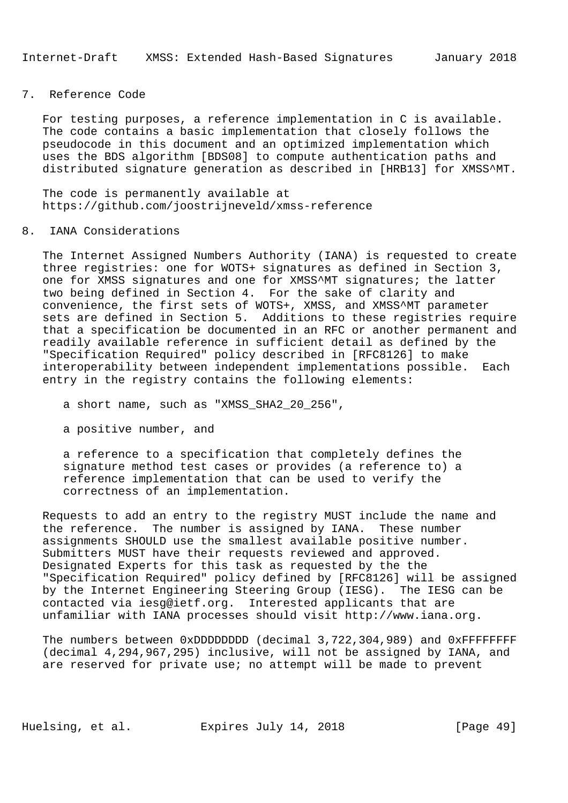### 7. Reference Code

 For testing purposes, a reference implementation in C is available. The code contains a basic implementation that closely follows the pseudocode in this document and an optimized implementation which uses the BDS algorithm [BDS08] to compute authentication paths and distributed signature generation as described in [HRB13] for XMSS^MT.

 The code is permanently available at https://github.com/joostrijneveld/xmss-reference

#### 8. IANA Considerations

 The Internet Assigned Numbers Authority (IANA) is requested to create three registries: one for WOTS+ signatures as defined in Section 3, one for XMSS signatures and one for XMSS^MT signatures; the latter two being defined in Section 4. For the sake of clarity and convenience, the first sets of WOTS+, XMSS, and XMSS^MT parameter sets are defined in Section 5. Additions to these registries require that a specification be documented in an RFC or another permanent and readily available reference in sufficient detail as defined by the "Specification Required" policy described in [RFC8126] to make interoperability between independent implementations possible. Each entry in the registry contains the following elements:

a short name, such as "XMSS\_SHA2\_20\_256",

a positive number, and

 a reference to a specification that completely defines the signature method test cases or provides (a reference to) a reference implementation that can be used to verify the correctness of an implementation.

 Requests to add an entry to the registry MUST include the name and the reference. The number is assigned by IANA. These number assignments SHOULD use the smallest available positive number. Submitters MUST have their requests reviewed and approved. Designated Experts for this task as requested by the the "Specification Required" policy defined by [RFC8126] will be assigned by the Internet Engineering Steering Group (IESG). The IESG can be contacted via iesg@ietf.org. Interested applicants that are unfamiliar with IANA processes should visit http://www.iana.org.

The numbers between 0xDDDDDDDD (decimal 3,722,304,989) and 0xFFFFFFFFF (decimal 4,294,967,295) inclusive, will not be assigned by IANA, and are reserved for private use; no attempt will be made to prevent

Huelsing, et al. Expires July 14, 2018 [Page 49]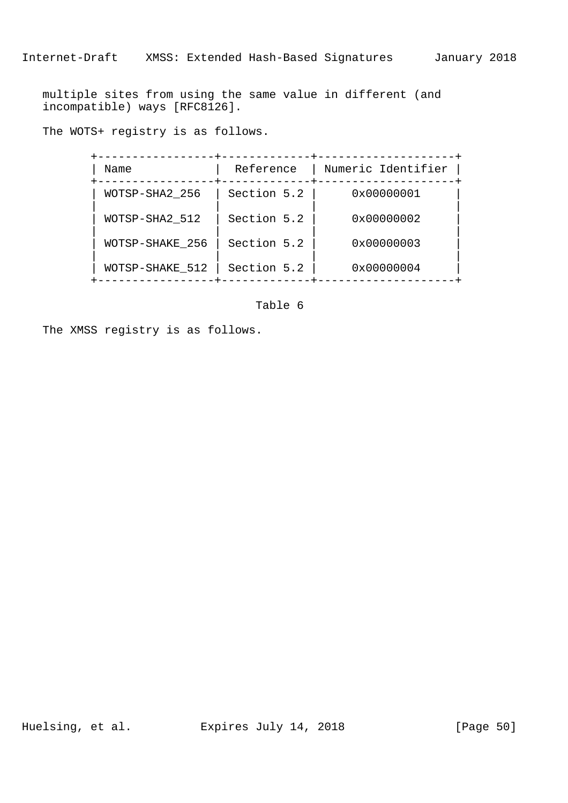multiple sites from using the same value in different (and incompatible) ways [RFC8126].

The WOTS+ registry is as follows.

| Name            | Reference   | Numeric Identifier |
|-----------------|-------------|--------------------|
| WOTSP-SHA2 256  | Section 5.2 | 0x00000001         |
| WOTSP-SHA2 512  | Section 5.2 | 0x00000002         |
| WOTSP-SHAKE 256 | Section 5.2 | 0x00000003         |
| WOTSP-SHAKE 512 | Section 5.2 | 0x00000004         |

Table 6

The XMSS registry is as follows.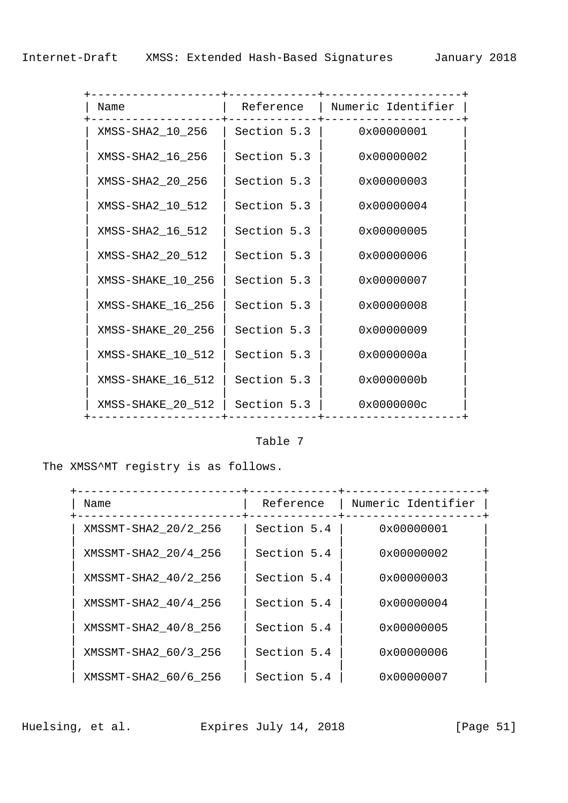| Name              | Reference   | Numeric Identifier |
|-------------------|-------------|--------------------|
| XMSS-SHA2_10_256  | Section 5.3 | 0x00000001         |
| XMSS-SHA2_16_256  | Section 5.3 | 0x00000002         |
| XMSS-SHA2_20_256  | Section 5.3 | 0x00000003         |
| XMSS-SHA2_10_512  | Section 5.3 | 0x00000004         |
| XMSS-SHA2_16_512  | Section 5.3 | 0x00000005         |
| XMSS-SHA2_20_512  | Section 5.3 | 0x00000006         |
| XMSS-SHAKE_10_256 | Section 5.3 | 0x00000007         |
| XMSS-SHAKE_16_256 | Section 5.3 | 0x00000008         |
| XMSS-SHAKE_20_256 | Section 5.3 | 0x00000009         |
| XMSS-SHAKE_10_512 | Section 5.3 | 0x0000000a         |
| XMSS-SHAKE_16_512 | Section 5.3 | 0x0000000b         |
| XMSS-SHAKE_20_512 | Section 5.3 | 0x0000000c         |

# Table 7

The XMSS^MT registry is as follows.

| Name                 | Reference   | Numeric Identifier |
|----------------------|-------------|--------------------|
| XMSSMT-SHA2_20/2_256 | Section 5.4 | 0x00000001         |
| XMSSMT-SHA2_20/4_256 | Section 5.4 | 0x00000002         |
| XMSSMT-SHA2 40/2 256 | Section 5.4 | 0x00000003         |
| XMSSMT-SHA2_40/4_256 | Section 5.4 | 0x00000004         |
| XMSSMT-SHA2 40/8 256 | Section 5.4 | 0x00000005         |
| XMSSMT-SHA2_60/3_256 | Section 5.4 | 0x00000006         |
| XMSSMT-SHA2_60/6_256 | Section 5.4 | 0x00000007         |

Huelsing, et al. Expires July 14, 2018 [Page 51]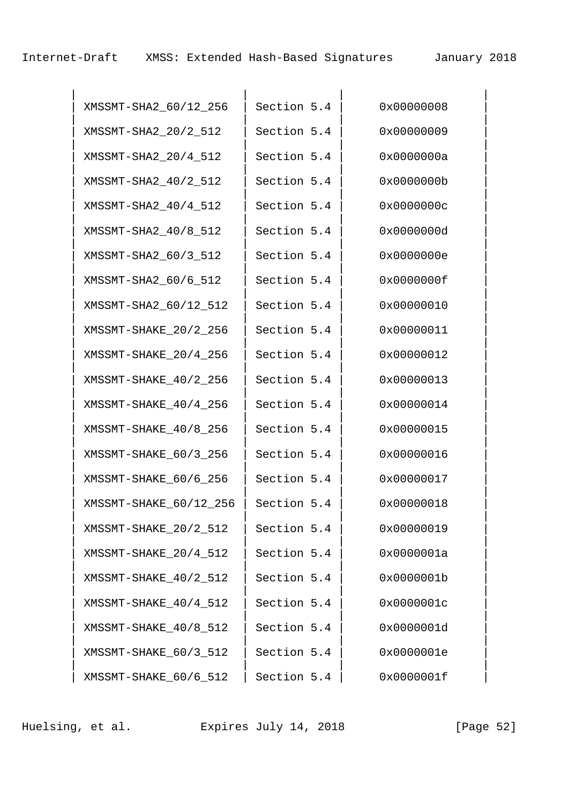Internet-Draft XMSS: Extended Hash-Based Signatures January 2018

| XMSSMT-SHA2_60/12_256  | Section 5.4 | 0x00000008 |
|------------------------|-------------|------------|
| XMSSMT-SHA2_20/2_512   | Section 5.4 | 0x00000009 |
| XMSSMT-SHA2_20/4_512   | Section 5.4 | 0x0000000a |
| XMSSMT-SHA2_40/2_512   | Section 5.4 | 0x0000000b |
| XMSSMT-SHA2_40/4_512   | Section 5.4 | 0x0000000c |
| XMSSMT-SHA2_40/8_512   | Section 5.4 | 0x0000000d |
| XMSSMT-SHA2_60/3_512   | Section 5.4 | 0x0000000e |
| XMSSMT-SHA2_60/6_512   | Section 5.4 | 0x0000000f |
| XMSSMT-SHA2_60/12_512  | Section 5.4 | 0x00000010 |
| XMSSMT-SHAKE_20/2_256  | Section 5.4 | 0x00000011 |
| XMSSMT-SHAKE_20/4_256  | Section 5.4 | 0x00000012 |
| XMSSMT-SHAKE_40/2_256  | Section 5.4 | 0x00000013 |
| XMSSMT-SHAKE_40/4_256  | Section 5.4 | 0x00000014 |
| XMSSMT-SHAKE_40/8_256  | Section 5.4 | 0x00000015 |
| XMSSMT-SHAKE_60/3_256  | Section 5.4 | 0x00000016 |
| XMSSMT-SHAKE_60/6_256  | Section 5.4 | 0x00000017 |
| XMSSMT-SHAKE_60/12_256 | Section 5.4 | 0x00000018 |
| XMSSMT-SHAKE_20/2_512  | Section 5.4 | 0x00000019 |
| XMSSMT-SHAKE_20/4_512  | Section 5.4 | 0x0000001a |
| XMSSMT-SHAKE_40/2_512  | Section 5.4 | 0x0000001b |
| XMSSMT-SHAKE_40/4_512  | Section 5.4 | 0x0000001c |
| XMSSMT-SHAKE_40/8_512  | Section 5.4 | 0x0000001d |
| XMSSMT-SHAKE_60/3_512  | Section 5.4 | 0x0000001e |
| XMSSMT-SHAKE_60/6_512  | Section 5.4 | 0x0000001f |

Huelsing, et al. Expires July 14, 2018 [Page 52]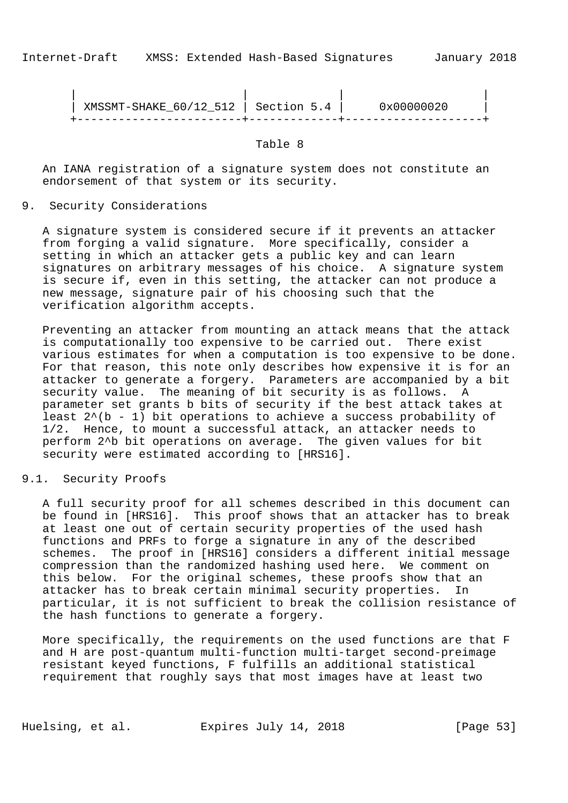| | | | | XMSSMT-SHAKE\_60/12\_512 | Section 5.4 | 0x00000020 | +------------------------+-------------+--------------------+

Table 8

 An IANA registration of a signature system does not constitute an endorsement of that system or its security.

9. Security Considerations

 A signature system is considered secure if it prevents an attacker from forging a valid signature. More specifically, consider a setting in which an attacker gets a public key and can learn signatures on arbitrary messages of his choice. A signature system is secure if, even in this setting, the attacker can not produce a new message, signature pair of his choosing such that the verification algorithm accepts.

 Preventing an attacker from mounting an attack means that the attack is computationally too expensive to be carried out. There exist various estimates for when a computation is too expensive to be done. For that reason, this note only describes how expensive it is for an attacker to generate a forgery. Parameters are accompanied by a bit security value. The meaning of bit security is as follows. A parameter set grants b bits of security if the best attack takes at least  $2^{(b - 1)}$  bit operations to achieve a success probability of 1/2. Hence, to mount a successful attack, an attacker needs to perform 2^b bit operations on average. The given values for bit security were estimated according to [HRS16].

9.1. Security Proofs

 A full security proof for all schemes described in this document can be found in [HRS16]. This proof shows that an attacker has to break at least one out of certain security properties of the used hash functions and PRFs to forge a signature in any of the described schemes. The proof in [HRS16] considers a different initial message compression than the randomized hashing used here. We comment on this below. For the original schemes, these proofs show that an attacker has to break certain minimal security properties. In particular, it is not sufficient to break the collision resistance of the hash functions to generate a forgery.

 More specifically, the requirements on the used functions are that F and H are post-quantum multi-function multi-target second-preimage resistant keyed functions, F fulfills an additional statistical requirement that roughly says that most images have at least two

Huelsing, et al. Expires July 14, 2018 [Page 53]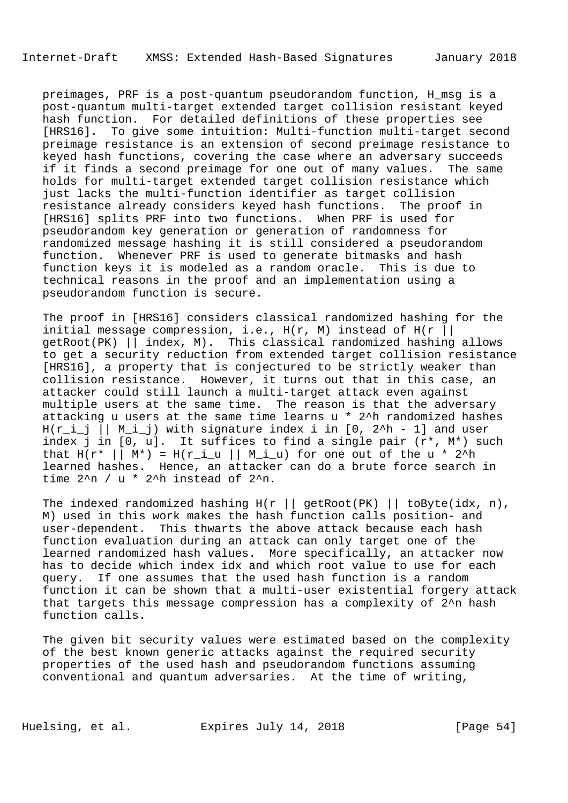preimages, PRF is a post-quantum pseudorandom function, H\_msg is a post-quantum multi-target extended target collision resistant keyed hash function. For detailed definitions of these properties see [HRS16]. To give some intuition: Multi-function multi-target second preimage resistance is an extension of second preimage resistance to keyed hash functions, covering the case where an adversary succeeds if it finds a second preimage for one out of many values. The same holds for multi-target extended target collision resistance which just lacks the multi-function identifier as target collision resistance already considers keyed hash functions. The proof in [HRS16] splits PRF into two functions. When PRF is used for pseudorandom key generation or generation of randomness for randomized message hashing it is still considered a pseudorandom function. Whenever PRF is used to generate bitmasks and hash function keys it is modeled as a random oracle. This is due to technical reasons in the proof and an implementation using a pseudorandom function is secure.

 The proof in [HRS16] considers classical randomized hashing for the initial message compression, i.e.,  $H(r, M)$  instead of  $H(r || r)$  getRoot(PK) || index, M). This classical randomized hashing allows to get a security reduction from extended target collision resistance [HRS16], a property that is conjectured to be strictly weaker than collision resistance. However, it turns out that in this case, an attacker could still launch a multi-target attack even against multiple users at the same time. The reason is that the adversary attacking u users at the same time learns u \* 2^h randomized hashes  $H(r_i_j | | M_i_j)$  with signature index i in [0, 2^h - 1] and user index j in [0, u]. It suffices to find a single pair (r\*, M\*) such that  $H(r^* \mid \mid M^*) = H(r_i \mid \mid M_i \mid u)$  for one out of the u \* 2<sup>^h</sup> learned hashes. Hence, an attacker can do a brute force search in time  $2^{\wedge}n$  / u \*  $2^{\wedge}h$  instead of  $2^{\wedge}n$ .

The indexed randomized hashing  $H(r ||$  getRoot(PK) || toByte(idx, n), M) used in this work makes the hash function calls position- and user-dependent. This thwarts the above attack because each hash function evaluation during an attack can only target one of the learned randomized hash values. More specifically, an attacker now has to decide which index idx and which root value to use for each query. If one assumes that the used hash function is a random function it can be shown that a multi-user existential forgery attack that targets this message compression has a complexity of 2^n hash function calls.

 The given bit security values were estimated based on the complexity of the best known generic attacks against the required security properties of the used hash and pseudorandom functions assuming conventional and quantum adversaries. At the time of writing,

Huelsing, et al. Expires July 14, 2018 [Page 54]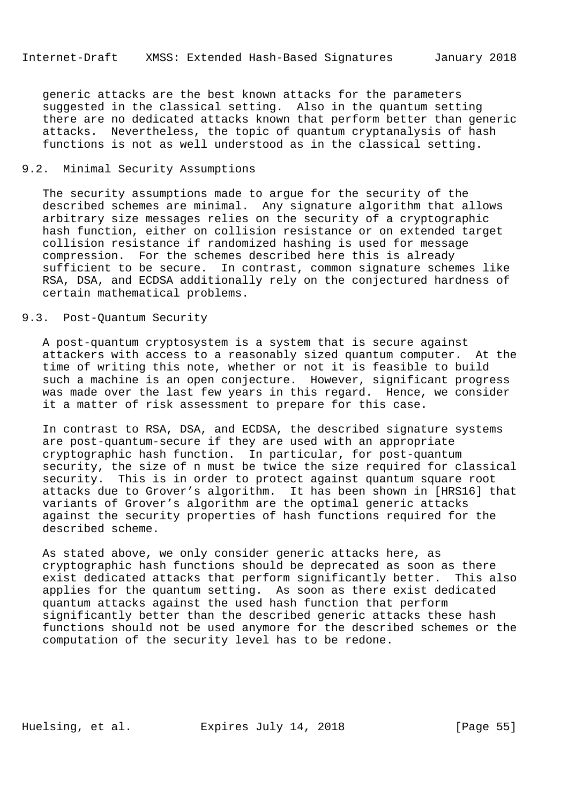generic attacks are the best known attacks for the parameters suggested in the classical setting. Also in the quantum setting there are no dedicated attacks known that perform better than generic attacks. Nevertheless, the topic of quantum cryptanalysis of hash functions is not as well understood as in the classical setting.

### 9.2. Minimal Security Assumptions

 The security assumptions made to argue for the security of the described schemes are minimal. Any signature algorithm that allows arbitrary size messages relies on the security of a cryptographic hash function, either on collision resistance or on extended target collision resistance if randomized hashing is used for message compression. For the schemes described here this is already sufficient to be secure. In contrast, common signature schemes like RSA, DSA, and ECDSA additionally rely on the conjectured hardness of certain mathematical problems.

# 9.3. Post-Quantum Security

 A post-quantum cryptosystem is a system that is secure against attackers with access to a reasonably sized quantum computer. At the time of writing this note, whether or not it is feasible to build such a machine is an open conjecture. However, significant progress was made over the last few years in this regard. Hence, we consider it a matter of risk assessment to prepare for this case.

 In contrast to RSA, DSA, and ECDSA, the described signature systems are post-quantum-secure if they are used with an appropriate cryptographic hash function. In particular, for post-quantum security, the size of n must be twice the size required for classical security. This is in order to protect against quantum square root attacks due to Grover's algorithm. It has been shown in [HRS16] that variants of Grover's algorithm are the optimal generic attacks against the security properties of hash functions required for the described scheme.

 As stated above, we only consider generic attacks here, as cryptographic hash functions should be deprecated as soon as there exist dedicated attacks that perform significantly better. This also applies for the quantum setting. As soon as there exist dedicated quantum attacks against the used hash function that perform significantly better than the described generic attacks these hash functions should not be used anymore for the described schemes or the computation of the security level has to be redone.

Huelsing, et al. Expires July 14, 2018 [Page 55]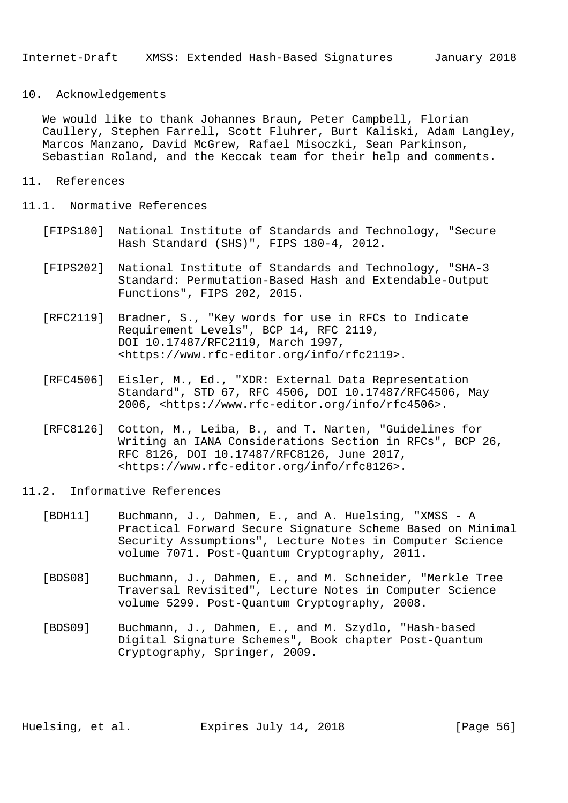### 10. Acknowledgements

 We would like to thank Johannes Braun, Peter Campbell, Florian Caullery, Stephen Farrell, Scott Fluhrer, Burt Kaliski, Adam Langley, Marcos Manzano, David McGrew, Rafael Misoczki, Sean Parkinson, Sebastian Roland, and the Keccak team for their help and comments.

## 11. References

- 11.1. Normative References
	- [FIPS180] National Institute of Standards and Technology, "Secure Hash Standard (SHS)", FIPS 180-4, 2012.
	- [FIPS202] National Institute of Standards and Technology, "SHA-3 Standard: Permutation-Based Hash and Extendable-Output Functions", FIPS 202, 2015.
	- [RFC2119] Bradner, S., "Key words for use in RFCs to Indicate Requirement Levels", BCP 14, RFC 2119, DOI 10.17487/RFC2119, March 1997, <https://www.rfc-editor.org/info/rfc2119>.
	- [RFC4506] Eisler, M., Ed., "XDR: External Data Representation Standard", STD 67, RFC 4506, DOI 10.17487/RFC4506, May 2006, <https://www.rfc-editor.org/info/rfc4506>.
	- [RFC8126] Cotton, M., Leiba, B., and T. Narten, "Guidelines for Writing an IANA Considerations Section in RFCs", BCP 26, RFC 8126, DOI 10.17487/RFC8126, June 2017, <https://www.rfc-editor.org/info/rfc8126>.
- 11.2. Informative References
	- [BDH11] Buchmann, J., Dahmen, E., and A. Huelsing, "XMSS A Practical Forward Secure Signature Scheme Based on Minimal Security Assumptions", Lecture Notes in Computer Science volume 7071. Post-Quantum Cryptography, 2011.
	- [BDS08] Buchmann, J., Dahmen, E., and M. Schneider, "Merkle Tree Traversal Revisited", Lecture Notes in Computer Science volume 5299. Post-Quantum Cryptography, 2008.
	- [BDS09] Buchmann, J., Dahmen, E., and M. Szydlo, "Hash-based Digital Signature Schemes", Book chapter Post-Quantum Cryptography, Springer, 2009.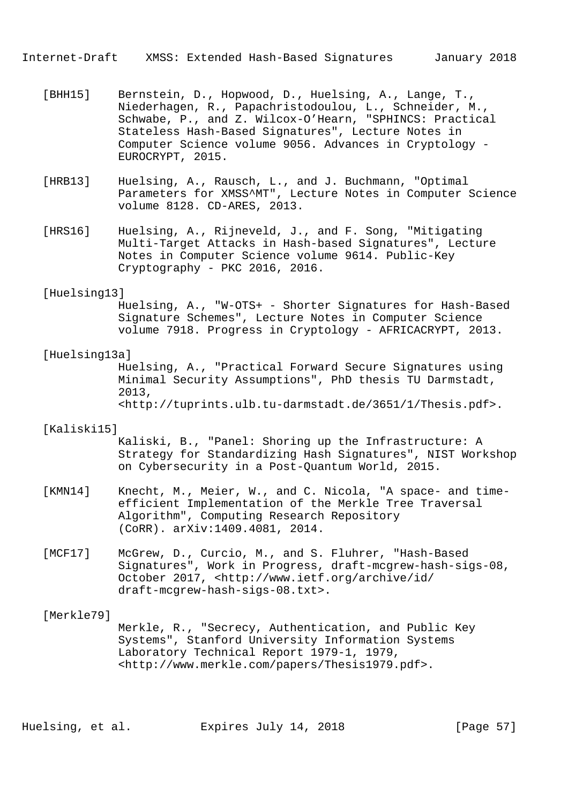Internet-Draft XMSS: Extended Hash-Based Signatures January 2018

- [BHH15] Bernstein, D., Hopwood, D., Huelsing, A., Lange, T., Niederhagen, R., Papachristodoulou, L., Schneider, M., Schwabe, P., and Z. Wilcox-O'Hearn, "SPHINCS: Practical Stateless Hash-Based Signatures", Lecture Notes in Computer Science volume 9056. Advances in Cryptology - EUROCRYPT, 2015.
- [HRB13] Huelsing, A., Rausch, L., and J. Buchmann, "Optimal Parameters for XMSS^MT", Lecture Notes in Computer Science volume 8128. CD-ARES, 2013.
- [HRS16] Huelsing, A., Rijneveld, J., and F. Song, "Mitigating Multi-Target Attacks in Hash-based Signatures", Lecture Notes in Computer Science volume 9614. Public-Key Cryptography - PKC 2016, 2016.

#### [Huelsing13]

 Huelsing, A., "W-OTS+ - Shorter Signatures for Hash-Based Signature Schemes", Lecture Notes in Computer Science volume 7918. Progress in Cryptology - AFRICACRYPT, 2013.

## [Huelsing13a]

 Huelsing, A., "Practical Forward Secure Signatures using Minimal Security Assumptions", PhD thesis TU Darmstadt, 2013, <http://tuprints.ulb.tu-darmstadt.de/3651/1/Thesis.pdf>.

#### [Kaliski15]

 Kaliski, B., "Panel: Shoring up the Infrastructure: A Strategy for Standardizing Hash Signatures", NIST Workshop on Cybersecurity in a Post-Quantum World, 2015.

- [KMN14] Knecht, M., Meier, W., and C. Nicola, "A space- and time efficient Implementation of the Merkle Tree Traversal Algorithm", Computing Research Repository (CoRR). arXiv:1409.4081, 2014.
- [MCF17] McGrew, D., Curcio, M., and S. Fluhrer, "Hash-Based Signatures", Work in Progress, draft-mcgrew-hash-sigs-08, October 2017, <http://www.ietf.org/archive/id/ draft-mcgrew-hash-sigs-08.txt>.

#### [Merkle79]

 Merkle, R., "Secrecy, Authentication, and Public Key Systems", Stanford University Information Systems Laboratory Technical Report 1979-1, 1979, <http://www.merkle.com/papers/Thesis1979.pdf>.

Huelsing, et al. Expires July 14, 2018 [Page 57]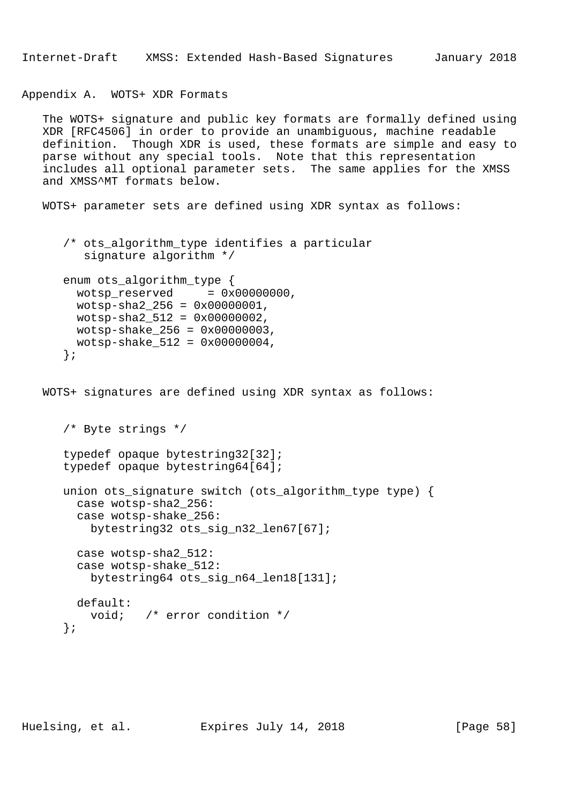Appendix A. WOTS+ XDR Formats

 The WOTS+ signature and public key formats are formally defined using XDR [RFC4506] in order to provide an unambiguous, machine readable definition. Though XDR is used, these formats are simple and easy to parse without any special tools. Note that this representation includes all optional parameter sets. The same applies for the XMSS and XMSS^MT formats below.

WOTS+ parameter sets are defined using XDR syntax as follows:

```
/* ots algorithm type identifies a particular
    signature algorithm */
enum ots algorithm type {
  wotsp\_reserved = 0x00000000,
  wotsp-sha2_256 = 0x00000001,
 wotsp-sha2 512 = 0x00000002,
 wotsp-shake_256 = 0x00000003,
  wotsp-shake_512 = 0x00000004,
 };
```
WOTS+ signatures are defined using XDR syntax as follows:

```
 /* Byte strings */
 typedef opaque bytestring32[32];
 typedef opaque bytestring64[64];
 union ots_signature switch (ots_algorithm_type type) {
   case wotsp-sha2_256:
   case wotsp-shake_256:
     bytestring32 ots_sig_n32_len67[67];
   case wotsp-sha2_512:
   case wotsp-shake_512:
     bytestring64 ots_sig_n64_len18[131];
  default:
     void; /* error condition */
 };
```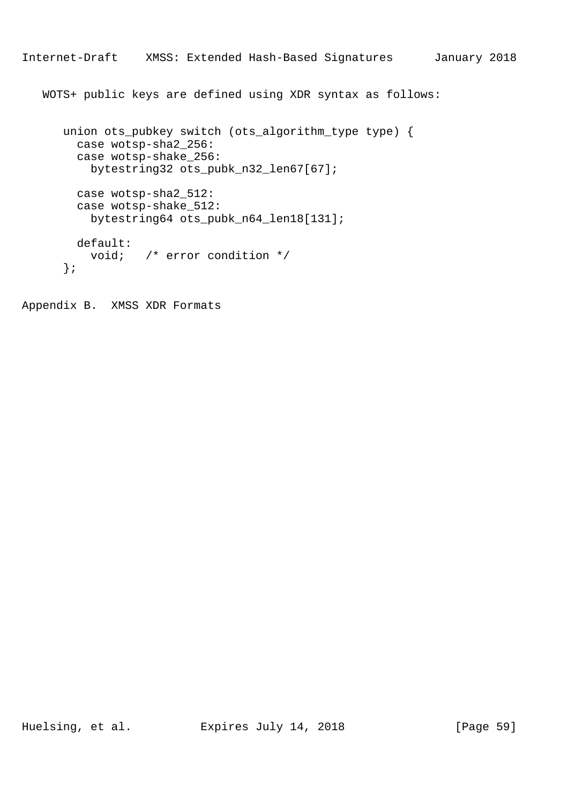```
Internet-Draft XMSS: Extended Hash-Based Signatures January 2018
```
WOTS+ public keys are defined using XDR syntax as follows:

```
 union ots_pubkey switch (ots_algorithm_type type) {
   case wotsp-sha2_256:
  case wotsp-shake_256:
    bytestring32 ots_pubk_n32_len67[67];
  case wotsp-sha2_512:
  case wotsp-shake_512:
     bytestring64 ots_pubk_n64_len18[131];
  default:
    void; /* error condition */
 };
```
Appendix B. XMSS XDR Formats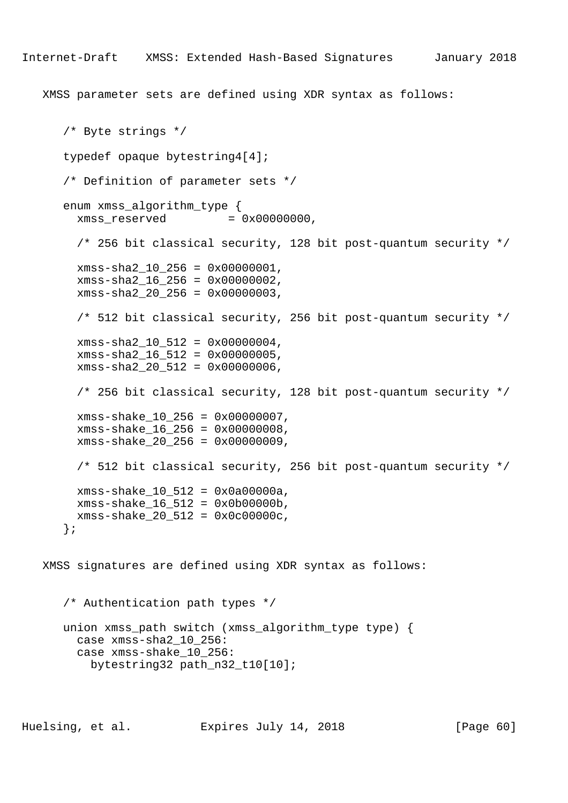XMSS parameter sets are defined using XDR syntax as follows:

```
 /* Byte strings */
    typedef opaque bytestring4[4];
    /* Definition of parameter sets */
   enum xmss algorithm type {
     x \text{mss} reserved = 0 \times 000000000,
      /* 256 bit classical security, 128 bit post-quantum security */
      xmss-sha2_10_256 = 0x00000001,
      xmss-sha2_16_256 = 0x00000002,
      xmss-sha2_20_256 = 0x00000003,
      /* 512 bit classical security, 256 bit post-quantum security */
      xmss-sha2_10_512 = 0x00000004,
      xmss-sha2_16_512 = 0x00000005,
     xms - sha2_20_512 = 0x00000006,
      /* 256 bit classical security, 128 bit post-quantum security */
      xmss-shake_10_256 = 0x00000007,
      xmss-shake_16_256 = 0x00000008,
      xmss-shake_20_256 = 0x00000009,
      /* 512 bit classical security, 256 bit post-quantum security */
      xmss-shake_10_512 = 0x0a00000a,
      xmss-shake_16_512 = 0x0b00000b,
      xmss-shake_20_512 = 0x0c00000c,
    };
 XMSS signatures are defined using XDR syntax as follows:
    /* Authentication path types */
    union xmss_path switch (xmss_algorithm_type type) {
```

```
 case xmss-shake_10_256:
  bytestring32 path_n32_t10[10];
```
case xmss-sha2\_10\_256: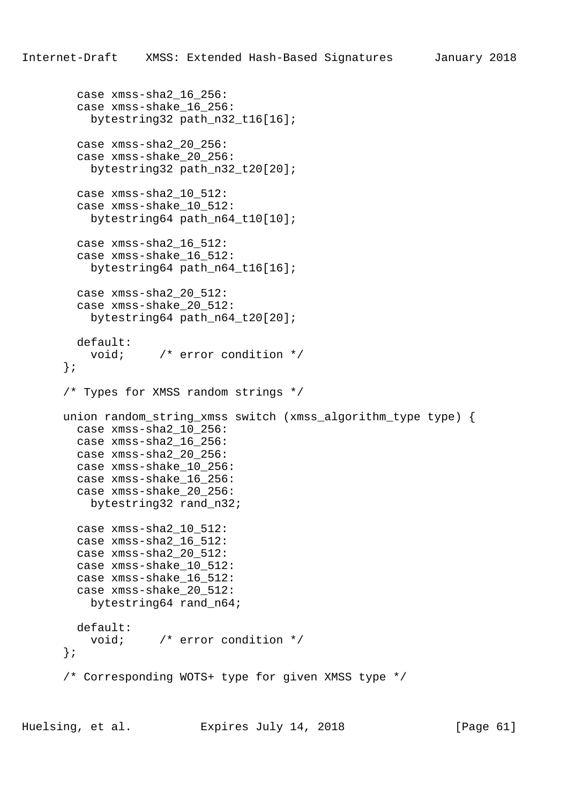```
 case xmss-sha2_16_256:
   case xmss-shake_16_256:
    bytestring32 path_n32_t16[16];
   case xmss-sha2_20_256:
   case xmss-shake_20_256:
    bytestring32 path_n32_t20[20];
  case xmss-sha2_10_512:
   case xmss-shake_10_512:
     bytestring64 path_n64_t10[10];
   case xmss-sha2_16_512:
   case xmss-shake_16_512:
     bytestring64 path_n64_t16[16];
   case xmss-sha2_20_512:
   case xmss-shake_20_512:
   bytestring64 path n64 t20[20];
   default:
    void; /* error condition */
 };
 /* Types for XMSS random strings */
 union random_string_xmss switch (xmss_algorithm_type type) {
  case xmss-sha2_10_256:
  case xmss-sha2_16_256:
  case xmss-sha2_20_256:
  case xmss-shake_10_256:
   case xmss-shake_16_256:
   case xmss-shake_20_256:
    bytestring32 rand_n32;
  case xmss-sha2_10_512:
   case xmss-sha2_16_512:
   case xmss-sha2_20_512:
   case xmss-shake_10_512:
   case xmss-shake_16_512:
   case xmss-shake_20_512:
    bytestring64 rand_n64;
  default:
    void; /* error condition */
 };
 /* Corresponding WOTS+ type for given XMSS type */
```
Huelsing, et al. Expires July 14, 2018 [Page 61]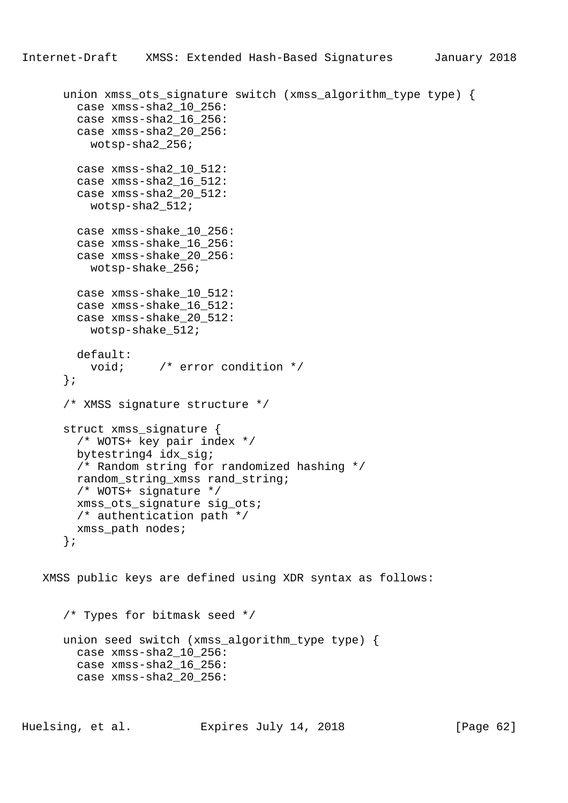```
Internet-Draft XMSS: Extended Hash-Based Signatures January 2018
```

```
union xmss ots signature switch (xmss algorithm type type) {
      case xmss-sha2_10_256:
      case xmss-sha2_16_256:
      case xmss-sha2_20_256:
        wotsp-sha2_256;
      case xmss-sha2_10_512:
      case xmss-sha2_16_512:
      case xmss-sha2_20_512:
       wotsp-sha2_512;
      case xmss-shake_10_256:
      case xmss-shake_16_256:
      case xmss-shake_20_256:
       wotsp-shake_256;
      case xmss-shake_10_512:
      case xmss-shake_16_512:
      case xmss-shake_20_512:
        wotsp-shake_512;
      default:
        void; /* error condition */
    };
    /* XMSS signature structure */
    struct xmss_signature {
      /* WOTS+ key pair index */
      bytestring4 idx_sig;
      /* Random string for randomized hashing */
      random_string_xmss rand_string;
      /* WOTS+ signature */
      xmss_ots_signature sig_ots;
      /* authentication path */
      xmss_path nodes;
    };
 XMSS public keys are defined using XDR syntax as follows:
    /* Types for bitmask seed */
```

```
 union seed switch (xmss_algorithm_type type) {
  case xmss-sha2_10_256:
  case xmss-sha2_16_256:
  case xmss-sha2_20_256:
```
Huelsing, et al. Expires July 14, 2018 [Page 62]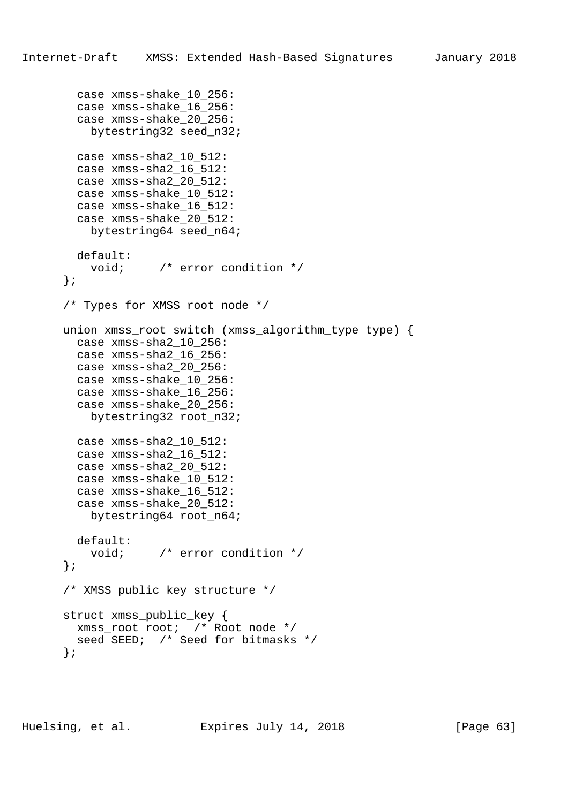```
 case xmss-shake_10_256:
   case xmss-shake_16_256:
   case xmss-shake_20_256:
   bytestring32 seed n32;
   case xmss-sha2_10_512:
   case xmss-sha2_16_512:
   case xmss-sha2_20_512:
   case xmss-shake_10_512:
   case xmss-shake_16_512:
   case xmss-shake_20_512:
     bytestring64 seed_n64;
  default:
   void; \frac{1}{2} /* error condition */
 };
 /* Types for XMSS root node */
 union xmss_root switch (xmss_algorithm_type type) {
   case xmss-sha2_10_256:
   case xmss-sha2_16_256:
   case xmss-sha2_20_256:
   case xmss-shake_10_256:
   case xmss-shake_16_256:
   case xmss-shake_20_256:
    bytestring32 root_n32;
   case xmss-sha2_10_512:
   case xmss-sha2_16_512:
   case xmss-sha2_20_512:
   case xmss-shake_10_512:
   case xmss-shake_16_512:
   case xmss-shake_20_512:
    bytestring64 root_n64;
  default:
    void; /* error condition */
 };
 /* XMSS public key structure */
 struct xmss_public_key {
  xmss_root root; /* Root node */
 seed SEED; /* Seed for bitmasks */
 };
```
Huelsing, et al. Expires July 14, 2018 [Page 63]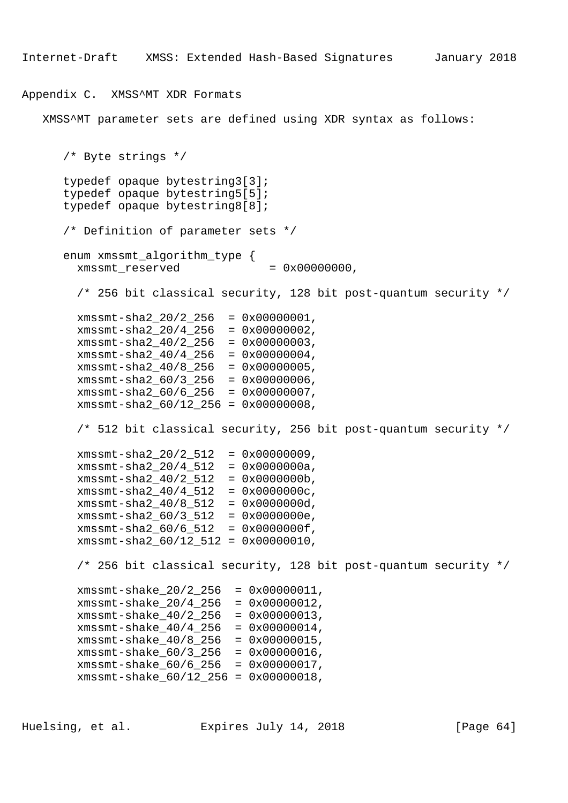Internet-Draft XMSS: Extended Hash-Based Signatures January 2018

## Appendix C. XMSS^MT XDR Formats

XMSS^MT parameter sets are defined using XDR syntax as follows:

```
 /* Byte strings */
 typedef opaque bytestring3[3];
 typedef opaque bytestring5[5];
 typedef opaque bytestring8[8];
 /* Definition of parameter sets */
 enum xmssmt_algorithm_type {
 xmssmt reserved = 0x00000000,
   /* 256 bit classical security, 128 bit post-quantum security */
  xmssmt-sha2_20/2_256 = 0x00000001,
  xmssmt-sha2_20/4_256 = 0x00000002,
  xmssmt-sha2_40/2_256 = 0x00000003,
  xmssmt-sha2_40/4_256 = 0x00000004,
 xmssmt-sha2_40/8_256 = 0x00000005,
 xmsmt-sha2_60/3_256 = 0x00000006, xmssmt-sha2_60/6_256 = 0x00000007,
  xmssmt-sha2_60/12_256 = 0x00000008,
  /* 512 bit classical security, 256 bit post-quantum security */
  xmsmt-sha2_20/2_512 = 0x0000009,
  xmssmt-sha2_20/4_512 = 0x0000000a,
 xmssmt-sha2 40/2 512 = 0x0000000b,
  xmssmt-sha2_40/4_512 = 0x0000000c,
  xmssmt-sha2_40/8_512 = 0x0000000d,
  xmssmt-sha2_60/3_512 = 0x0000000e,
  xmssmt-sha2_60/6_512 = 0x0000000f,
  xmssmt-sha2_60/12_512 = 0x00000010,
  /* 256 bit classical security, 128 bit post-quantum security */
   xmssmt-shake_20/2_256 = 0x00000011,
   xmssmt-shake_20/4_256 = 0x00000012,
  xmssmt-shake_40/2_256 = 0x00000013,
  xmssmt-shake_40/4_256 = 0x00000014,
  xmssmt-shake_40/8_256 = 0x00000015,
  xmssmt-shake_60/3_256 = 0x00000016,
  xmssmt-shake_60/6_256 = 0x00000017,
 xmssmt-shake 60/12 256 = 0x00000018,
```
Huelsing, et al. Expires July 14, 2018 [Page 64]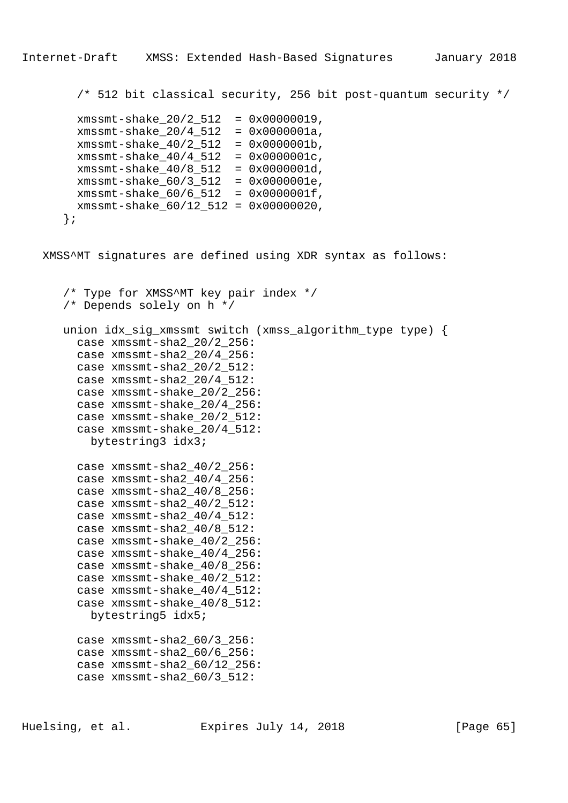/\* 512 bit classical security, 256 bit post-quantum security \*/

```
 xmssmt-shake_20/2_512 = 0x00000019,
  xmssmt-shake_20/4_512 = 0x0000001a,
  xmssmt-shake_40/2_512 = 0x0000001b,
  xmssmt-shake_40/4_512 = 0x0000001c,
  xmssmt-shake_40/8_512 = 0x0000001d,
  xmssmt-shake_60/3_512 = 0x0000001e,
 xmssmt-shake 60/6 512 = 0x0000001f,
  xmssmt-shake_60/12_512 = 0x00000020,
 };
```
XMSS^MT signatures are defined using XDR syntax as follows:

```
 /* Type for XMSS^MT key pair index */
 /* Depends solely on h */
 union idx_sig_xmssmt switch (xmss_algorithm_type type) {
  case xmssmt-sha2_20/2_256:
  case xmssmt-sha2_20/4_256:
  case xmssmt-sha2_20/2_512:
   case xmssmt-sha2_20/4_512:
  case xmssmt-shake_20/2_256:
  case xmssmt-shake_20/4_256:
   case xmssmt-shake_20/2_512:
   case xmssmt-shake_20/4_512:
    bytestring3 idx3;
   case xmssmt-sha2_40/2_256:
   case xmssmt-sha2_40/4_256:
   case xmssmt-sha2_40/8_256:
  case xmssmt-sha2_40/2_512:
   case xmssmt-sha2_40/4_512:
   case xmssmt-sha2_40/8_512:
   case xmssmt-shake_40/2_256:
   case xmssmt-shake_40/4_256:
   case xmssmt-shake_40/8_256:
   case xmssmt-shake_40/2_512:
   case xmssmt-shake_40/4_512:
   case xmssmt-shake_40/8_512:
    bytestring5 idx5;
   case xmssmt-sha2_60/3_256:
   case xmssmt-sha2_60/6_256:
   case xmssmt-sha2_60/12_256:
   case xmssmt-sha2_60/3_512:
```
Huelsing, et al. Expires July 14, 2018 [Page 65]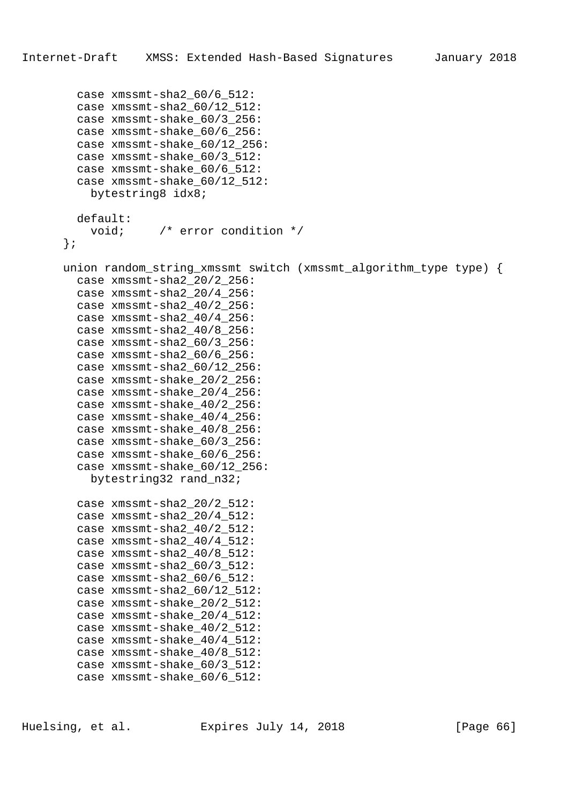```
 case xmssmt-sha2_60/6_512:
   case xmssmt-sha2_60/12_512:
   case xmssmt-shake_60/3_256:
   case xmssmt-shake_60/6_256:
   case xmssmt-shake_60/12_256:
   case xmssmt-shake_60/3_512:
   case xmssmt-shake_60/6_512:
   case xmssmt-shake_60/12_512:
    bytestring8 idx8;
  default:
    void; /* error condition */
 };
 union random_string_xmssmt switch (xmssmt_algorithm_type type) {
  case xmssmt-sha2_20/2_256:
   case xmssmt-sha2_20/4_256:
   case xmssmt-sha2_40/2_256:
  case xmssmt-sha2_40/4_256:
   case xmssmt-sha2_40/8_256:
   case xmssmt-sha2_60/3_256:
   case xmssmt-sha2_60/6_256:
  case xmssmt-sha2_60/12_256:
   case xmssmt-shake_20/2_256:
   case xmssmt-shake_20/4_256:
  case xmssmt-shake_40/2_256:
   case xmssmt-shake_40/4_256:
   case xmssmt-shake_40/8_256:
   case xmssmt-shake_60/3_256:
   case xmssmt-shake_60/6_256:
   case xmssmt-shake_60/12_256:
    bytestring32 rand_n32;
  case xmssmt-sha2_20/2_512:
   case xmssmt-sha2_20/4_512:
   case xmssmt-sha2_40/2_512:
   case xmssmt-sha2_40/4_512:
   case xmssmt-sha2_40/8_512:
   case xmssmt-sha2_60/3_512:
   case xmssmt-sha2_60/6_512:
   case xmssmt-sha2_60/12_512:
   case xmssmt-shake_20/2_512:
   case xmssmt-shake_20/4_512:
   case xmssmt-shake_40/2_512:
   case xmssmt-shake_40/4_512:
   case xmssmt-shake_40/8_512:
   case xmssmt-shake_60/3_512:
   case xmssmt-shake_60/6_512:
```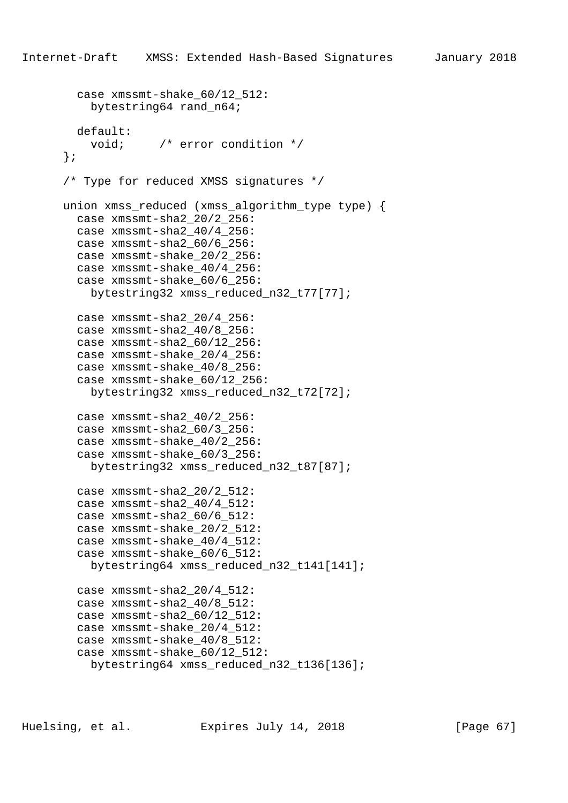```
 case xmssmt-shake_60/12_512:
     bytestring64 rand_n64;
  default:
     void; /* error condition */
 };
 /* Type for reduced XMSS signatures */
union xmss reduced (xmss algorithm type type) {
   case xmssmt-sha2_20/2_256:
   case xmssmt-sha2_40/4_256:
   case xmssmt-sha2_60/6_256:
   case xmssmt-shake_20/2_256:
   case xmssmt-shake_40/4_256:
   case xmssmt-shake_60/6_256:
     bytestring32 xmss_reduced_n32_t77[77];
   case xmssmt-sha2_20/4_256:
   case xmssmt-sha2_40/8_256:
   case xmssmt-sha2_60/12_256:
   case xmssmt-shake_20/4_256:
   case xmssmt-shake_40/8_256:
   case xmssmt-shake_60/12_256:
     bytestring32 xmss_reduced_n32_t72[72];
   case xmssmt-sha2_40/2_256:
   case xmssmt-sha2_60/3_256:
   case xmssmt-shake_40/2_256:
   case xmssmt-shake_60/3_256:
     bytestring32 xmss_reduced_n32_t87[87];
   case xmssmt-sha2_20/2_512:
   case xmssmt-sha2_40/4_512:
   case xmssmt-sha2_60/6_512:
   case xmssmt-shake_20/2_512:
   case xmssmt-shake_40/4_512:
   case xmssmt-shake_60/6_512:
     bytestring64 xmss_reduced_n32_t141[141];
   case xmssmt-sha2_20/4_512:
   case xmssmt-sha2_40/8_512:
   case xmssmt-sha2_60/12_512:
   case xmssmt-shake_20/4_512:
   case xmssmt-shake_40/8_512:
   case xmssmt-shake_60/12_512:
    bytestring64 xmss_reduced_n32_t136[136];
```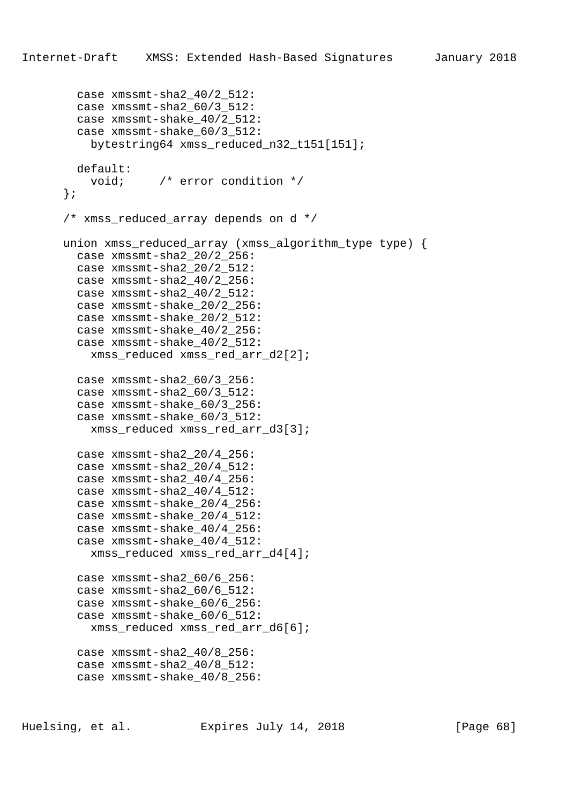```
 case xmssmt-sha2_40/2_512:
   case xmssmt-sha2_60/3_512:
   case xmssmt-shake_40/2_512:
   case xmssmt-shake_60/3_512:
     bytestring64 xmss_reduced_n32_t151[151];
  default:
    void; /* error condition */
 };
 /* xmss_reduced_array depends on d */
 union xmss_reduced_array (xmss_algorithm_type type) {
   case xmssmt-sha2_20/2_256:
   case xmssmt-sha2_20/2_512:
   case xmssmt-sha2_40/2_256:
   case xmssmt-sha2_40/2_512:
   case xmssmt-shake_20/2_256:
   case xmssmt-shake_20/2_512:
   case xmssmt-shake_40/2_256:
   case xmssmt-shake_40/2_512:
   xmss reduced xmss red arr d2[2];
   case xmssmt-sha2_60/3_256:
   case xmssmt-sha2_60/3_512:
   case xmssmt-shake_60/3_256:
   case xmssmt-shake_60/3_512:
    xmss_reduced xmss_red_arr_d3[3];
   case xmssmt-sha2_20/4_256:
   case xmssmt-sha2_20/4_512:
   case xmssmt-sha2_40/4_256:
   case xmssmt-sha2_40/4_512:
   case xmssmt-shake_20/4_256:
   case xmssmt-shake_20/4_512:
   case xmssmt-shake_40/4_256:
   case xmssmt-shake_40/4_512:
     xmss_reduced xmss_red_arr_d4[4];
   case xmssmt-sha2_60/6_256:
   case xmssmt-sha2_60/6_512:
   case xmssmt-shake_60/6_256:
   case xmssmt-shake_60/6_512:
     xmss_reduced xmss_red_arr_d6[6];
   case xmssmt-sha2_40/8_256:
   case xmssmt-sha2_40/8_512:
   case xmssmt-shake_40/8_256:
```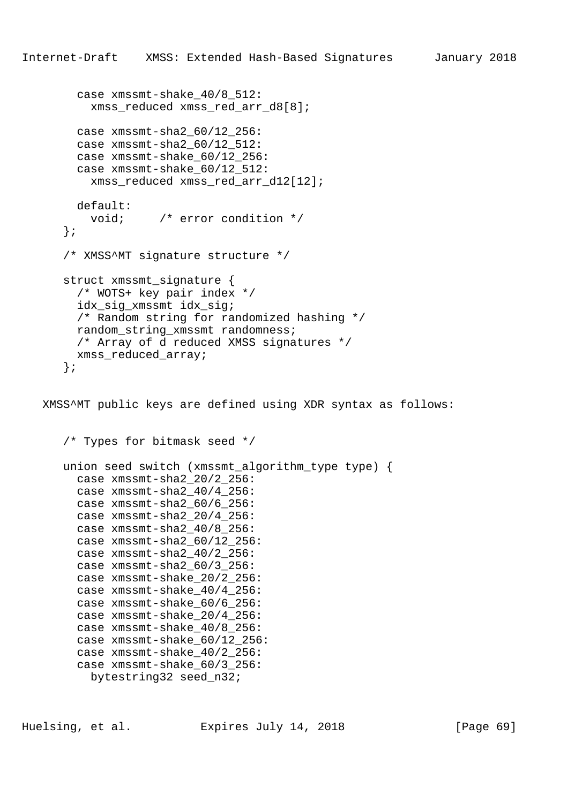```
 case xmssmt-shake_40/8_512:
     xmss_reduced xmss_red_arr_d8[8];
   case xmssmt-sha2_60/12_256:
   case xmssmt-sha2_60/12_512:
   case xmssmt-shake_60/12_256:
   case xmssmt-shake_60/12_512:
     xmss_reduced xmss_red_arr_d12[12];
  default:
     void; /* error condition */
 };
 /* XMSS^MT signature structure */
struct xmssmt signature {
   /* WOTS+ key pair index */
   idx_sig_xmssmt idx_sig;
   /* Random string for randomized hashing */
  random_string_xmssmt randomness;
  /* Array of d reduced XMSS signatures */
 xmss reduced array;
 };
```
 XMSS^MT public keys are defined using XDR syntax as follows: /\* Types for bitmask seed \*/ union seed switch (xmssmt\_algorithm\_type type) { case xmssmt-sha2\_20/2\_256: case xmssmt-sha2\_40/4\_256:

```
 case xmssmt-sha2_60/6_256:
 case xmssmt-sha2_20/4_256:
 case xmssmt-sha2_40/8_256:
 case xmssmt-sha2_60/12_256:
 case xmssmt-sha2_40/2_256:
 case xmssmt-sha2_60/3_256:
 case xmssmt-shake_20/2_256:
 case xmssmt-shake_40/4_256:
 case xmssmt-shake_60/6_256:
 case xmssmt-shake_20/4_256:
 case xmssmt-shake_40/8_256:
 case xmssmt-shake_60/12_256:
 case xmssmt-shake_40/2_256:
 case xmssmt-shake_60/3_256:
 bytestring32 seed n32;
```
Huelsing, et al. Expires July 14, 2018 [Page 69]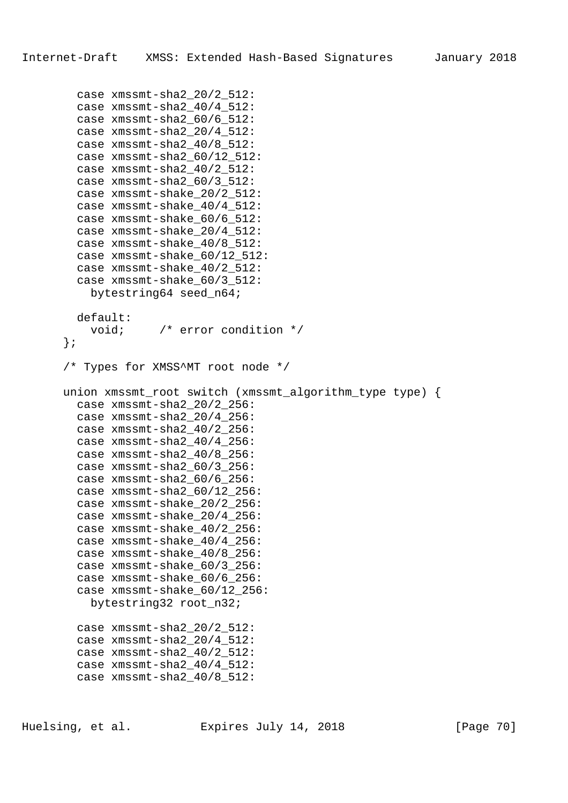```
 case xmssmt-sha2_20/2_512:
   case xmssmt-sha2_40/4_512:
   case xmssmt-sha2_60/6_512:
   case xmssmt-sha2_20/4_512:
   case xmssmt-sha2_40/8_512:
   case xmssmt-sha2_60/12_512:
  case xmssmt-sha2_40/2_512:
   case xmssmt-sha2_60/3_512:
  case xmssmt-shake_20/2_512:
   case xmssmt-shake_40/4_512:
   case xmssmt-shake_60/6_512:
   case xmssmt-shake_20/4_512:
   case xmssmt-shake_40/8_512:
   case xmssmt-shake_60/12_512:
  case xmssmt-shake_40/2_512:
   case xmssmt-shake_60/3_512:
     bytestring64 seed_n64;
  default:
    void; /* error condition */
 };
 /* Types for XMSS^MT root node */
 union xmssmt_root switch (xmssmt_algorithm_type type) {
  case xmssmt-sha2_20/2_256:
   case xmssmt-sha2_20/4_256:
  case xmssmt-sha2_40/2_256:
  case xmssmt-sha2_40/4_256:
   case xmssmt-sha2_40/8_256:
  case xmssmt-sha2_60/3_256:
   case xmssmt-sha2_60/6_256:
   case xmssmt-sha2_60/12_256:
  case xmssmt-shake_20/2_256:
   case xmssmt-shake_20/4_256:
  case xmssmt-shake_40/2_256:
   case xmssmt-shake_40/4_256:
   case xmssmt-shake_40/8_256:
  case xmssmt-shake_60/3_256:
   case xmssmt-shake_60/6_256:
   case xmssmt-shake_60/12_256:
   bytestring32 root n32;
   case xmssmt-sha2_20/2_512:
   case xmssmt-sha2_20/4_512:
   case xmssmt-sha2_40/2_512:
   case xmssmt-sha2_40/4_512:
   case xmssmt-sha2_40/8_512:
```
Huelsing, et al. Expires July 14, 2018 [Page 70]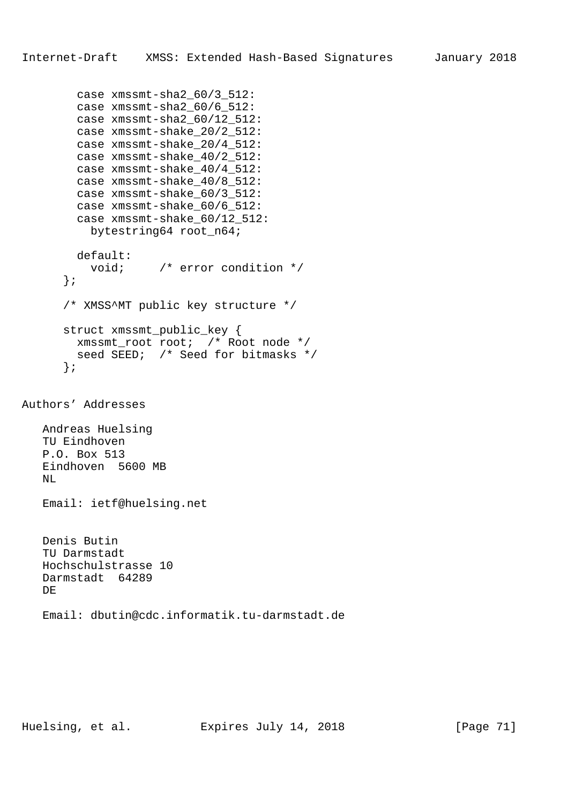```
 case xmssmt-sha2_60/3_512:
         case xmssmt-sha2_60/6_512:
         case xmssmt-sha2_60/12_512:
         case xmssmt-shake_20/2_512:
         case xmssmt-shake_20/4_512:
         case xmssmt-shake_40/2_512:
         case xmssmt-shake_40/4_512:
         case xmssmt-shake_40/8_512:
         case xmssmt-shake_60/3_512:
         case xmssmt-shake_60/6_512:
        case xmssmt-shake 60/12 512:
           bytestring64 root_n64;
         default:
           void; /* error condition */
       };
       /* XMSS^MT public key structure */
       struct xmssmt_public_key {
        xmssmt_root root; /* Root node */
       seed SEED; /* Seed for bitmasks */
       };
Authors' Addresses
```
 Andreas Huelsing TU Eindhoven P.O. Box 513 Eindhoven 5600 MB NL

Email: ietf@huelsing.net

```
 Denis Butin
 TU Darmstadt
 Hochschulstrasse 10
 Darmstadt 64289
 DE
 Email: dbutin@cdc.informatik.tu-darmstadt.de
```